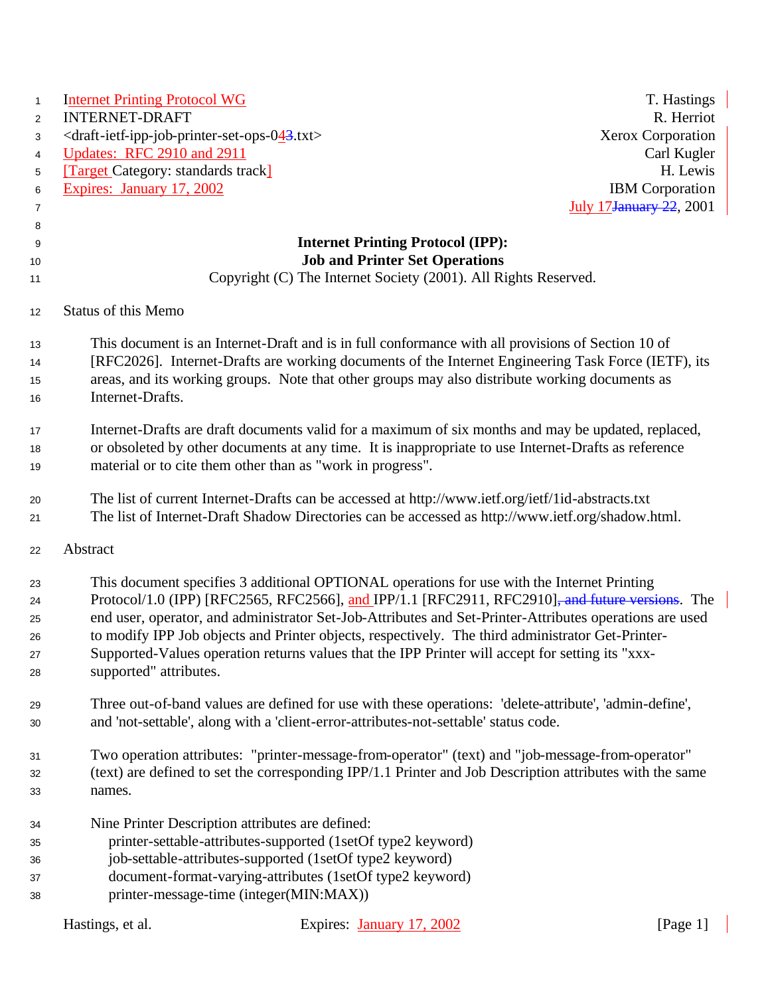| $\mathbf{1}$ | <b>Internet Printing Protocol WG</b>                                                      |                                                                                                              | T. Hastings                     |
|--------------|-------------------------------------------------------------------------------------------|--------------------------------------------------------------------------------------------------------------|---------------------------------|
| 2            | <b>INTERNET-DRAFT</b>                                                                     |                                                                                                              | R. Herriot                      |
| 3            | <draft-ietf-ipp-job-printer-set-ops-043.txt></draft-ietf-ipp-job-printer-set-ops-043.txt> |                                                                                                              | Xerox Corporation               |
| 4            | Updates: RFC 2910 and 2911                                                                |                                                                                                              | Carl Kugler                     |
| 5            | <b>Target Category: standards track</b>                                                   |                                                                                                              | H. Lewis                        |
| 6            | Expires: January 17, 2002                                                                 |                                                                                                              | <b>IBM</b> Corporation          |
| 7            |                                                                                           |                                                                                                              | <b>July 17 January 22, 2001</b> |
| 8            |                                                                                           |                                                                                                              |                                 |
| 9            |                                                                                           | <b>Internet Printing Protocol (IPP):</b>                                                                     |                                 |
| 10           |                                                                                           | <b>Job and Printer Set Operations</b>                                                                        |                                 |
| 11           |                                                                                           | Copyright (C) The Internet Society (2001). All Rights Reserved.                                              |                                 |
| 12           | <b>Status of this Memo</b>                                                                |                                                                                                              |                                 |
| 13           |                                                                                           | This document is an Internet-Draft and is in full conformance with all provisions of Section 10 of           |                                 |
| 14           |                                                                                           | [RFC2026]. Internet-Drafts are working documents of the Internet Engineering Task Force (IETF), its          |                                 |
| 15           |                                                                                           | areas, and its working groups. Note that other groups may also distribute working documents as               |                                 |
| 16           | Internet-Drafts.                                                                          |                                                                                                              |                                 |
| 17           |                                                                                           | Internet-Drafts are draft documents valid for a maximum of six months and may be updated, replaced,          |                                 |
| 18           |                                                                                           | or obsoleted by other documents at any time. It is inappropriate to use Internet-Drafts as reference         |                                 |
| 19           |                                                                                           | material or to cite them other than as "work in progress".                                                   |                                 |
| 20           |                                                                                           | The list of current Internet-Drafts can be accessed at http://www.ietf.org/ietf/1id-abstracts.txt            |                                 |
| 21           |                                                                                           | The list of Internet-Draft Shadow Directories can be accessed as http://www.ietf.org/shadow.html.            |                                 |
| 22           | Abstract                                                                                  |                                                                                                              |                                 |
| 23           |                                                                                           | This document specifies 3 additional OPTIONAL operations for use with the Internet Printing                  |                                 |
| 24           |                                                                                           | Protocol/1.0 (IPP) [RFC2565, RFC2566], and IPP/1.1 [RFC2911, RFC2910] <del>, and future versions</del> . The |                                 |
| 25           |                                                                                           | end user, operator, and administrator Set-Job-Attributes and Set-Printer-Attributes operations are used      |                                 |
| 26           |                                                                                           | to modify IPP Job objects and Printer objects, respectively. The third administrator Get-Printer-            |                                 |
| 27           |                                                                                           | Supported-Values operation returns values that the IPP Printer will accept for setting its "xxx-             |                                 |
| 28           | supported" attributes.                                                                    |                                                                                                              |                                 |
| 29           |                                                                                           | Three out-of-band values are defined for use with these operations: 'delete-attribute', 'admin-define',      |                                 |
| 30           |                                                                                           | and 'not-settable', along with a 'client-error-attributes-not-settable' status code.                         |                                 |
| 31           |                                                                                           | Two operation attributes: "printer-message-from-operator" (text) and "job-message-from-operator"             |                                 |
| 32           |                                                                                           | (text) are defined to set the corresponding IPP/1.1 Printer and Job Description attributes with the same     |                                 |
| 33           | names.                                                                                    |                                                                                                              |                                 |
| 34           |                                                                                           | Nine Printer Description attributes are defined:                                                             |                                 |
| 35           |                                                                                           | printer-settable-attributes-supported (1setOf type2 keyword)                                                 |                                 |
| 36           |                                                                                           | job-settable-attributes-supported (1setOf type2 keyword)                                                     |                                 |
| 37           |                                                                                           | document-format-varying-attributes (1setOf type2 keyword)                                                    |                                 |
| 38           |                                                                                           | printer-message-time (integer(MIN:MAX))                                                                      |                                 |
|              | Hastings, et al.                                                                          | Expires: January 17, 2002                                                                                    | [Page 1]                        |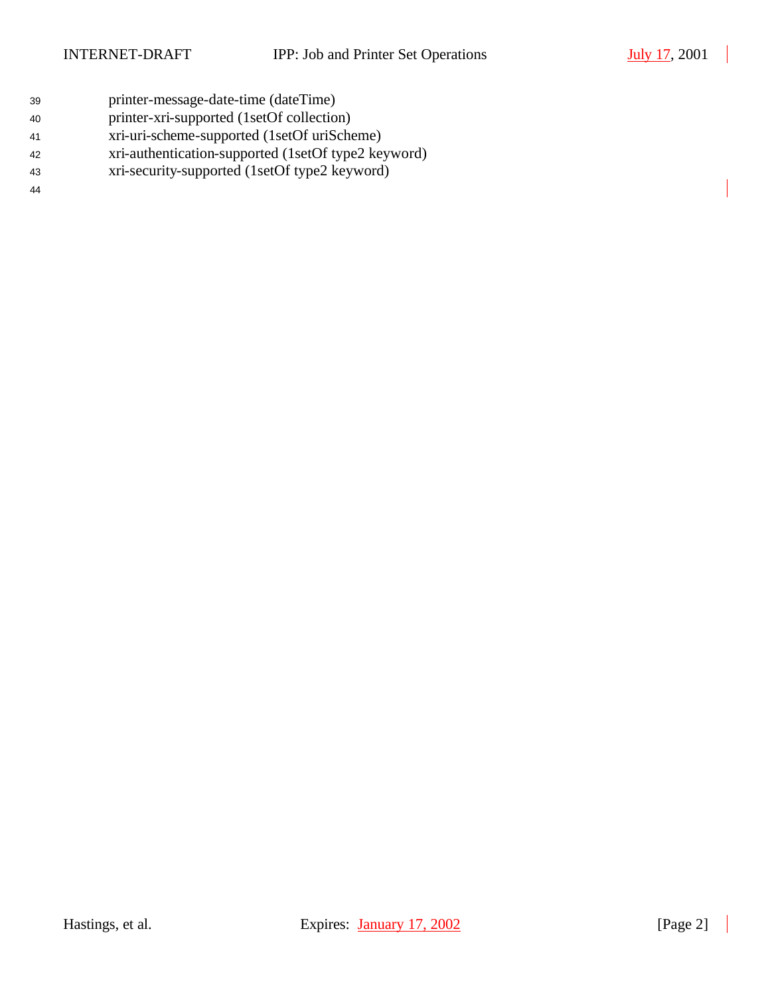- printer-message-date-time (dateTime)
- printer-xri-supported (1setOf collection)
- xri-uri-scheme-supported (1setOf uriScheme)
- xri-authentication-supported (1setOf type2 keyword)
- xri-security-supported (1setOf type2 keyword)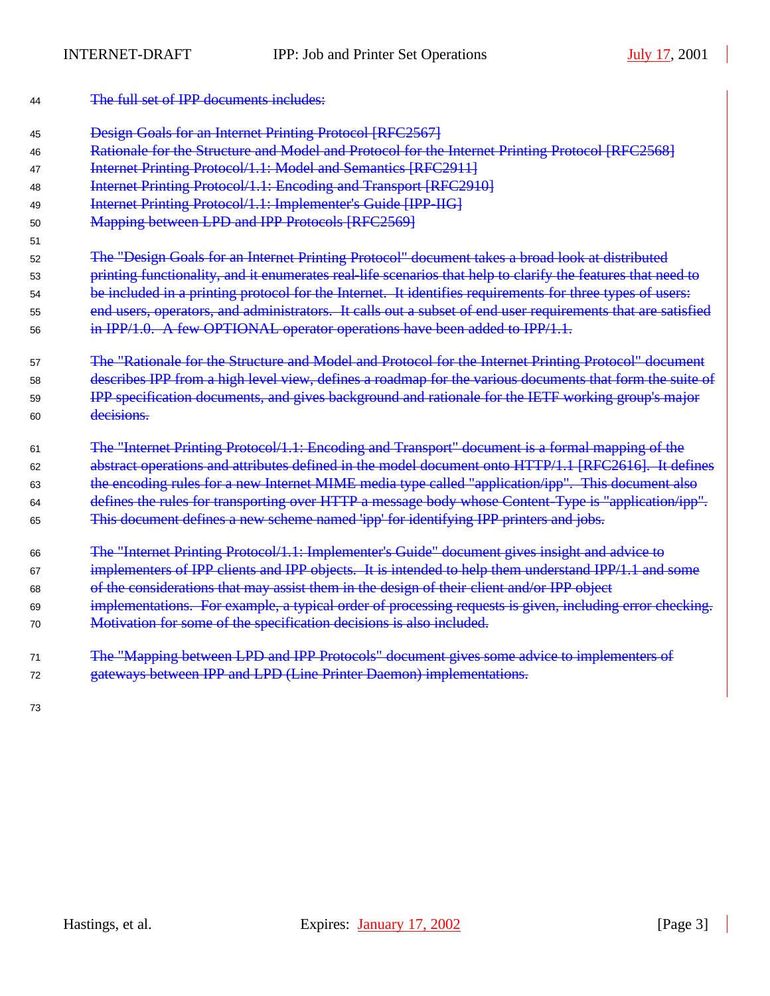| 44 | The full set of IPP documents includes:                                                                      |
|----|--------------------------------------------------------------------------------------------------------------|
| 45 | <b>Design Goals for an Internet Printing Protocol [RFC2567]</b>                                              |
| 46 | Rationale for the Structure and Model and Protocol for the Internet Printing Protocol [RFC2568]              |
| 47 | Internet Printing Protocol/1.1: Model and Semantics [RFC2911]                                                |
| 48 | <b>Internet Printing Protocol/1.1: Encoding and Transport [RFC2910]</b>                                      |
| 49 | Internet Printing Protocol/1.1: Implementer's Guide [IPP-IIG]                                                |
| 50 | Mapping between LPD and IPP Protocols [RFC2569]                                                              |
| 51 |                                                                                                              |
| 52 | The "Design Goals for an Internet Printing Protocol" document takes a broad look at distributed              |
| 53 | printing functionality, and it enumerates real-life scenarios that help to clarify the features that need to |
| 54 | be included in a printing protocol for the Internet. It identifies requirements for three types of users:    |
| 55 | end users, operators, and administrators. It calls out a subset of end user requirements that are satisfied  |
| 56 | in $IPP/1.0$ . A few OPTIONAL operator operations have been added to $IPP/1.1$ .                             |
| 57 | The "Rationale for the Structure and Model and Protocol for the Internet Printing Protocol" document         |
| 58 | describes IPP from a high level view, defines a roadmap for the various documents that form the suite of     |
| 59 | IPP specification documents, and gives background and rationale for the IETF working group's major           |
| 60 | decisions.                                                                                                   |
| 61 | The "Internet Printing Protocol/1.1: Encoding and Transport" document is a formal mapping of the             |
| 62 | abstract operations and attributes defined in the model document onto HTTP/1.1 [RFC2616]. It defines         |
| 63 | the encoding rules for a new Internet MIME media type called "application/ipp". This document also           |
| 64 | defines the rules for transporting over HTTP a message body whose Content-Type is "application/ipp".         |
| 65 | This document defines a new scheme named 'ipp' for identifying IPP printers and jobs.                        |
| 66 | The "Internet Printing Protocol/1.1: Implementer's Guide" document gives insight and advice to               |
| 67 | implementers of IPP clients and IPP objects. It is intended to help them understand IPP/1.1 and some         |
| 68 | of the considerations that may assist them in the design of their client and/or IPP object                   |
| 69 | implementations. For example, a typical order of processing requests is given, including error checking.     |
| 70 | Motivation for some of the specification decisions is also included.                                         |
| 71 | The "Mapping between LPD and IPP Protocols" document gives some advice to implementers of                    |
| 72 | gateways between IPP and LPD (Line Printer Daemon) implementations.                                          |
| 73 |                                                                                                              |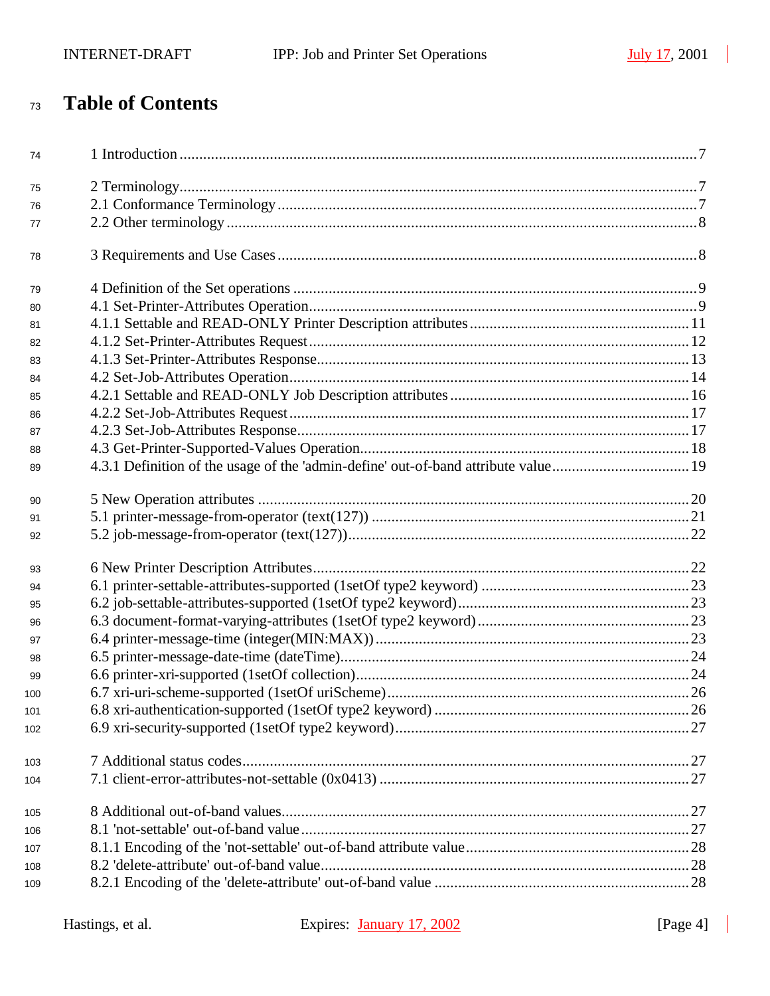# **Table of Contents**

| 74  |  |
|-----|--|
| 75  |  |
| 76  |  |
| 77  |  |
| 78  |  |
| 79  |  |
| 80  |  |
| 81  |  |
| 82  |  |
| 83  |  |
| 84  |  |
| 85  |  |
| 86  |  |
| 87  |  |
| 88  |  |
| 89  |  |
| 90  |  |
| 91  |  |
| 92  |  |
| 93  |  |
| 94  |  |
| 95  |  |
| 96  |  |
| 97  |  |
| 98  |  |
| 99  |  |
| 100 |  |
| 101 |  |
| 102 |  |
| 103 |  |
| 104 |  |
| 105 |  |
| 106 |  |
| 107 |  |
| 108 |  |
| 109 |  |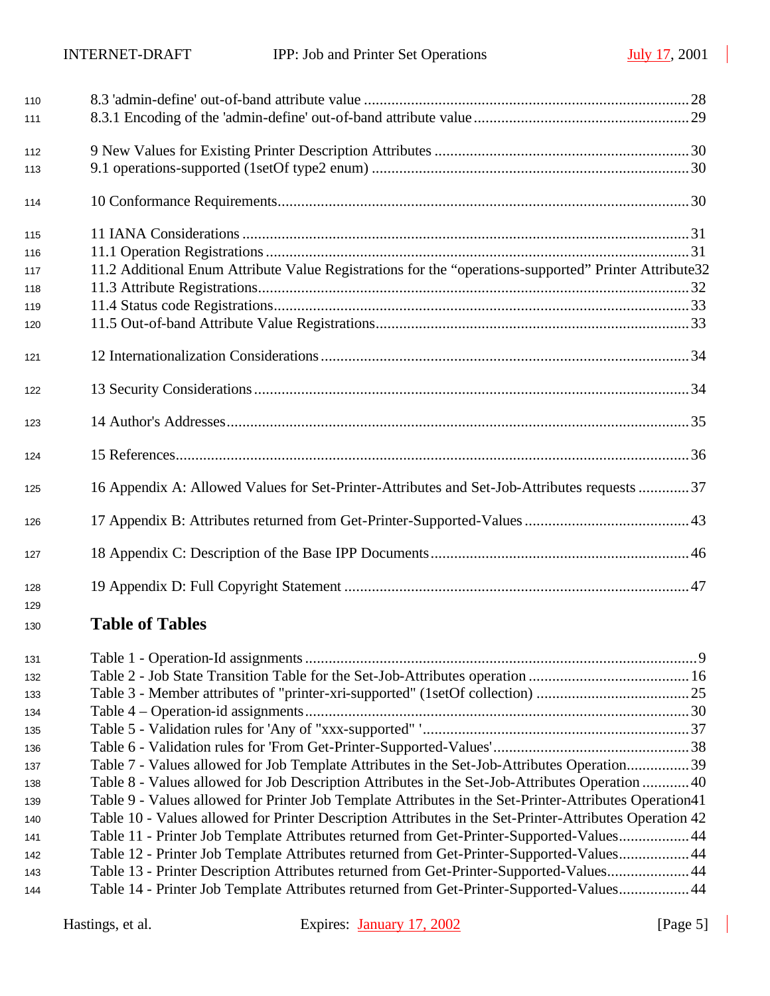| 110 |                                                                                                         |  |
|-----|---------------------------------------------------------------------------------------------------------|--|
| 111 |                                                                                                         |  |
| 112 |                                                                                                         |  |
| 113 |                                                                                                         |  |
| 114 |                                                                                                         |  |
| 115 |                                                                                                         |  |
| 116 |                                                                                                         |  |
| 117 | 11.2 Additional Enum Attribute Value Registrations for the "operations-supported" Printer Attribute32   |  |
| 118 |                                                                                                         |  |
| 119 |                                                                                                         |  |
| 120 |                                                                                                         |  |
| 121 |                                                                                                         |  |
| 122 |                                                                                                         |  |
| 123 |                                                                                                         |  |
| 124 |                                                                                                         |  |
| 125 | 16 Appendix A: Allowed Values for Set-Printer-Attributes and Set-Job-Attributes requests 37             |  |
| 126 |                                                                                                         |  |
| 127 |                                                                                                         |  |
| 128 |                                                                                                         |  |
| 129 | <b>Table of Tables</b>                                                                                  |  |
| 130 |                                                                                                         |  |
| 131 |                                                                                                         |  |
| 132 |                                                                                                         |  |
| 133 |                                                                                                         |  |
| 134 |                                                                                                         |  |
| 135 |                                                                                                         |  |
| 136 |                                                                                                         |  |
| 137 | Table 7 - Values allowed for Job Template Attributes in the Set-Job-Attributes Operation39              |  |
| 138 | Table 8 - Values allowed for Job Description Attributes in the Set-Job-Attributes Operation  40         |  |
| 139 | Table 9 - Values allowed for Printer Job Template Attributes in the Set-Printer-Attributes Operation41  |  |
| 140 | Table 10 - Values allowed for Printer Description Attributes in the Set-Printer-Attributes Operation 42 |  |
| 141 | Table 11 - Printer Job Template Attributes returned from Get-Printer-Supported-Values 44                |  |
| 142 | Table 12 - Printer Job Template Attributes returned from Get-Printer-Supported-Values 44                |  |
| 143 | Table 13 - Printer Description Attributes returned from Get-Printer-Supported-Values44                  |  |
| 144 | Table 14 - Printer Job Template Attributes returned from Get-Printer-Supported-Values 44                |  |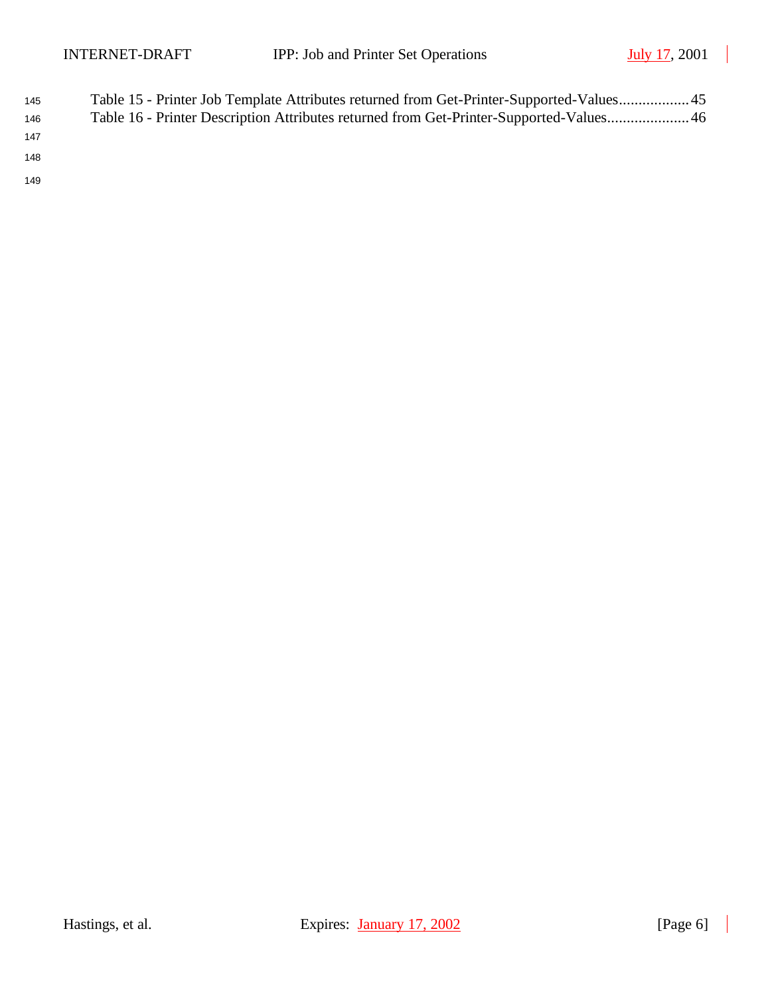| 145 | Table 15 - Printer Job Template Attributes returned from Get-Printer-Supported-Values45 |
|-----|-----------------------------------------------------------------------------------------|
| 146 | Table 16 - Printer Description Attributes returned from Get-Printer-Supported-Values46  |
| 147 |                                                                                         |

148

149

 $\blacksquare$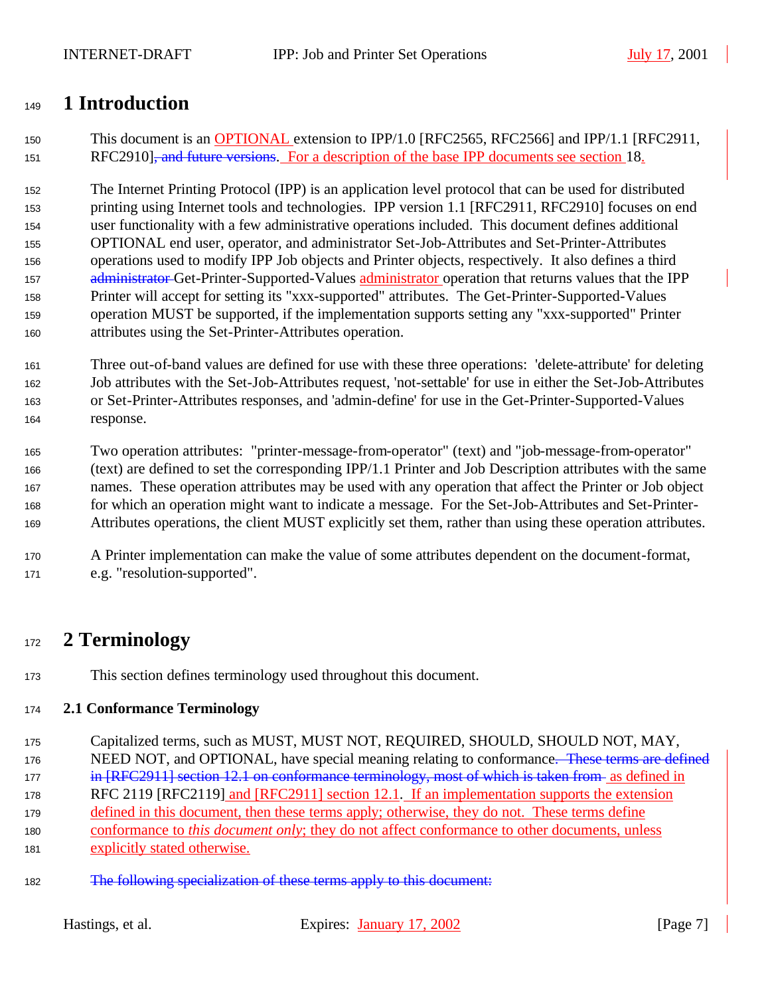# **1 Introduction**

 This document is an OPTIONAL extension to IPP/1.0 [RFC2565, RFC2566] and IPP/1.1 [RFC2911, 151 RFC2910]<del>, and future versions</del>. For a description of the base IPP documents see section 18.

 The Internet Printing Protocol (IPP) is an application level protocol that can be used for distributed printing using Internet tools and technologies. IPP version 1.1 [RFC2911, RFC2910] focuses on end user functionality with a few administrative operations included. This document defines additional OPTIONAL end user, operator, and administrator Set-Job-Attributes and Set-Printer-Attributes operations used to modify IPP Job objects and Printer objects, respectively. It also defines a third 157 a<del>dministrator G</del>et-Printer-Supported-Values administrator operation that returns values that the IPP Printer will accept for setting its "xxx-supported" attributes. The Get-Printer-Supported-Values operation MUST be supported, if the implementation supports setting any "xxx-supported" Printer attributes using the Set-Printer-Attributes operation.

- Three out-of-band values are defined for use with these three operations: 'delete-attribute' for deleting Job attributes with the Set-Job-Attributes request, 'not-settable' for use in either the Set-Job-Attributes or Set-Printer-Attributes responses, and 'admin-define' for use in the Get-Printer-Supported-Values response.
- Two operation attributes: "printer-message-from-operator" (text) and "job-message-from-operator" (text) are defined to set the corresponding IPP/1.1 Printer and Job Description attributes with the same names. These operation attributes may be used with any operation that affect the Printer or Job object for which an operation might want to indicate a message. For the Set-Job-Attributes and Set-Printer-Attributes operations, the client MUST explicitly set them, rather than using these operation attributes.
- A Printer implementation can make the value of some attributes dependent on the document-format, e.g. "resolution-supported".

# **2 Terminology**

This section defines terminology used throughout this document.

#### **2.1 Conformance Terminology**

- Capitalized terms, such as MUST, MUST NOT, REQUIRED, SHOULD, SHOULD NOT, MAY,
- 176 NEED NOT, and OPTIONAL, have special meaning relating to conformance. These terms are defined
- **in [RFC2911] section 12.1 on conformance terminology, most of which is taken from** as defined in
- 178 RFC 2119 [RFC2119] and [RFC2911] section 12.1. If an implementation supports the extension
- 179 defined in this document, then these terms apply; otherwise, they do not. These terms define
- conformance to *this document only*; they do not affect conformance to other documents, unless
- 181 explicitly stated otherwise.
- The following specialization of these terms apply to this document: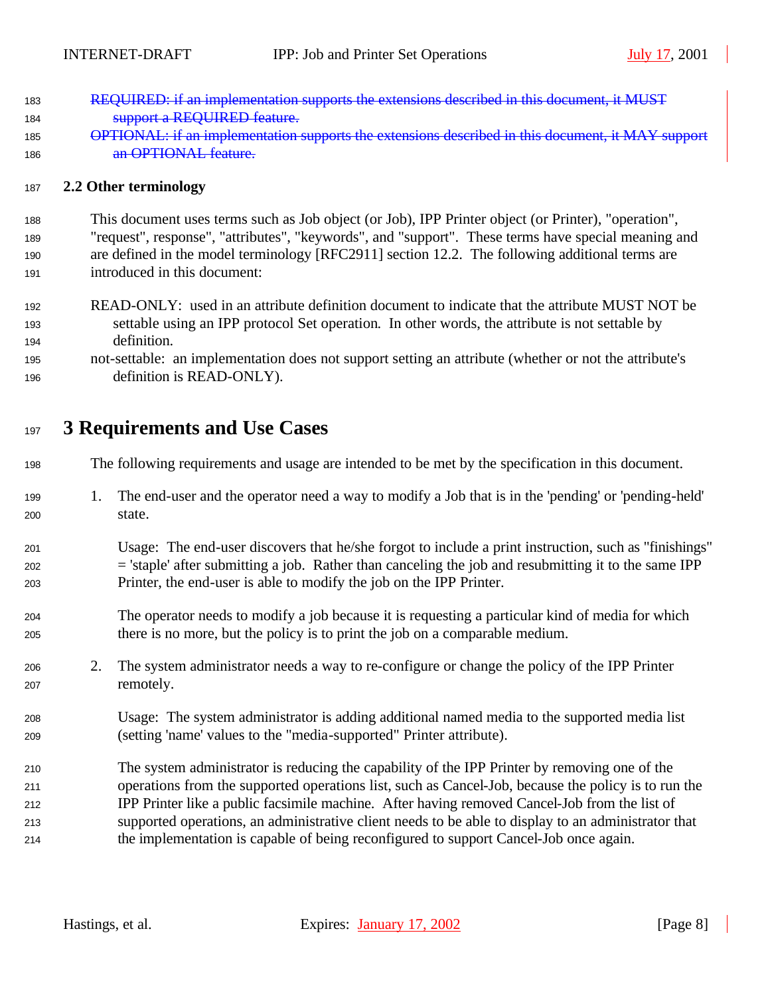- REQUIRED: if an implementation supports the extensions described in this document, it MUST **Support a REQUIRED feature.**
- OPTIONAL: if an implementation supports the extensions described in this document, it MAY support **an OPTIONAL feature.**

#### **2.2 Other terminology**

 This document uses terms such as Job object (or Job), IPP Printer object (or Printer), "operation", "request", response", "attributes", "keywords", and "support". These terms have special meaning and are defined in the model terminology [RFC2911] section 12.2. The following additional terms are introduced in this document:

- READ-ONLY: used in an attribute definition document to indicate that the attribute MUST NOT be settable using an IPP protocol Set operation. In other words, the attribute is not settable by definition.
- not-settable: an implementation does not support setting an attribute (whether or not the attribute's definition is READ-ONLY).

# **3 Requirements and Use Cases**

The following requirements and usage are intended to be met by the specification in this document.

- 1. The end-user and the operator need a way to modify a Job that is in the 'pending' or 'pending-held' state.
- Usage: The end-user discovers that he/she forgot to include a print instruction, such as "finishings" = 'staple' after submitting a job. Rather than canceling the job and resubmitting it to the same IPP Printer, the end-user is able to modify the job on the IPP Printer.
- The operator needs to modify a job because it is requesting a particular kind of media for which there is no more, but the policy is to print the job on a comparable medium.
- 2. The system administrator needs a way to re-configure or change the policy of the IPP Printer remotely.
- Usage: The system administrator is adding additional named media to the supported media list (setting 'name' values to the "media-supported" Printer attribute).
- The system administrator is reducing the capability of the IPP Printer by removing one of the operations from the supported operations list, such as Cancel-Job, because the policy is to run the IPP Printer like a public facsimile machine. After having removed Cancel-Job from the list of supported operations, an administrative client needs to be able to display to an administrator that the implementation is capable of being reconfigured to support Cancel-Job once again.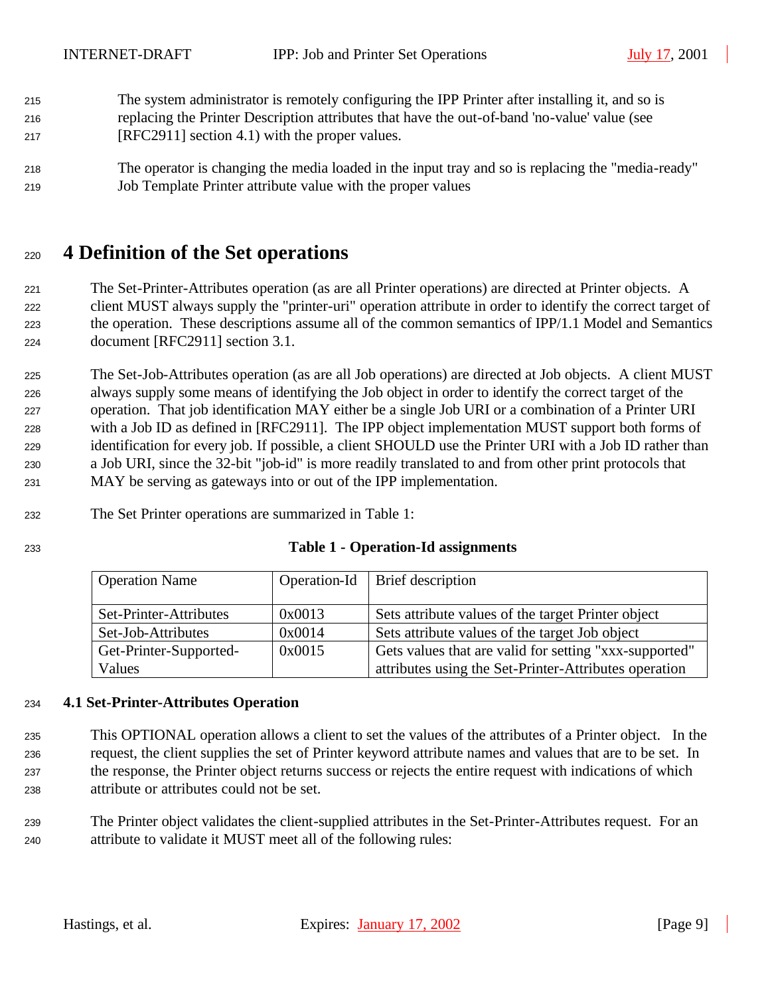- The system administrator is remotely configuring the IPP Printer after installing it, and so is replacing the Printer Description attributes that have the out-of-band 'no-value' value (see
- [RFC2911] section 4.1) with the proper values.
- The operator is changing the media loaded in the input tray and so is replacing the "media-ready" Job Template Printer attribute value with the proper values

# **4 Definition of the Set operations**

 The Set-Printer-Attributes operation (as are all Printer operations) are directed at Printer objects. A client MUST always supply the "printer-uri" operation attribute in order to identify the correct target of the operation. These descriptions assume all of the common semantics of IPP/1.1 Model and Semantics document [RFC2911] section 3.1.

 The Set-Job-Attributes operation (as are all Job operations) are directed at Job objects. A client MUST always supply some means of identifying the Job object in order to identify the correct target of the operation. That job identification MAY either be a single Job URI or a combination of a Printer URI with a Job ID as defined in [RFC2911]. The IPP object implementation MUST support both forms of identification for every job. If possible, a client SHOULD use the Printer URI with a Job ID rather than a Job URI, since the 32-bit "job-id" is more readily translated to and from other print protocols that MAY be serving as gateways into or out of the IPP implementation.

The Set Printer operations are summarized in Table 1:

#### **Table 1 - Operation-Id assignments**

| <b>Operation Name</b>  |        | Operation-Id   Brief description                       |
|------------------------|--------|--------------------------------------------------------|
|                        |        |                                                        |
| Set-Printer-Attributes | 0x0013 | Sets attribute values of the target Printer object     |
| Set-Job-Attributes     | 0x0014 | Sets attribute values of the target Job object         |
| Get-Printer-Supported- | 0x0015 | Gets values that are valid for setting "xxx-supported" |
| Values                 |        | attributes using the Set-Printer-Attributes operation  |

#### **4.1 Set-Printer-Attributes Operation**

 This OPTIONAL operation allows a client to set the values of the attributes of a Printer object. In the request, the client supplies the set of Printer keyword attribute names and values that are to be set. In the response, the Printer object returns success or rejects the entire request with indications of which attribute or attributes could not be set.

 The Printer object validates the client-supplied attributes in the Set-Printer-Attributes request. For an attribute to validate it MUST meet all of the following rules: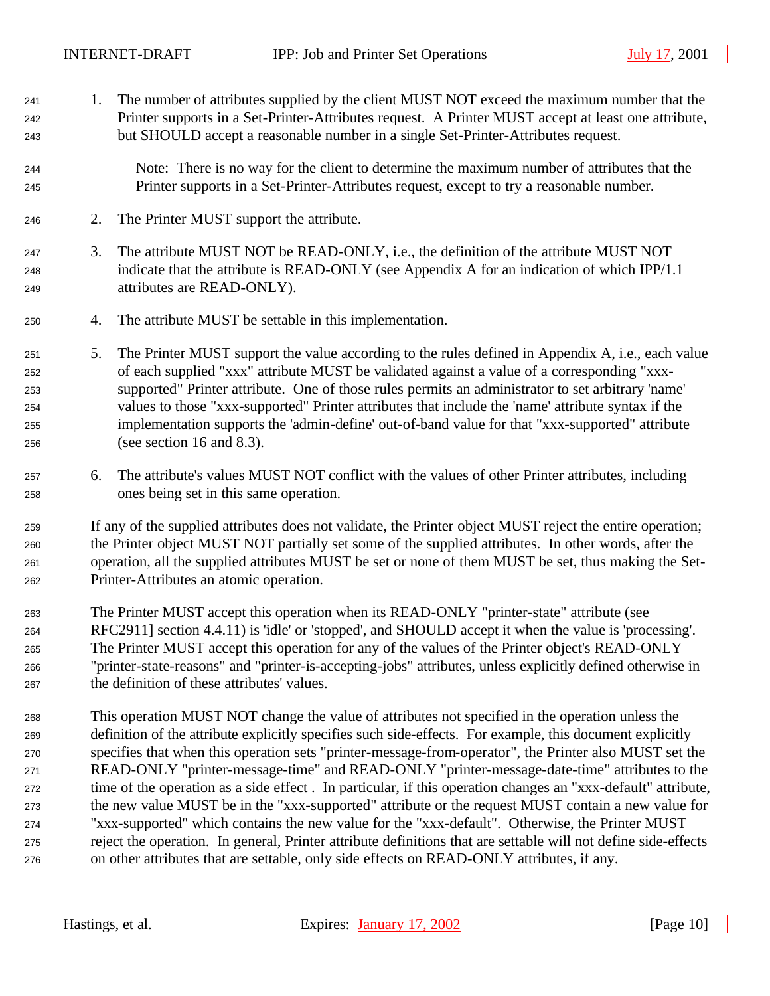1. The number of attributes supplied by the client MUST NOT exceed the maximum number that the

 Printer supports in a Set-Printer-Attributes request. A Printer MUST accept at least one attribute, but SHOULD accept a reasonable number in a single Set-Printer-Attributes request. Note: There is no way for the client to determine the maximum number of attributes that the Printer supports in a Set-Printer-Attributes request, except to try a reasonable number. 2. The Printer MUST support the attribute. 3. The attribute MUST NOT be READ-ONLY, i.e., the definition of the attribute MUST NOT indicate that the attribute is READ-ONLY (see Appendix A for an indication of which IPP/1.1 attributes are READ-ONLY). 4. The attribute MUST be settable in this implementation. 5. The Printer MUST support the value according to the rules defined in Appendix A, i.e., each value of each supplied "xxx" attribute MUST be validated against a value of a corresponding "xxx- supported" Printer attribute. One of those rules permits an administrator to set arbitrary 'name' values to those "xxx-supported" Printer attributes that include the 'name' attribute syntax if the implementation supports the 'admin-define' out-of-band value for that "xxx-supported" attribute (see section 16 and 8.3). 6. The attribute's values MUST NOT conflict with the values of other Printer attributes, including ones being set in this same operation. If any of the supplied attributes does not validate, the Printer object MUST reject the entire operation; the Printer object MUST NOT partially set some of the supplied attributes. In other words, after the operation, all the supplied attributes MUST be set or none of them MUST be set, thus making the Set- Printer-Attributes an atomic operation. The Printer MUST accept this operation when its READ-ONLY "printer-state" attribute (see RFC2911] section 4.4.11) is 'idle' or 'stopped', and SHOULD accept it when the value is 'processing'. The Printer MUST accept this operation for any of the values of the Printer object's READ-ONLY "printer-state-reasons" and "printer-is-accepting-jobs" attributes, unless explicitly defined otherwise in the definition of these attributes' values. This operation MUST NOT change the value of attributes not specified in the operation unless the definition of the attribute explicitly specifies such side-effects. For example, this document explicitly specifies that when this operation sets "printer-message-from-operator", the Printer also MUST set the READ-ONLY "printer-message-time" and READ-ONLY "printer-message-date-time" attributes to the time of the operation as a side effect . In particular, if this operation changes an "xxx-default" attribute, the new value MUST be in the "xxx-supported" attribute or the request MUST contain a new value for "xxx-supported" which contains the new value for the "xxx-default". Otherwise, the Printer MUST reject the operation. In general, Printer attribute definitions that are settable will not define side-effects on other attributes that are settable, only side effects on READ-ONLY attributes, if any.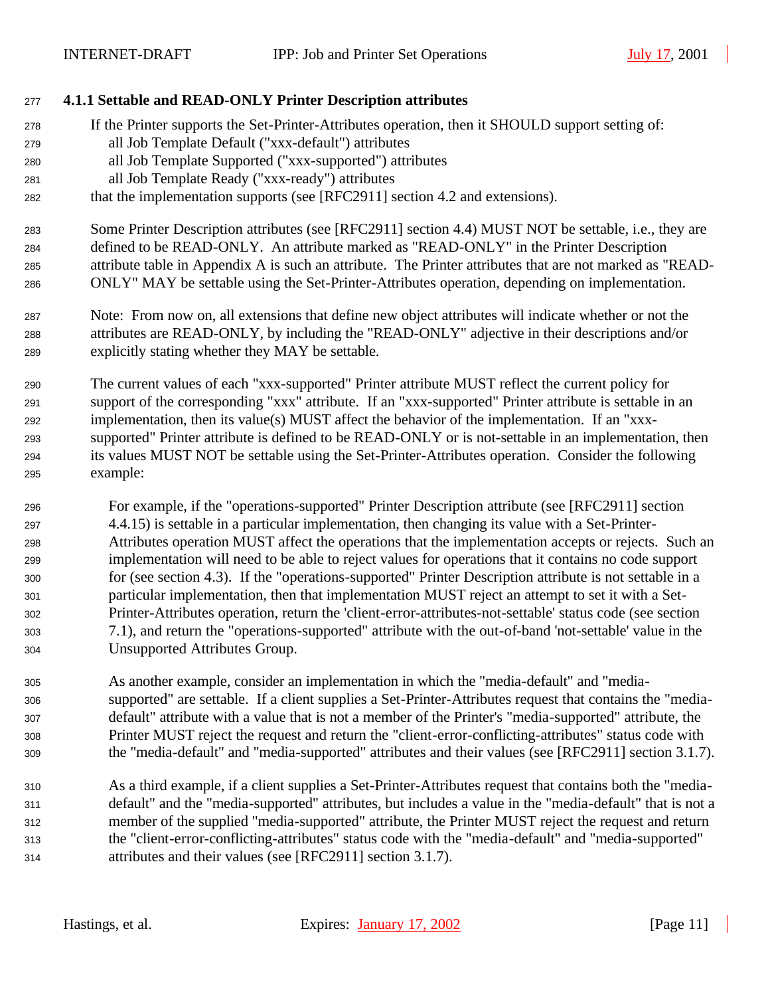#### **4.1.1 Settable and READ-ONLY Printer Description attributes**

- If the Printer supports the Set-Printer-Attributes operation, then it SHOULD support setting of:
- all Job Template Default ("xxx-default") attributes
- all Job Template Supported ("xxx-supported") attributes
- all Job Template Ready ("xxx-ready") attributes
- that the implementation supports (see [RFC2911] section 4.2 and extensions).

 Some Printer Description attributes (see [RFC2911] section 4.4) MUST NOT be settable, i.e., they are defined to be READ-ONLY. An attribute marked as "READ-ONLY" in the Printer Description attribute table in Appendix A is such an attribute. The Printer attributes that are not marked as "READ-ONLY" MAY be settable using the Set-Printer-Attributes operation, depending on implementation.

- Note: From now on, all extensions that define new object attributes will indicate whether or not the attributes are READ-ONLY, by including the "READ-ONLY" adjective in their descriptions and/or explicitly stating whether they MAY be settable.
- The current values of each "xxx-supported" Printer attribute MUST reflect the current policy for support of the corresponding "xxx" attribute. If an "xxx-supported" Printer attribute is settable in an implementation, then its value(s) MUST affect the behavior of the implementation. If an "xxx- supported" Printer attribute is defined to be READ-ONLY or is not-settable in an implementation, then its values MUST NOT be settable using the Set-Printer-Attributes operation. Consider the following example:
- For example, if the "operations-supported" Printer Description attribute (see [RFC2911] section 4.4.15) is settable in a particular implementation, then changing its value with a Set-Printer- Attributes operation MUST affect the operations that the implementation accepts or rejects. Such an implementation will need to be able to reject values for operations that it contains no code support for (see section 4.3). If the "operations-supported" Printer Description attribute is not settable in a particular implementation, then that implementation MUST reject an attempt to set it with a Set- Printer-Attributes operation, return the 'client-error-attributes-not-settable' status code (see section 7.1), and return the "operations-supported" attribute with the out-of-band 'not-settable' value in the Unsupported Attributes Group.
- As another example, consider an implementation in which the "media-default" and "media- supported" are settable. If a client supplies a Set-Printer-Attributes request that contains the "media- default" attribute with a value that is not a member of the Printer's "media-supported" attribute, the Printer MUST reject the request and return the "client-error-conflicting-attributes" status code with the "media-default" and "media-supported" attributes and their values (see [RFC2911] section 3.1.7).
- As a third example, if a client supplies a Set-Printer-Attributes request that contains both the "media- default" and the "media-supported" attributes, but includes a value in the "media-default" that is not a member of the supplied "media-supported" attribute, the Printer MUST reject the request and return the "client-error-conflicting-attributes" status code with the "media-default" and "media-supported" attributes and their values (see [RFC2911] section 3.1.7).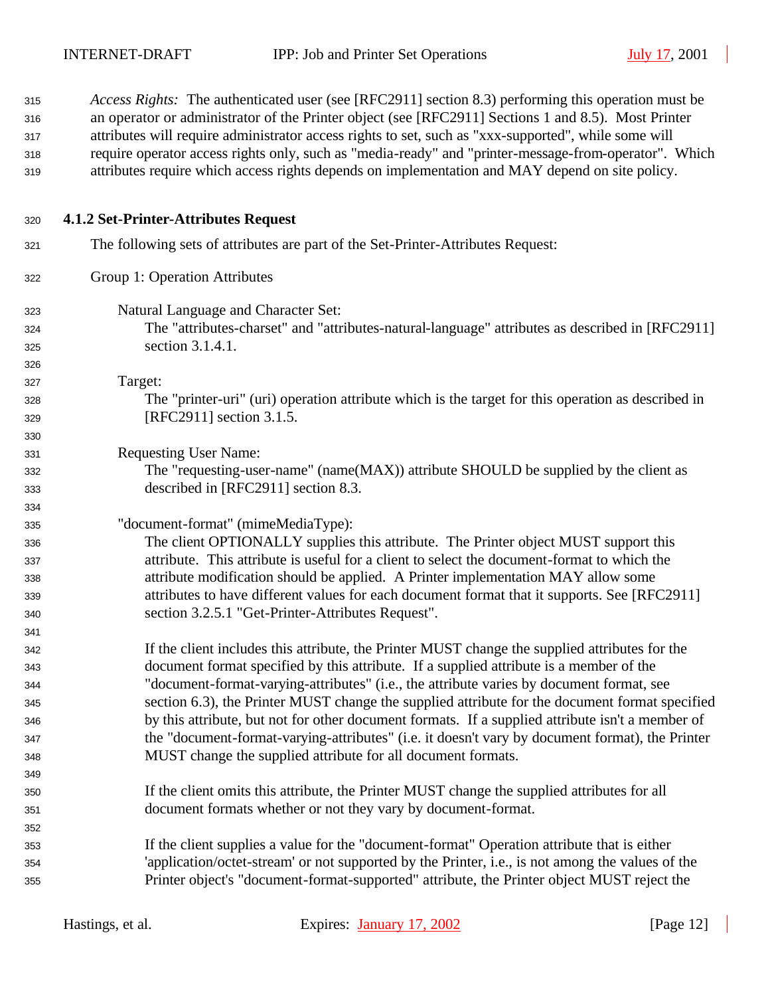| 315<br>316<br>317<br>318<br>319 | <i>Access Rights:</i> The authenticated user (see [RFC2911] section 8.3) performing this operation must be<br>an operator or administrator of the Printer object (see [RFC2911] Sections 1 and 8.5). Most Printer<br>attributes will require administrator access rights to set, such as "xxx-supported", while some will<br>require operator access rights only, such as "media-ready" and "printer-message-from-operator". Which<br>attributes require which access rights depends on implementation and MAY depend on site policy. |
|---------------------------------|---------------------------------------------------------------------------------------------------------------------------------------------------------------------------------------------------------------------------------------------------------------------------------------------------------------------------------------------------------------------------------------------------------------------------------------------------------------------------------------------------------------------------------------|
| 320                             | 4.1.2 Set-Printer-Attributes Request                                                                                                                                                                                                                                                                                                                                                                                                                                                                                                  |
| 321                             | The following sets of attributes are part of the Set-Printer-Attributes Request:                                                                                                                                                                                                                                                                                                                                                                                                                                                      |
| 322                             | Group 1: Operation Attributes                                                                                                                                                                                                                                                                                                                                                                                                                                                                                                         |
| 323                             | Natural Language and Character Set:                                                                                                                                                                                                                                                                                                                                                                                                                                                                                                   |
| 324                             | The "attributes-charset" and "attributes-natural-language" attributes as described in [RFC2911]                                                                                                                                                                                                                                                                                                                                                                                                                                       |
| 325                             | section 3.1.4.1.                                                                                                                                                                                                                                                                                                                                                                                                                                                                                                                      |
| 326                             |                                                                                                                                                                                                                                                                                                                                                                                                                                                                                                                                       |
| 327                             | Target:                                                                                                                                                                                                                                                                                                                                                                                                                                                                                                                               |
| 328                             | The "printer-uri" (uri) operation attribute which is the target for this operation as described in                                                                                                                                                                                                                                                                                                                                                                                                                                    |
| 329                             | [RFC2911] section 3.1.5.                                                                                                                                                                                                                                                                                                                                                                                                                                                                                                              |
| 330                             |                                                                                                                                                                                                                                                                                                                                                                                                                                                                                                                                       |
| 331                             | <b>Requesting User Name:</b>                                                                                                                                                                                                                                                                                                                                                                                                                                                                                                          |
| 332                             | The "requesting-user-name" (name(MAX)) attribute SHOULD be supplied by the client as                                                                                                                                                                                                                                                                                                                                                                                                                                                  |
| 333                             | described in [RFC2911] section 8.3.                                                                                                                                                                                                                                                                                                                                                                                                                                                                                                   |
| 334                             |                                                                                                                                                                                                                                                                                                                                                                                                                                                                                                                                       |
| 335                             | "document-format" (mimeMediaType):                                                                                                                                                                                                                                                                                                                                                                                                                                                                                                    |
| 336                             | The client OPTIONALLY supplies this attribute. The Printer object MUST support this                                                                                                                                                                                                                                                                                                                                                                                                                                                   |
| 337                             | attribute. This attribute is useful for a client to select the document-format to which the                                                                                                                                                                                                                                                                                                                                                                                                                                           |
| 338                             | attribute modification should be applied. A Printer implementation MAY allow some                                                                                                                                                                                                                                                                                                                                                                                                                                                     |
| 339                             | attributes to have different values for each document format that it supports. See [RFC2911]                                                                                                                                                                                                                                                                                                                                                                                                                                          |
| 340                             | section 3.2.5.1 "Get-Printer-Attributes Request".                                                                                                                                                                                                                                                                                                                                                                                                                                                                                     |
| 341                             |                                                                                                                                                                                                                                                                                                                                                                                                                                                                                                                                       |
| 342                             | If the client includes this attribute, the Printer MUST change the supplied attributes for the                                                                                                                                                                                                                                                                                                                                                                                                                                        |
| 343                             | document format specified by this attribute. If a supplied attribute is a member of the                                                                                                                                                                                                                                                                                                                                                                                                                                               |
| 344                             | "document-format-varying-attributes" (i.e., the attribute varies by document format, see                                                                                                                                                                                                                                                                                                                                                                                                                                              |
| 345                             | section 6.3), the Printer MUST change the supplied attribute for the document format specified                                                                                                                                                                                                                                                                                                                                                                                                                                        |
| 346                             | by this attribute, but not for other document formats. If a supplied attribute isn't a member of                                                                                                                                                                                                                                                                                                                                                                                                                                      |
| 347                             | the "document-format-varying-attributes" (i.e. it doesn't vary by document format), the Printer                                                                                                                                                                                                                                                                                                                                                                                                                                       |
| 348                             | MUST change the supplied attribute for all document formats.                                                                                                                                                                                                                                                                                                                                                                                                                                                                          |
| 349                             |                                                                                                                                                                                                                                                                                                                                                                                                                                                                                                                                       |
| 350                             | If the client omits this attribute, the Printer MUST change the supplied attributes for all                                                                                                                                                                                                                                                                                                                                                                                                                                           |
| 351                             | document formats whether or not they vary by document-format.                                                                                                                                                                                                                                                                                                                                                                                                                                                                         |
| 352                             |                                                                                                                                                                                                                                                                                                                                                                                                                                                                                                                                       |
| 353                             | If the client supplies a value for the "document-format" Operation attribute that is either                                                                                                                                                                                                                                                                                                                                                                                                                                           |
| 354                             | 'application/octet-stream' or not supported by the Printer, i.e., is not among the values of the                                                                                                                                                                                                                                                                                                                                                                                                                                      |
| 355                             | Printer object's "document-format-supported" attribute, the Printer object MUST reject the                                                                                                                                                                                                                                                                                                                                                                                                                                            |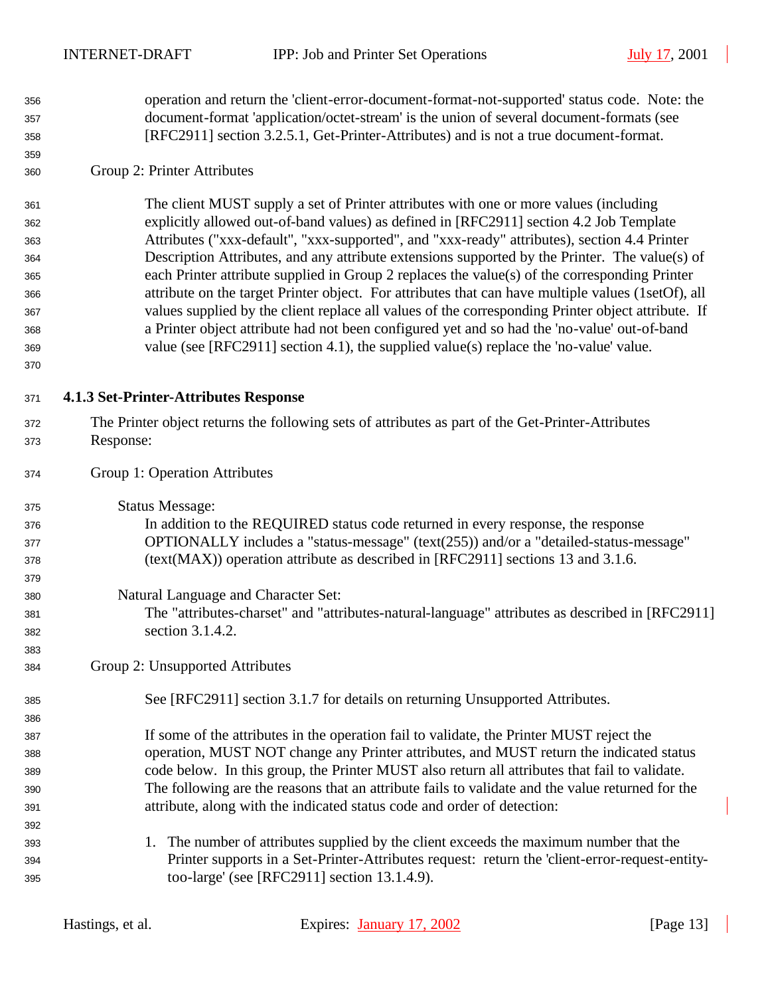operation and return the 'client-error-document-format-not-supported' status code. Note: the document-format 'application/octet-stream' is the union of several document-formats (see [RFC2911] section 3.2.5.1, Get-Printer-Attributes) and is not a true document-format.

#### Group 2: Printer Attributes

 The client MUST supply a set of Printer attributes with one or more values (including explicitly allowed out-of-band values) as defined in [RFC2911] section 4.2 Job Template Attributes ("xxx-default", "xxx-supported", and "xxx-ready" attributes), section 4.4 Printer Description Attributes, and any attribute extensions supported by the Printer. The value(s) of each Printer attribute supplied in Group 2 replaces the value(s) of the corresponding Printer attribute on the target Printer object. For attributes that can have multiple values (1setOf), all values supplied by the client replace all values of the corresponding Printer object attribute. If a Printer object attribute had not been configured yet and so had the 'no-value' out-of-band value (see [RFC2911] section 4.1), the supplied value(s) replace the 'no-value' value.

#### **4.1.3 Set-Printer-Attributes Response**

- The Printer object returns the following sets of attributes as part of the Get-Printer-Attributes Response:
- Group 1: Operation Attributes
- Status Message: In addition to the REQUIRED status code returned in every response, the response OPTIONALLY includes a "status-message" (text(255)) and/or a "detailed-status-message" (text(MAX)) operation attribute as described in [RFC2911] sections 13 and 3.1.6. Natural Language and Character Set: The "attributes-charset" and "attributes-natural-language" attributes as described in [RFC2911] section 3.1.4.2. Group 2: Unsupported Attributes See [RFC2911] section 3.1.7 for details on returning Unsupported Attributes.
- If some of the attributes in the operation fail to validate, the Printer MUST reject the operation, MUST NOT change any Printer attributes, and MUST return the indicated status code below. In this group, the Printer MUST also return all attributes that fail to validate. The following are the reasons that an attribute fails to validate and the value returned for the attribute, along with the indicated status code and order of detection:
- 1. The number of attributes supplied by the client exceeds the maximum number that the Printer supports in a Set-Printer-Attributes request: return the 'client-error-request-entity-too-large' (see [RFC2911] section 13.1.4.9).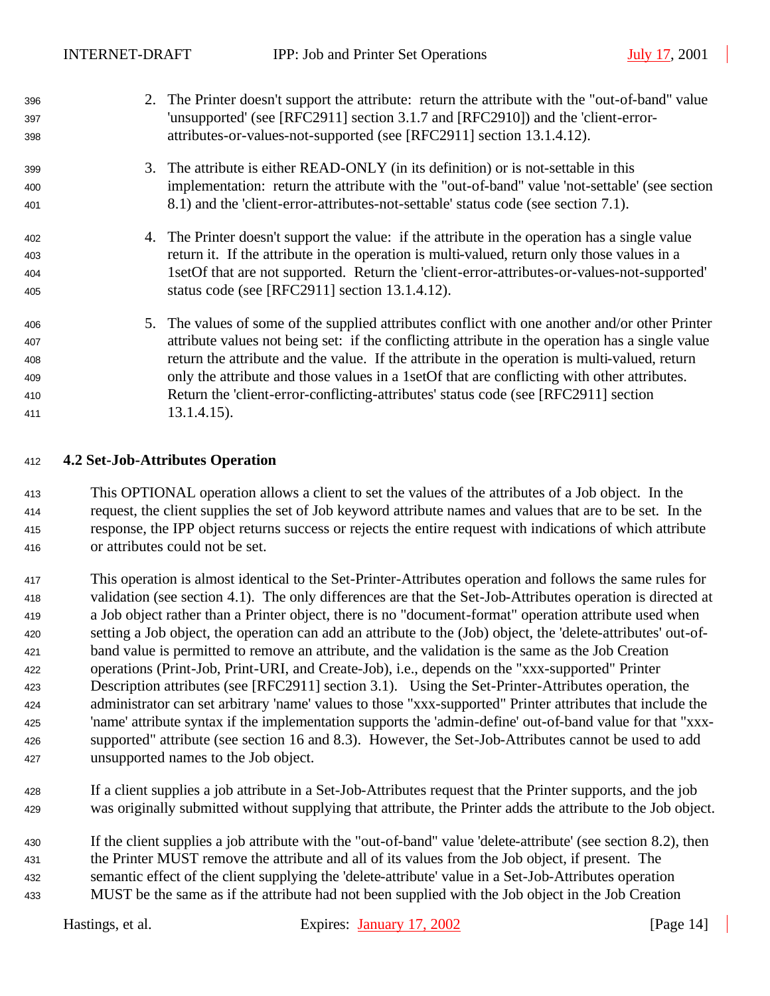| 396 | 2. The Printer doesn't support the attribute: return the attribute with the "out-of-band" value  |
|-----|--------------------------------------------------------------------------------------------------|
| 397 | 'unsupported' (see [RFC2911] section 3.1.7 and [RFC2910]) and the 'client-error-                 |
| 398 | attributes-or-values-not-supported (see [RFC2911] section 13.1.4.12).                            |
| 399 | 3. The attribute is either READ-ONLY (in its definition) or is not-settable in this              |
| 400 | implementation: return the attribute with the "out-of-band" value 'not-settable' (see section    |
| 401 | 8.1) and the 'client-error-attributes-not-settable' status code (see section 7.1).               |
| 402 | 4. The Printer doesn't support the value: if the attribute in the operation has a single value   |
| 403 | return it. If the attribute in the operation is multi-valued, return only those values in a      |
| 404 | 1set Of that are not supported. Return the 'client-error-attributes-or-values-not-supported'     |
| 405 | status code (see [RFC2911] section 13.1.4.12).                                                   |
| 406 | 5. The values of some of the supplied attributes conflict with one another and/or other Printer  |
| 407 | attribute values not being set: if the conflicting attribute in the operation has a single value |
| 408 | return the attribute and the value. If the attribute in the operation is multi-valued, return    |
| 409 | only the attribute and those values in a 1set Of that are conflicting with other attributes.     |
| 410 | Return the 'client-error-conflicting-attributes' status code (see [RFC2911] section              |
| 411 | $13.1.4.15$ ).                                                                                   |

#### **4.2 Set-Job-Attributes Operation**

 This OPTIONAL operation allows a client to set the values of the attributes of a Job object. In the request, the client supplies the set of Job keyword attribute names and values that are to be set. In the response, the IPP object returns success or rejects the entire request with indications of which attribute or attributes could not be set.

 This operation is almost identical to the Set-Printer-Attributes operation and follows the same rules for validation (see section 4.1). The only differences are that the Set-Job-Attributes operation is directed at a Job object rather than a Printer object, there is no "document-format" operation attribute used when setting a Job object, the operation can add an attribute to the (Job) object, the 'delete-attributes' out-of- band value is permitted to remove an attribute, and the validation is the same as the Job Creation operations (Print-Job, Print-URI, and Create-Job), i.e., depends on the "xxx-supported" Printer Description attributes (see [RFC2911] section 3.1). Using the Set-Printer-Attributes operation, the administrator can set arbitrary 'name' values to those "xxx-supported" Printer attributes that include the 'name' attribute syntax if the implementation supports the 'admin-define' out-of-band value for that "xxx- supported" attribute (see section 16 and 8.3). However, the Set-Job-Attributes cannot be used to add unsupported names to the Job object.

 If a client supplies a job attribute in a Set-Job-Attributes request that the Printer supports, and the job was originally submitted without supplying that attribute, the Printer adds the attribute to the Job object.

 If the client supplies a job attribute with the "out-of-band" value 'delete-attribute' (see section 8.2), then the Printer MUST remove the attribute and all of its values from the Job object, if present. The semantic effect of the client supplying the 'delete-attribute' value in a Set-Job-Attributes operation MUST be the same as if the attribute had not been supplied with the Job object in the Job Creation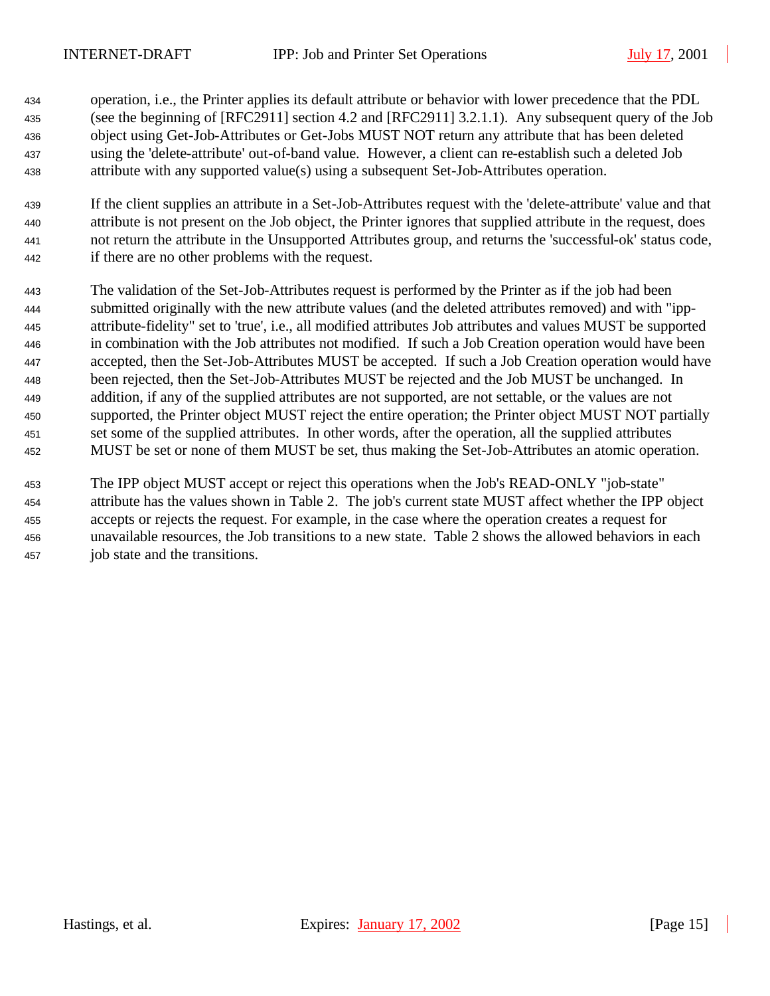- operation, i.e., the Printer applies its default attribute or behavior with lower precedence that the PDL (see the beginning of [RFC2911] section 4.2 and [RFC2911] 3.2.1.1). Any subsequent query of the Job object using Get-Job-Attributes or Get-Jobs MUST NOT return any attribute that has been deleted using the 'delete-attribute' out-of-band value. However, a client can re-establish such a deleted Job attribute with any supported value(s) using a subsequent Set-Job-Attributes operation.
- If the client supplies an attribute in a Set-Job-Attributes request with the 'delete-attribute' value and that attribute is not present on the Job object, the Printer ignores that supplied attribute in the request, does not return the attribute in the Unsupported Attributes group, and returns the 'successful-ok' status code, if there are no other problems with the request.
- The validation of the Set-Job-Attributes request is performed by the Printer as if the job had been submitted originally with the new attribute values (and the deleted attributes removed) and with "ipp- attribute-fidelity" set to 'true', i.e., all modified attributes Job attributes and values MUST be supported in combination with the Job attributes not modified. If such a Job Creation operation would have been accepted, then the Set-Job-Attributes MUST be accepted. If such a Job Creation operation would have been rejected, then the Set-Job-Attributes MUST be rejected and the Job MUST be unchanged. In addition, if any of the supplied attributes are not supported, are not settable, or the values are not supported, the Printer object MUST reject the entire operation; the Printer object MUST NOT partially set some of the supplied attributes. In other words, after the operation, all the supplied attributes MUST be set or none of them MUST be set, thus making the Set-Job-Attributes an atomic operation.
- The IPP object MUST accept or reject this operations when the Job's READ-ONLY "job-state" attribute has the values shown in Table 2. The job's current state MUST affect whether the IPP object accepts or rejects the request. For example, in the case where the operation creates a request for unavailable resources, the Job transitions to a new state. Table 2 shows the allowed behaviors in each job state and the transitions.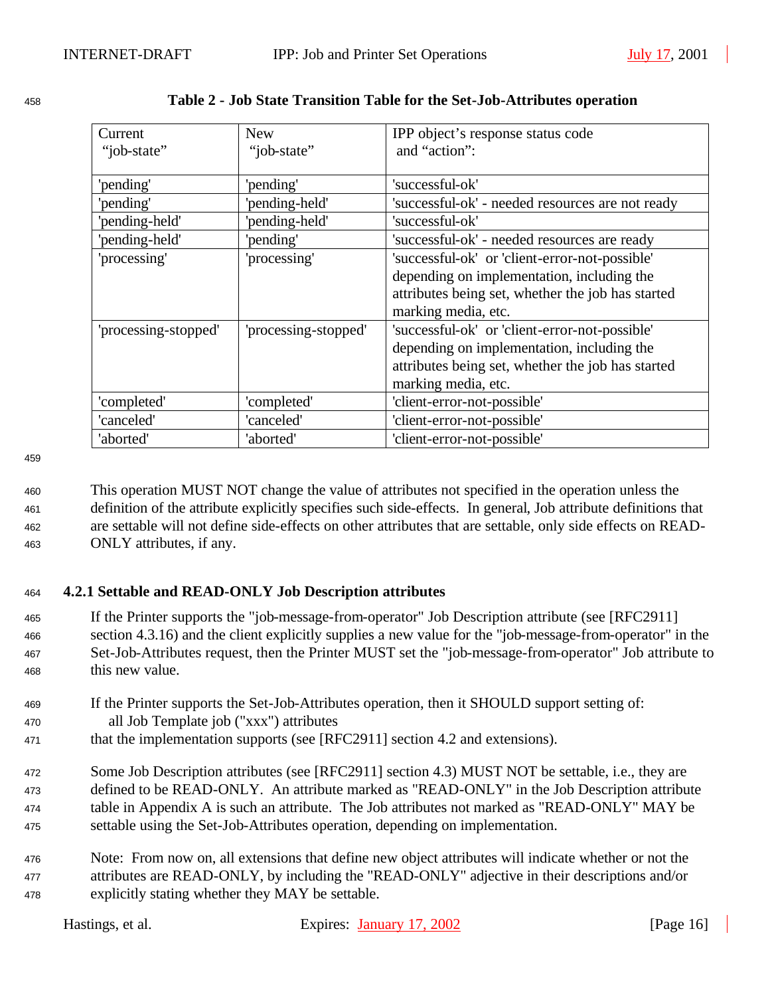| Current              | <b>New</b>           | IPP object's response status code<br>and "action": |
|----------------------|----------------------|----------------------------------------------------|
| "job-state"          | "job-state"          |                                                    |
| 'pending'            | 'pending'            | 'successful-ok'                                    |
| 'pending'            | 'pending-held'       | 'successful-ok' - needed resources are not ready   |
| 'pending-held'       | 'pending-held'       | 'successful-ok'                                    |
| 'pending-held'       | 'pending'            | 'successful-ok' - needed resources are ready       |
| 'processing'         | 'processing'         | 'successful-ok' or 'client-error-not-possible'     |
|                      |                      | depending on implementation, including the         |
|                      |                      | attributes being set, whether the job has started  |
|                      |                      | marking media, etc.                                |
| 'processing-stopped' | 'processing-stopped' | 'successful-ok' or 'client-error-not-possible'     |
|                      |                      | depending on implementation, including the         |
|                      |                      | attributes being set, whether the job has started  |
|                      |                      | marking media, etc.                                |
| 'completed'          | 'completed'          | 'client-error-not-possible'                        |
| 'canceled'           | 'canceled'           | 'client-error-not-possible'                        |
| 'aborted'            | 'aborted'            | 'client-error-not-possible'                        |

| 458 |  | Table 2 - Job State Transition Table for the Set-Job-Attributes operation |  |
|-----|--|---------------------------------------------------------------------------|--|
|     |  |                                                                           |  |

459

 This operation MUST NOT change the value of attributes not specified in the operation unless the definition of the attribute explicitly specifies such side-effects. In general, Job attribute definitions that are settable will not define side-effects on other attributes that are settable, only side effects on READ-ONLY attributes, if any.

#### <sup>464</sup> **4.2.1 Settable and READ-ONLY Job Description attributes**

- <sup>465</sup> If the Printer supports the "job-message-from-operator" Job Description attribute (see [RFC2911] <sup>466</sup> section 4.3.16) and the client explicitly supplies a new value for the "job-message-from-operator" in the <sup>467</sup> Set-Job-Attributes request, then the Printer MUST set the "job-message-from-operator" Job attribute to <sup>468</sup> this new value.
- <sup>469</sup> If the Printer supports the Set-Job-Attributes operation, then it SHOULD support setting of:
- <sup>470</sup> all Job Template job ("xxx") attributes
- 471 that the implementation supports (see [RFC2911] section 4.2 and extensions).
- <sup>472</sup> Some Job Description attributes (see [RFC2911] section 4.3) MUST NOT be settable, i.e., they are <sup>473</sup> defined to be READ-ONLY. An attribute marked as "READ-ONLY" in the Job Description attribute <sup>474</sup> table in Appendix A is such an attribute. The Job attributes not marked as "READ-ONLY" MAY be <sup>475</sup> settable using the Set-Job-Attributes operation, depending on implementation.
- <sup>476</sup> Note: From now on, all extensions that define new object attributes will indicate whether or not the <sup>477</sup> attributes are READ-ONLY, by including the "READ-ONLY" adjective in their descriptions and/or <sup>478</sup> explicitly stating whether they MAY be settable.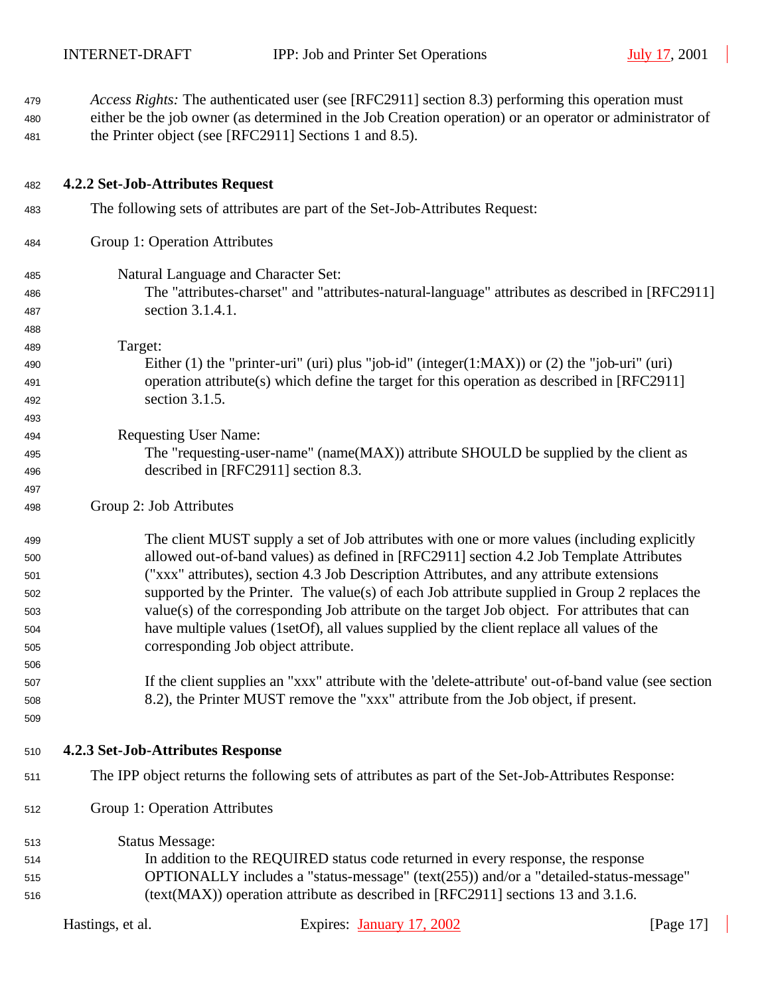| 479<br>480 |                                   | Access Rights: The authenticated user (see [RFC2911] section 8.3) performing this operation must<br>either be the job owner (as determined in the Job Creation operation) or an operator or administrator of |              |
|------------|-----------------------------------|--------------------------------------------------------------------------------------------------------------------------------------------------------------------------------------------------------------|--------------|
| 481        |                                   | the Printer object (see [RFC2911] Sections 1 and 8.5).                                                                                                                                                       |              |
| 482        | 4.2.2 Set-Job-Attributes Request  |                                                                                                                                                                                                              |              |
| 483        |                                   | The following sets of attributes are part of the Set-Job-Attributes Request:                                                                                                                                 |              |
| 484        | Group 1: Operation Attributes     |                                                                                                                                                                                                              |              |
| 485        |                                   | Natural Language and Character Set:                                                                                                                                                                          |              |
| 486        |                                   | The "attributes-charset" and "attributes-natural-language" attributes as described in [RFC2911]                                                                                                              |              |
| 487        | section 3.1.4.1.                  |                                                                                                                                                                                                              |              |
| 488        |                                   |                                                                                                                                                                                                              |              |
| 489        | Target:                           |                                                                                                                                                                                                              |              |
| 490        |                                   | Either (1) the "printer-uri" (uri) plus "job-id" (integer(1:MAX)) or (2) the "job-uri" (uri)                                                                                                                 |              |
| 491        |                                   | operation attribute(s) which define the target for this operation as described in [RFC2911]                                                                                                                  |              |
| 492        | section 3.1.5.                    |                                                                                                                                                                                                              |              |
| 493        |                                   |                                                                                                                                                                                                              |              |
| 494        | <b>Requesting User Name:</b>      |                                                                                                                                                                                                              |              |
| 495        |                                   | The "requesting-user-name" (name(MAX)) attribute SHOULD be supplied by the client as                                                                                                                         |              |
| 496        |                                   | described in [RFC2911] section 8.3.                                                                                                                                                                          |              |
| 497        |                                   |                                                                                                                                                                                                              |              |
| 498        | Group 2: Job Attributes           |                                                                                                                                                                                                              |              |
| 499        |                                   | The client MUST supply a set of Job attributes with one or more values (including explicitly                                                                                                                 |              |
| 500        |                                   | allowed out-of-band values) as defined in [RFC2911] section 4.2 Job Template Attributes                                                                                                                      |              |
| 501        |                                   | ("xxx" attributes), section 4.3 Job Description Attributes, and any attribute extensions                                                                                                                     |              |
| 502        |                                   | supported by the Printer. The value(s) of each Job attribute supplied in Group 2 replaces the                                                                                                                |              |
| 503        |                                   | value(s) of the corresponding Job attribute on the target Job object. For attributes that can                                                                                                                |              |
| 504        |                                   | have multiple values (1setOf), all values supplied by the client replace all values of the                                                                                                                   |              |
| 505        |                                   | corresponding Job object attribute.                                                                                                                                                                          |              |
| 506        |                                   |                                                                                                                                                                                                              |              |
| 507        |                                   | If the client supplies an "xxx" attribute with the 'delete-attribute' out-of-band value (see section                                                                                                         |              |
| 508        |                                   | 8.2), the Printer MUST remove the "xxx" attribute from the Job object, if present.                                                                                                                           |              |
| 509        |                                   |                                                                                                                                                                                                              |              |
| 510        | 4.2.3 Set-Job-Attributes Response |                                                                                                                                                                                                              |              |
| 511        |                                   | The IPP object returns the following sets of attributes as part of the Set-Job-Attributes Response:                                                                                                          |              |
| 512        | Group 1: Operation Attributes     |                                                                                                                                                                                                              |              |
| 513        | <b>Status Message:</b>            |                                                                                                                                                                                                              |              |
| 514        |                                   | In addition to the REQUIRED status code returned in every response, the response                                                                                                                             |              |
| 515        |                                   | OPTIONALLY includes a "status-message" (text(255)) and/or a "detailed-status-message"                                                                                                                        |              |
| 516        |                                   | (text(MAX)) operation attribute as described in [RFC2911] sections 13 and 3.1.6.                                                                                                                             |              |
|            | Hastings, et al.                  | Expires: January 17, 2002                                                                                                                                                                                    | [Page $17$ ] |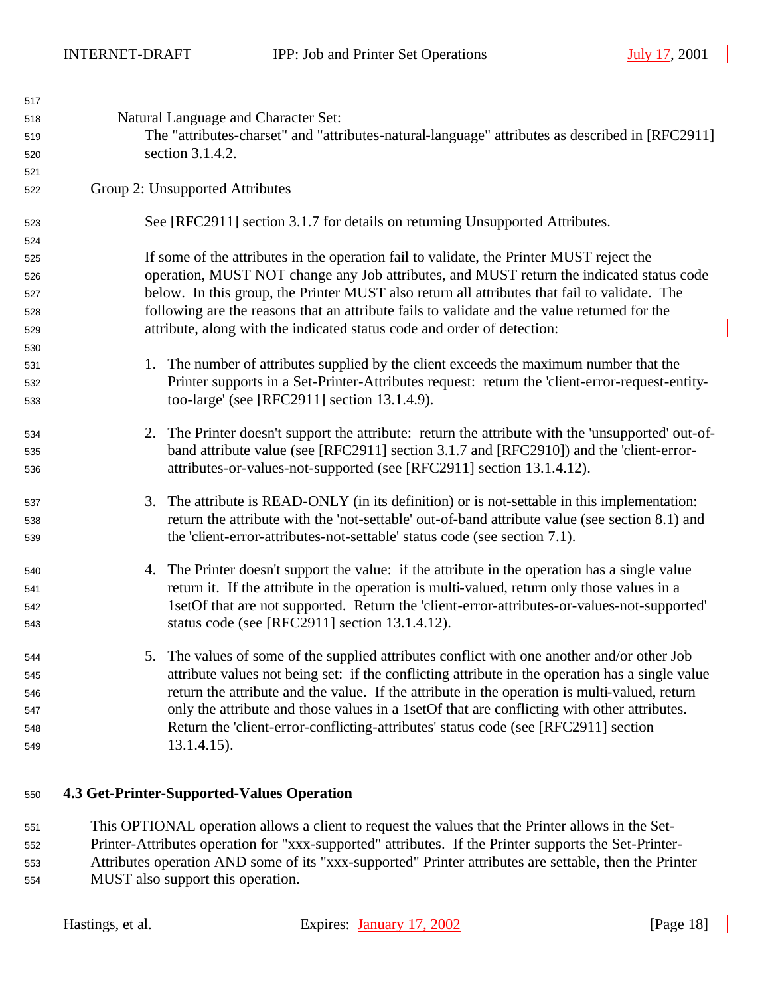| 517 |                                                                                                   |
|-----|---------------------------------------------------------------------------------------------------|
| 518 | Natural Language and Character Set:                                                               |
| 519 | The "attributes-charset" and "attributes-natural-language" attributes as described in [RFC2911]   |
| 520 | section 3.1.4.2.                                                                                  |
| 521 |                                                                                                   |
| 522 | Group 2: Unsupported Attributes                                                                   |
| 523 | See [RFC2911] section 3.1.7 for details on returning Unsupported Attributes.                      |
| 524 |                                                                                                   |
| 525 | If some of the attributes in the operation fail to validate, the Printer MUST reject the          |
| 526 | operation, MUST NOT change any Job attributes, and MUST return the indicated status code          |
| 527 | below. In this group, the Printer MUST also return all attributes that fail to validate. The      |
| 528 | following are the reasons that an attribute fails to validate and the value returned for the      |
| 529 | attribute, along with the indicated status code and order of detection:                           |
| 530 |                                                                                                   |
| 531 | 1. The number of attributes supplied by the client exceeds the maximum number that the            |
| 532 | Printer supports in a Set-Printer-Attributes request: return the 'client-error-request-entity-    |
| 533 | too-large' (see [RFC2911] section 13.1.4.9).                                                      |
| 534 | 2. The Printer doesn't support the attribute: return the attribute with the 'unsupported' out-of- |
| 535 | band attribute value (see [RFC2911] section 3.1.7 and [RFC2910]) and the 'client-error-           |
| 536 | attributes-or-values-not-supported (see [RFC2911] section 13.1.4.12).                             |
| 537 | 3. The attribute is READ-ONLY (in its definition) or is not-settable in this implementation:      |
| 538 | return the attribute with the 'not-settable' out-of-band attribute value (see section 8.1) and    |
| 539 | the 'client-error-attributes-not-settable' status code (see section 7.1).                         |
| 540 | 4. The Printer doesn't support the value: if the attribute in the operation has a single value    |
| 541 | return it. If the attribute in the operation is multi-valued, return only those values in a       |
| 542 | 1setOf that are not supported. Return the 'client-error-attributes-or-values-not-supported'       |
| 543 | status code (see [RFC2911] section 13.1.4.12).                                                    |
| 544 | The values of some of the supplied attributes conflict with one another and/or other Job          |
| 545 | attribute values not being set: if the conflicting attribute in the operation has a single value  |
| 546 | return the attribute and the value. If the attribute in the operation is multi-valued, return     |
| 547 | only the attribute and those values in a 1setOf that are conflicting with other attributes.       |
| 548 | Return the 'client-error-conflicting-attributes' status code (see [RFC2911] section               |
| 549 | $13.1.4.15$ ).                                                                                    |
|     |                                                                                                   |

#### **4.3 Get-Printer-Supported-Values Operation**

 This OPTIONAL operation allows a client to request the values that the Printer allows in the Set- Printer-Attributes operation for "xxx-supported" attributes. If the Printer supports the Set-Printer-Attributes operation AND some of its "xxx-supported" Printer attributes are settable, then the Printer

MUST also support this operation.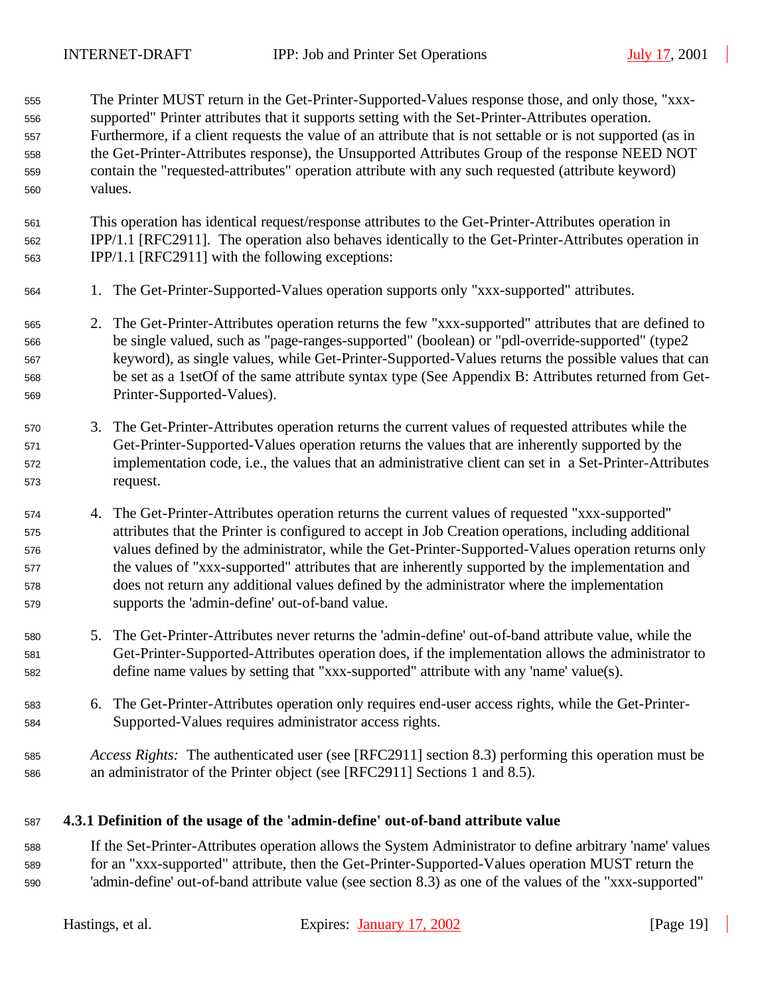The Printer MUST return in the Get-Printer-Supported-Values response those, and only those, "xxx- supported" Printer attributes that it supports setting with the Set-Printer-Attributes operation. Furthermore, if a client requests the value of an attribute that is not settable or is not supported (as in the Get-Printer-Attributes response), the Unsupported Attributes Group of the response NEED NOT contain the "requested-attributes" operation attribute with any such requested (attribute keyword) values.

 This operation has identical request/response attributes to the Get-Printer-Attributes operation in IPP/1.1 [RFC2911]. The operation also behaves identically to the Get-Printer-Attributes operation in IPP/1.1 [RFC2911] with the following exceptions:

- 1. The Get-Printer-Supported-Values operation supports only "xxx-supported" attributes.
- 2. The Get-Printer-Attributes operation returns the few "xxx-supported" attributes that are defined to be single valued, such as "page-ranges-supported" (boolean) or "pdl-override-supported" (type2 keyword), as single values, while Get-Printer-Supported-Values returns the possible values that can be set as a 1setOf of the same attribute syntax type (See Appendix B: Attributes returned from Get-Printer-Supported-Values).
- 3. The Get-Printer-Attributes operation returns the current values of requested attributes while the Get-Printer-Supported-Values operation returns the values that are inherently supported by the implementation code, i.e., the values that an administrative client can set in a Set-Printer-Attributes request.
- 4. The Get-Printer-Attributes operation returns the current values of requested "xxx-supported" attributes that the Printer is configured to accept in Job Creation operations, including additional values defined by the administrator, while the Get-Printer-Supported-Values operation returns only the values of "xxx-supported" attributes that are inherently supported by the implementation and does not return any additional values defined by the administrator where the implementation supports the 'admin-define' out-of-band value.
- 5. The Get-Printer-Attributes never returns the 'admin-define' out-of-band attribute value, while the Get-Printer-Supported-Attributes operation does, if the implementation allows the administrator to define name values by setting that "xxx-supported" attribute with any 'name' value(s).
- 6. The Get-Printer-Attributes operation only requires end-user access rights, while the Get-Printer-Supported-Values requires administrator access rights.
- *Access Rights:*The authenticated user (see [RFC2911] section 8.3) performing this operation must be an administrator of the Printer object (see [RFC2911] Sections 1 and 8.5).
- **4.3.1 Definition of the usage of the 'admin-define' out-of-band attribute value**
- If the Set-Printer-Attributes operation allows the System Administrator to define arbitrary 'name' values for an "xxx-supported" attribute, then the Get-Printer-Supported-Values operation MUST return the 'admin-define' out-of-band attribute value (see section 8.3) as one of the values of the "xxx-supported"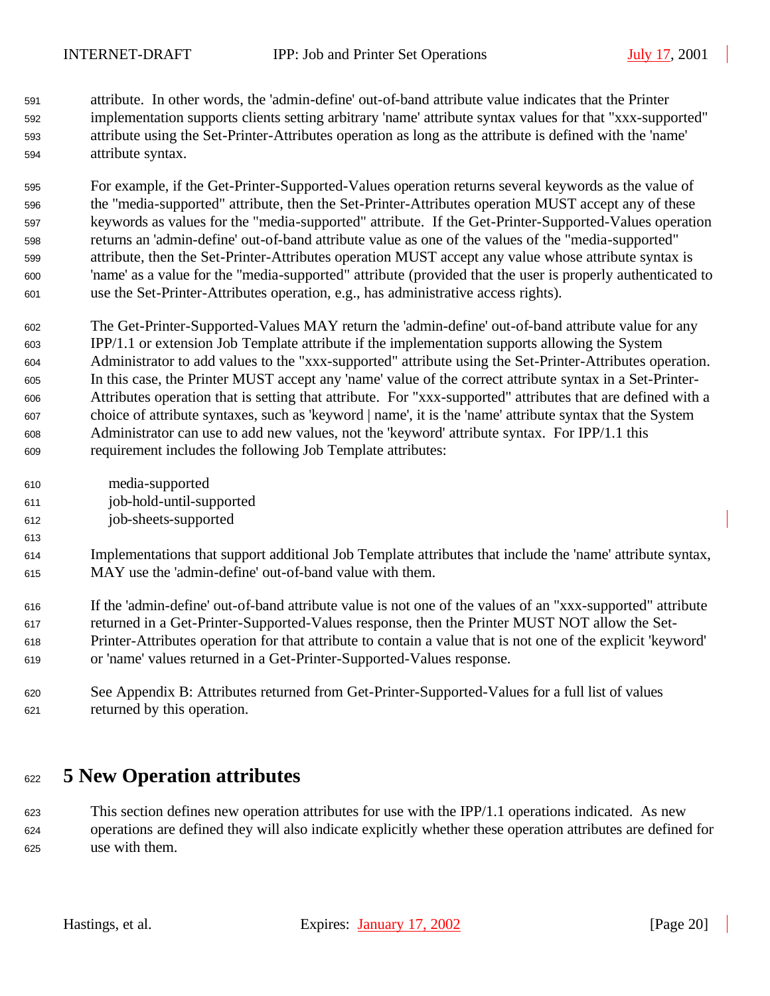attribute. In other words, the 'admin-define' out-of-band attribute value indicates that the Printer implementation supports clients setting arbitrary 'name' attribute syntax values for that "xxx-supported" attribute using the Set-Printer-Attributes operation as long as the attribute is defined with the 'name' attribute syntax.

 For example, if the Get-Printer-Supported-Values operation returns several keywords as the value of the "media-supported" attribute, then the Set-Printer-Attributes operation MUST accept any of these keywords as values for the "media-supported" attribute. If the Get-Printer-Supported-Values operation returns an 'admin-define' out-of-band attribute value as one of the values of the "media-supported" attribute, then the Set-Printer-Attributes operation MUST accept any value whose attribute syntax is 'name' as a value for the "media-supported" attribute (provided that the user is properly authenticated to use the Set-Printer-Attributes operation, e.g., has administrative access rights).

 The Get-Printer-Supported-Values MAY return the 'admin-define' out-of-band attribute value for any IPP/1.1 or extension Job Template attribute if the implementation supports allowing the System Administrator to add values to the "xxx-supported" attribute using the Set-Printer-Attributes operation. In this case, the Printer MUST accept any 'name' value of the correct attribute syntax in a Set-Printer- Attributes operation that is setting that attribute. For "xxx-supported" attributes that are defined with a choice of attribute syntaxes, such as 'keyword | name', it is the 'name' attribute syntax that the System Administrator can use to add new values, not the 'keyword' attribute syntax. For IPP/1.1 this requirement includes the following Job Template attributes:

 media-supported job-hold-until-supported job-sheets-supported

 Implementations that support additional Job Template attributes that include the 'name' attribute syntax, MAY use the 'admin-define' out-of-band value with them.

 If the 'admin-define' out-of-band attribute value is not one of the values of an "xxx-supported" attribute returned in a Get-Printer-Supported-Values response, then the Printer MUST NOT allow the Set- Printer-Attributes operation for that attribute to contain a value that is not one of the explicit 'keyword' or 'name' values returned in a Get-Printer-Supported-Values response.

 See Appendix B: Attributes returned from Get-Printer-Supported-Values for a full list of values returned by this operation.

# **5 New Operation attributes**

 This section defines new operation attributes for use with the IPP/1.1 operations indicated. As new operations are defined they will also indicate explicitly whether these operation attributes are defined for use with them.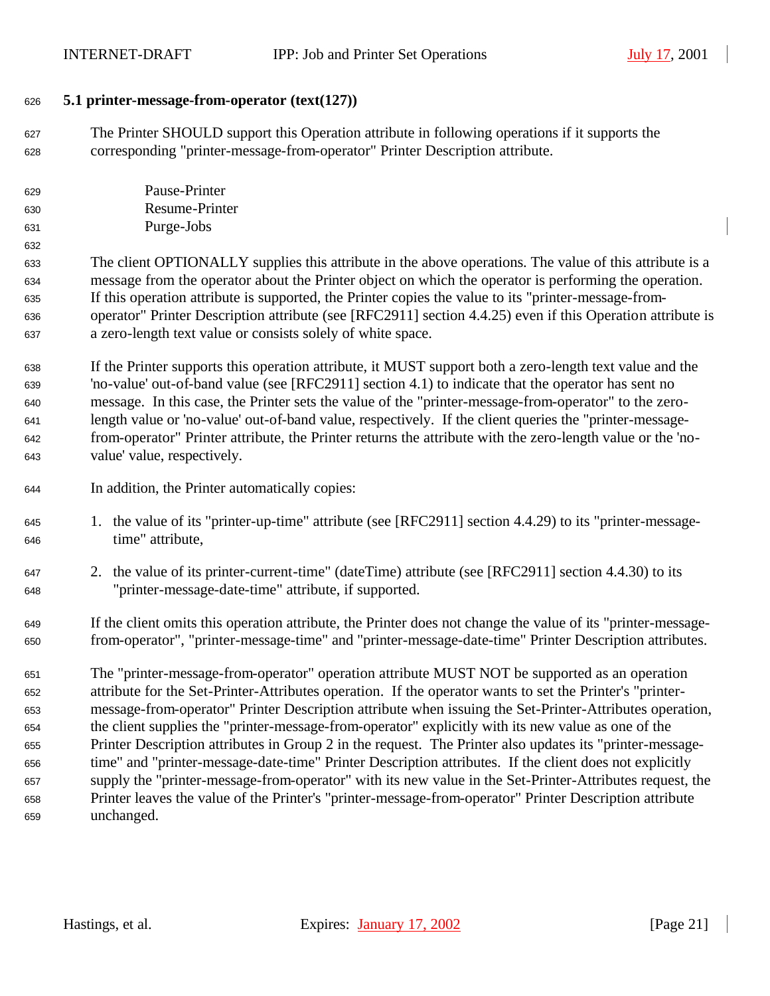#### **5.1 printer-message-from-operator (text(127))**

 The Printer SHOULD support this Operation attribute in following operations if it supports the corresponding "printer-message-from-operator" Printer Description attribute.

| 629 | Pause-Printer  |
|-----|----------------|
| 630 | Resume-Printer |
| 631 | Purge-Jobs     |

 The client OPTIONALLY supplies this attribute in the above operations. The value of this attribute is a message from the operator about the Printer object on which the operator is performing the operation. If this operation attribute is supported, the Printer copies the value to its "printer-message-from- operator" Printer Description attribute (see [RFC2911] section 4.4.25) even if this Operation attribute is a zero-length text value or consists solely of white space.

 If the Printer supports this operation attribute, it MUST support both a zero-length text value and the 'no-value' out-of-band value (see [RFC2911] section 4.1) to indicate that the operator has sent no message. In this case, the Printer sets the value of the "printer-message-from-operator" to the zero- length value or 'no-value' out-of-band value, respectively. If the client queries the "printer-message- from-operator" Printer attribute, the Printer returns the attribute with the zero-length value or the 'no-value' value, respectively.

- In addition, the Printer automatically copies:
- 1. the value of its "printer-up-time" attribute (see [RFC2911] section 4.4.29) to its "printer-message-time" attribute,
- 2. the value of its printer-current-time" (dateTime) attribute (see [RFC2911] section 4.4.30) to its "printer-message-date-time" attribute, if supported.
- If the client omits this operation attribute, the Printer does not change the value of its "printer-message-from-operator", "printer-message-time" and "printer-message-date-time" Printer Description attributes.

 The "printer-message-from-operator" operation attribute MUST NOT be supported as an operation attribute for the Set-Printer-Attributes operation. If the operator wants to set the Printer's "printer- message-from-operator" Printer Description attribute when issuing the Set-Printer-Attributes operation, the client supplies the "printer-message-from-operator" explicitly with its new value as one of the Printer Description attributes in Group 2 in the request. The Printer also updates its "printer-message- time" and "printer-message-date-time" Printer Description attributes. If the client does not explicitly supply the "printer-message-from-operator" with its new value in the Set-Printer-Attributes request, the Printer leaves the value of the Printer's "printer-message-from-operator" Printer Description attribute unchanged.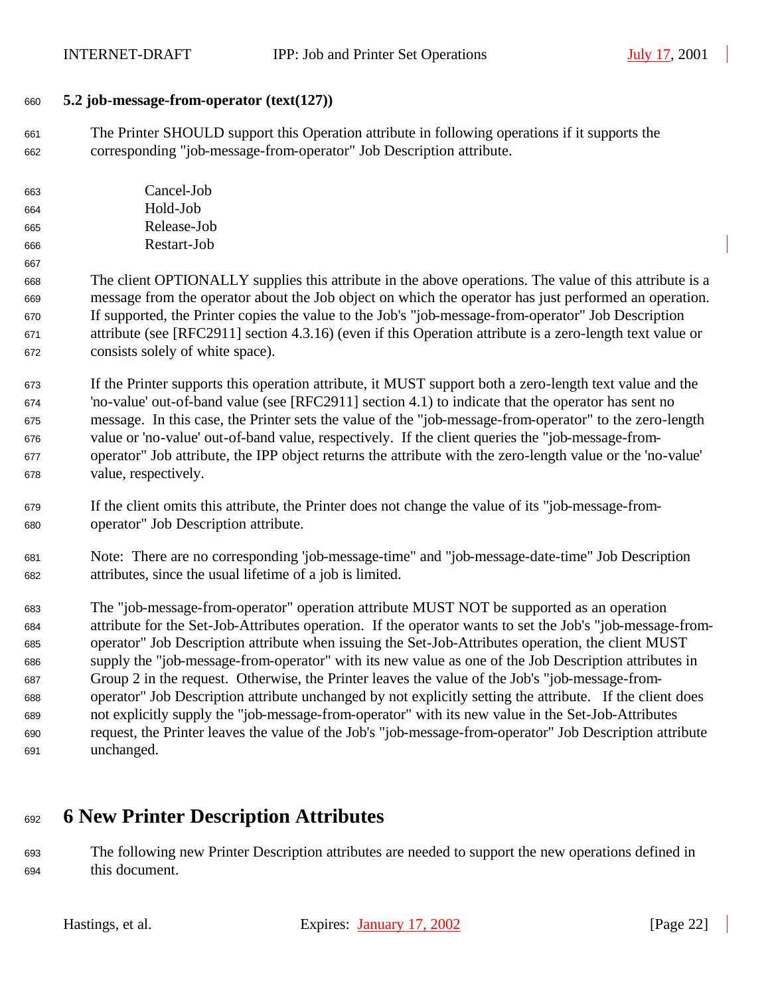#### **5.2 job-message-from-operator (text(127))**

 The Printer SHOULD support this Operation attribute in following operations if it supports the corresponding "job-message-from-operator" Job Description attribute.

| 663 | Cancel-Job  |
|-----|-------------|
| 664 | Hold-Job    |
| 665 | Release-Job |
| 666 | Restart-Job |

 The client OPTIONALLY supplies this attribute in the above operations. The value of this attribute is a message from the operator about the Job object on which the operator has just performed an operation. If supported, the Printer copies the value to the Job's "job-message-from-operator" Job Description attribute (see [RFC2911] section 4.3.16) (even if this Operation attribute is a zero-length text value or consists solely of white space).

 If the Printer supports this operation attribute, it MUST support both a zero-length text value and the 'no-value' out-of-band value (see [RFC2911] section 4.1) to indicate that the operator has sent no message. In this case, the Printer sets the value of the "job-message-from-operator" to the zero-length value or 'no-value' out-of-band value, respectively. If the client queries the "job-message-from- operator" Job attribute, the IPP object returns the attribute with the zero-length value or the 'no-value' value, respectively.

 If the client omits this attribute, the Printer does not change the value of its "job-message-from-operator" Job Description attribute.

 Note: There are no corresponding 'job-message-time" and "job-message-date-time" Job Description attributes, since the usual lifetime of a job is limited.

 The "job-message-from-operator" operation attribute MUST NOT be supported as an operation attribute for the Set-Job-Attributes operation. If the operator wants to set the Job's "job-message-from- operator" Job Description attribute when issuing the Set-Job-Attributes operation, the client MUST supply the "job-message-from-operator" with its new value as one of the Job Description attributes in Group 2 in the request. Otherwise, the Printer leaves the value of the Job's "job-message-from- operator" Job Description attribute unchanged by not explicitly setting the attribute. If the client does not explicitly supply the "job-message-from-operator" with its new value in the Set-Job-Attributes request, the Printer leaves the value of the Job's "job-message-from-operator" Job Description attribute unchanged.

# **6 New Printer Description Attributes**

 The following new Printer Description attributes are needed to support the new operations defined in this document.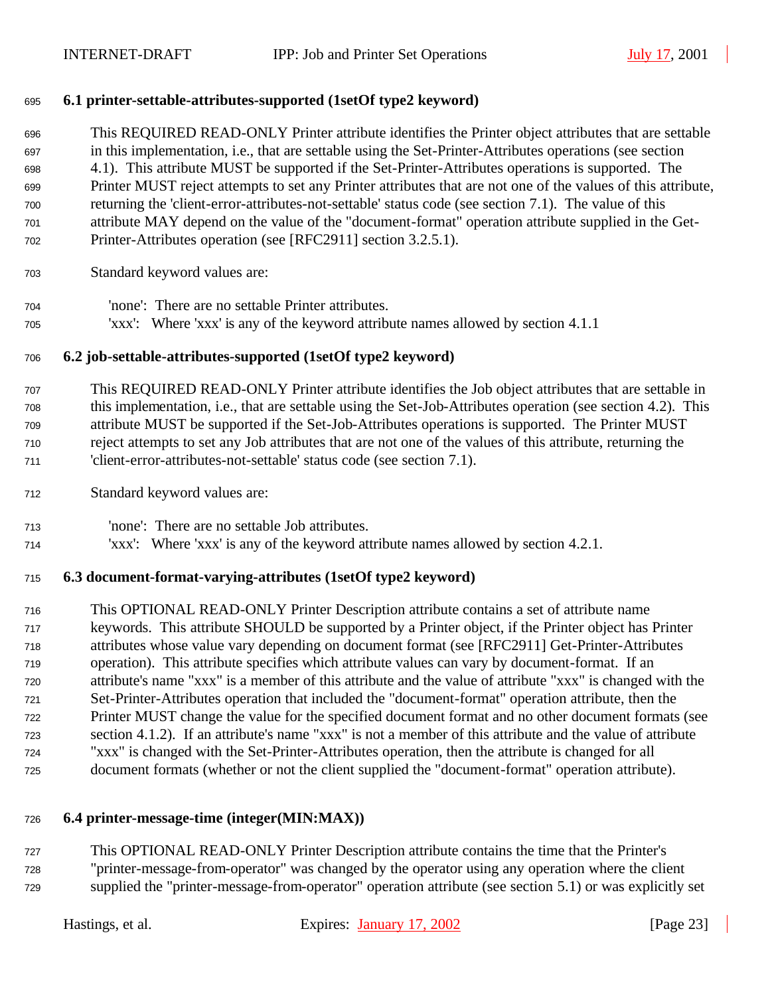#### **6.1 printer-settable-attributes-supported (1setOf type2 keyword)**

 This REQUIRED READ-ONLY Printer attribute identifies the Printer object attributes that are settable in this implementation, i.e., that are settable using the Set-Printer-Attributes operations (see section 4.1). This attribute MUST be supported if the Set-Printer-Attributes operations is supported. The Printer MUST reject attempts to set any Printer attributes that are not one of the values of this attribute, returning the 'client-error-attributes-not-settable' status code (see section 7.1). The value of this attribute MAY depend on the value of the "document-format" operation attribute supplied in the Get-Printer-Attributes operation (see [RFC2911] section 3.2.5.1).

- Standard keyword values are:
- 'none': There are no settable Printer attributes.
- 'xxx': Where 'xxx' is any of the keyword attribute names allowed by section 4.1.1

#### **6.2 job-settable-attributes-supported (1setOf type2 keyword)**

 This REQUIRED READ-ONLY Printer attribute identifies the Job object attributes that are settable in this implementation, i.e., that are settable using the Set-Job-Attributes operation (see section 4.2). This attribute MUST be supported if the Set-Job-Attributes operations is supported. The Printer MUST reject attempts to set any Job attributes that are not one of the values of this attribute, returning the 'client-error-attributes-not-settable' status code (see section 7.1).

- Standard keyword values are:
- 'none': There are no settable Job attributes.
- 'xxx': Where 'xxx' is any of the keyword attribute names allowed by section 4.2.1.

#### **6.3 document-format-varying-attributes (1setOf type2 keyword)**

 This OPTIONAL READ-ONLY Printer Description attribute contains a set of attribute name keywords. This attribute SHOULD be supported by a Printer object, if the Printer object has Printer attributes whose value vary depending on document format (see [RFC2911] Get-Printer-Attributes operation). This attribute specifies which attribute values can vary by document-format. If an attribute's name "xxx" is a member of this attribute and the value of attribute "xxx" is changed with the Set-Printer-Attributes operation that included the "document-format" operation attribute, then the Printer MUST change the value for the specified document format and no other document formats (see section 4.1.2). If an attribute's name "xxx" is not a member of this attribute and the value of attribute "xxx" is changed with the Set-Printer-Attributes operation, then the attribute is changed for all document formats (whether or not the client supplied the "document-format" operation attribute).

#### **6.4 printer-message-time (integer(MIN:MAX))**

 This OPTIONAL READ-ONLY Printer Description attribute contains the time that the Printer's "printer-message-from-operator" was changed by the operator using any operation where the client supplied the "printer-message-from-operator" operation attribute (see section 5.1) or was explicitly set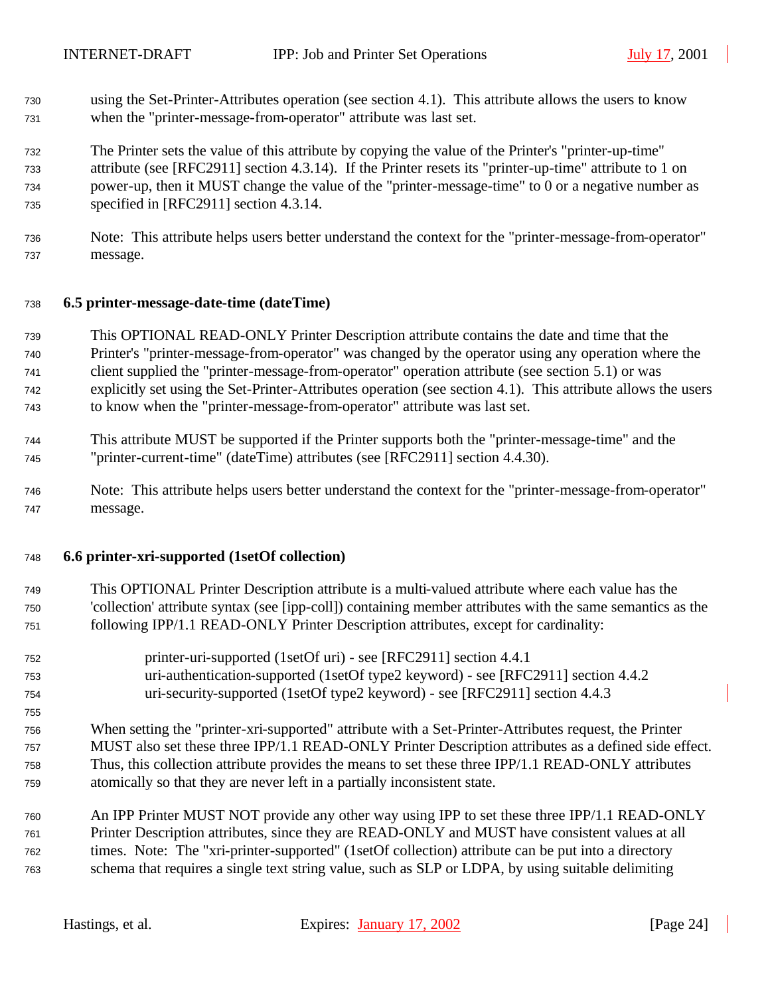- using the Set-Printer-Attributes operation (see section 4.1). This attribute allows the users to know when the "printer-message-from-operator" attribute was last set.
- The Printer sets the value of this attribute by copying the value of the Printer's "printer-up-time" attribute (see [RFC2911] section 4.3.14). If the Printer resets its "printer-up-time" attribute to 1 on power-up, then it MUST change the value of the "printer-message-time" to 0 or a negative number as specified in [RFC2911] section 4.3.14.
- Note: This attribute helps users better understand the context for the "printer-message-from-operator" message.

#### **6.5 printer-message-date-time (dateTime)**

- This OPTIONAL READ-ONLY Printer Description attribute contains the date and time that the Printer's "printer-message-from-operator" was changed by the operator using any operation where the client supplied the "printer-message-from-operator" operation attribute (see section 5.1) or was explicitly set using the Set-Printer-Attributes operation (see section 4.1). This attribute allows the users to know when the "printer-message-from-operator" attribute was last set.
- This attribute MUST be supported if the Printer supports both the "printer-message-time" and the
- "printer-current-time" (dateTime) attributes (see [RFC2911] section 4.4.30).
- Note: This attribute helps users better understand the context for the "printer-message-from-operator" message.

#### **6.6 printer-xri-supported (1setOf collection)**

- This OPTIONAL Printer Description attribute is a multi-valued attribute where each value has the 'collection' attribute syntax (see [ipp-coll]) containing member attributes with the same semantics as the following IPP/1.1 READ-ONLY Printer Description attributes, except for cardinality:
- printer-uri-supported (1setOf uri) see [RFC2911] section 4.4.1 uri-authentication-supported (1setOf type2 keyword) - see [RFC2911] section 4.4.2 uri-security-supported (1setOf type2 keyword) - see [RFC2911] section 4.4.3
- When setting the "printer-xri-supported" attribute with a Set-Printer-Attributes request, the Printer MUST also set these three IPP/1.1 READ-ONLY Printer Description attributes as a defined side effect. Thus, this collection attribute provides the means to set these three IPP/1.1 READ-ONLY attributes atomically so that they are never left in a partially inconsistent state.
- An IPP Printer MUST NOT provide any other way using IPP to set these three IPP/1.1 READ-ONLY Printer Description attributes, since they are READ-ONLY and MUST have consistent values at all times. Note: The "xri-printer-supported" (1setOf collection) attribute can be put into a directory schema that requires a single text string value, such as SLP or LDPA, by using suitable delimiting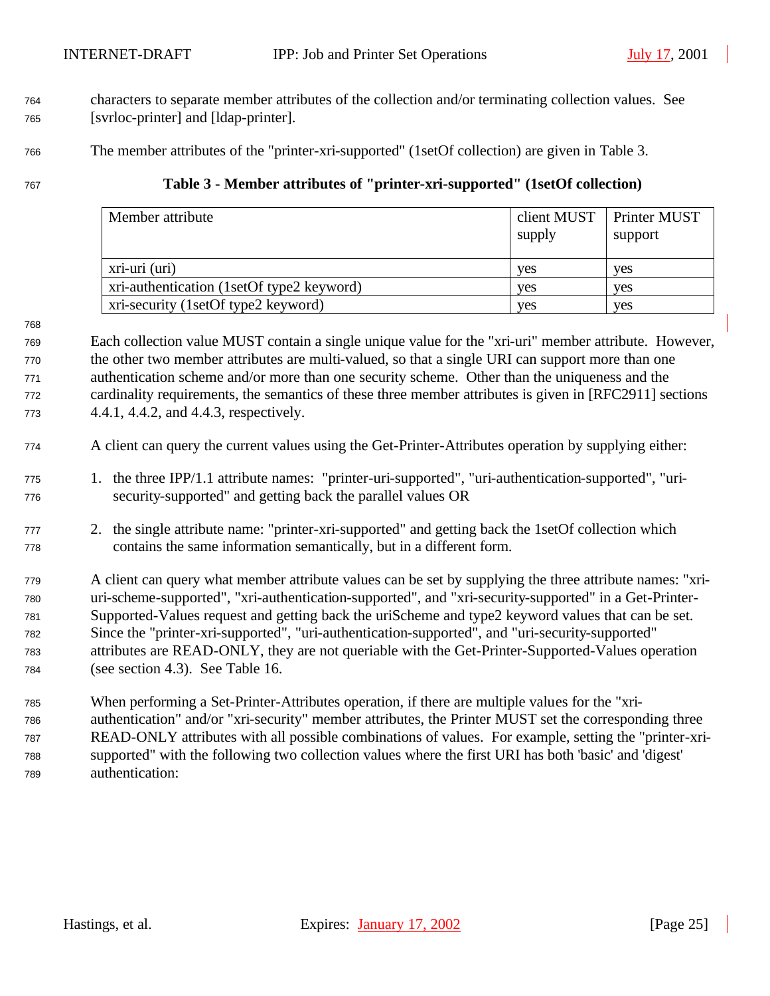- characters to separate member attributes of the collection and/or terminating collection values. See [svrloc-printer] and [ldap-printer].
- The member attributes of the "printer-xri-supported" (1setOf collection) are given in Table 3.
- **Table 3 Member attributes of "printer-xri-supported" (1setOf collection)**

| Member attribute                          | client MUST<br>supply | Printer MUST<br>support |
|-------------------------------------------|-----------------------|-------------------------|
| xri-uri (uri)                             | ves                   | ves                     |
| xri-authentication (1setOf type2 keyword) | ves                   | ves                     |
| xri-security (1setOf type2 keyword)       | yes                   | ves                     |

 Each collection value MUST contain a single unique value for the "xri-uri" member attribute. However, the other two member attributes are multi-valued, so that a single URI can support more than one authentication scheme and/or more than one security scheme. Other than the uniqueness and the cardinality requirements, the semantics of these three member attributes is given in [RFC2911] sections 4.4.1, 4.4.2, and 4.4.3, respectively.

- A client can query the current values using the Get-Printer-Attributes operation by supplying either:
- 1. the three IPP/1.1 attribute names: "printer-uri-supported", "uri-authentication-supported", "uri-security-supported" and getting back the parallel values OR
- 2. the single attribute name: "printer-xri-supported" and getting back the 1setOf collection which contains the same information semantically, but in a different form.
- A client can query what member attribute values can be set by supplying the three attribute names: "xri- uri-scheme-supported", "xri-authentication-supported", and "xri-security-supported" in a Get-Printer- Supported-Values request and getting back the uriScheme and type2 keyword values that can be set. Since the "printer-xri-supported", "uri-authentication-supported", and "uri-security-supported" attributes are READ-ONLY, they are not queriable with the Get-Printer-Supported-Values operation (see section 4.3). See Table 16.
- When performing a Set-Printer-Attributes operation, if there are multiple values for the "xri- authentication" and/or "xri-security" member attributes, the Printer MUST set the corresponding three READ-ONLY attributes with all possible combinations of values. For example, setting the "printer-xri- supported" with the following two collection values where the first URI has both 'basic' and 'digest' authentication: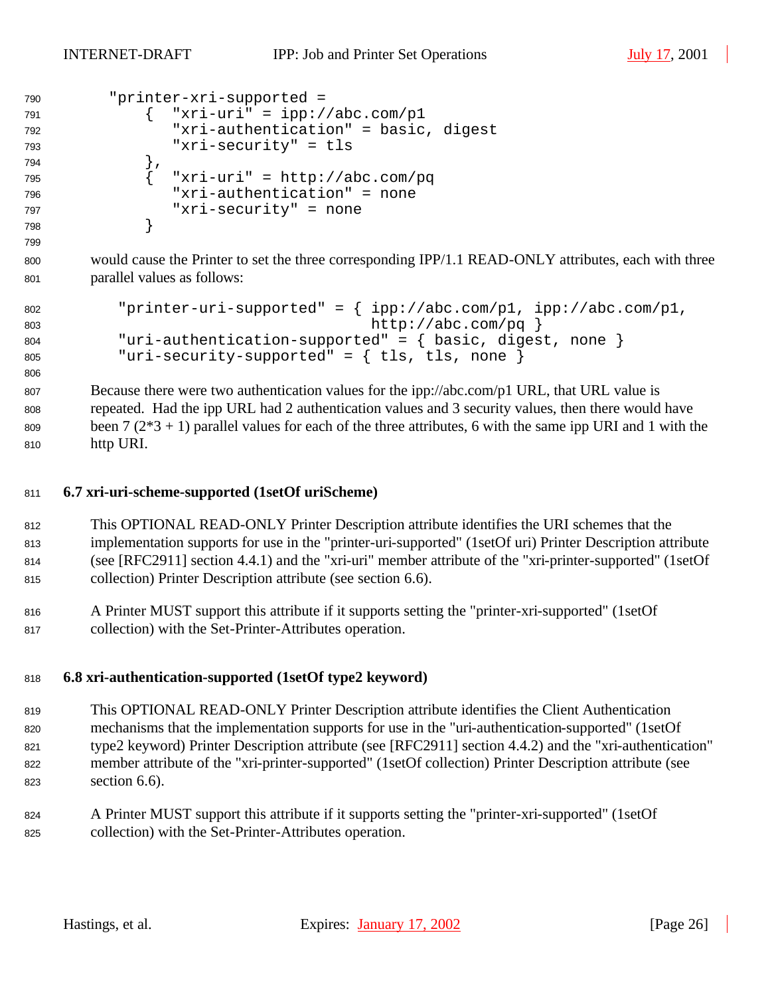INTERNET-DRAFT IPP: Job and Printer Set Operations July 17, 2001

| 790 | "printer-xri-supported =             |
|-----|--------------------------------------|
| 791 | "xri-uri" = $ipp://abc.com/p1$       |
| 792 | "xri-authentication" = basic, digest |
| 793 | "xri-security" = tls                 |
| 794 |                                      |
| 795 | "xri-uri" = http://abc.com/pq        |
| 796 | "xri-authentication" = none          |
| 797 | "xri-security" = none                |
| 798 |                                      |
|     |                                      |

 would cause the Printer to set the three corresponding IPP/1.1 READ-ONLY attributes, each with three parallel values as follows:

```
802 "printer-uri-supported" = { ipp://abc.com/p1, ipp://abc.com/p1,
803 http://abc.com/pq }
804 "uri-authentication-supported" = { basic, digest, none }
805 "uri-security-supported" = { tls, tls, none }
```
 Because there were two authentication values for the ipp://abc.com/p1 URL, that URL value is repeated. Had the ipp URL had 2 authentication values and 3 security values, then there would have 809 been  $7(2^*3 + 1)$  parallel values for each of the three attributes, 6 with the same ipp URI and 1 with the http URI.

#### **6.7 xri-uri-scheme-supported (1setOf uriScheme)**

 This OPTIONAL READ-ONLY Printer Description attribute identifies the URI schemes that the implementation supports for use in the "printer-uri-supported" (1setOf uri) Printer Description attribute (see [RFC2911] section 4.4.1) and the "xri-uri" member attribute of the "xri-printer-supported" (1setOf collection) Printer Description attribute (see section 6.6).

 A Printer MUST support this attribute if it supports setting the "printer-xri-supported" (1setOf collection) with the Set-Printer-Attributes operation.

#### **6.8 xri-authentication-supported (1setOf type2 keyword)**

 This OPTIONAL READ-ONLY Printer Description attribute identifies the Client Authentication mechanisms that the implementation supports for use in the "uri-authentication-supported" (1setOf type2 keyword) Printer Description attribute (see [RFC2911] section 4.4.2) and the "xri-authentication" member attribute of the "xri-printer-supported" (1setOf collection) Printer Description attribute (see section 6.6).

 A Printer MUST support this attribute if it supports setting the "printer-xri-supported" (1setOf collection) with the Set-Printer-Attributes operation.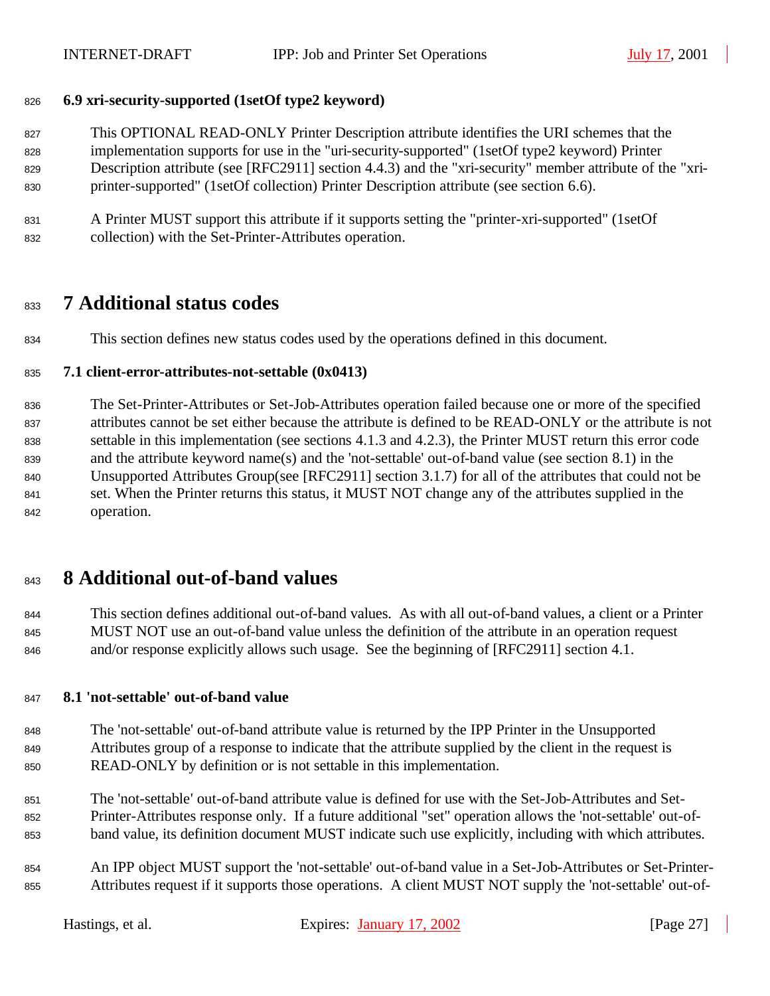#### **6.9 xri-security-supported (1setOf type2 keyword)**

 This OPTIONAL READ-ONLY Printer Description attribute identifies the URI schemes that the implementation supports for use in the "uri-security-supported" (1setOf type2 keyword) Printer Description attribute (see [RFC2911] section 4.4.3) and the "xri-security" member attribute of the "xri-printer-supported" (1setOf collection) Printer Description attribute (see section 6.6).

 A Printer MUST support this attribute if it supports setting the "printer-xri-supported" (1setOf collection) with the Set-Printer-Attributes operation.

## **7 Additional status codes**

This section defines new status codes used by the operations defined in this document.

#### **7.1 client-error-attributes-not-settable (0x0413)**

 The Set-Printer-Attributes or Set-Job-Attributes operation failed because one or more of the specified attributes cannot be set either because the attribute is defined to be READ-ONLY or the attribute is not settable in this implementation (see sections 4.1.3 and 4.2.3), the Printer MUST return this error code and the attribute keyword name(s) and the 'not-settable' out-of-band value (see section 8.1) in the Unsupported Attributes Group(see [RFC2911] section 3.1.7) for all of the attributes that could not be set. When the Printer returns this status, it MUST NOT change any of the attributes supplied in the operation.

## **8 Additional out-of-band values**

 This section defines additional out-of-band values. As with all out-of-band values, a client or a Printer MUST NOT use an out-of-band value unless the definition of the attribute in an operation request and/or response explicitly allows such usage. See the beginning of [RFC2911] section 4.1.

#### **8.1 'not-settable' out-of-band value**

- The 'not-settable' out-of-band attribute value is returned by the IPP Printer in the Unsupported Attributes group of a response to indicate that the attribute supplied by the client in the request is READ-ONLY by definition or is not settable in this implementation.
- The 'not-settable' out-of-band attribute value is defined for use with the Set-Job-Attributes and Set- Printer-Attributes response only. If a future additional "set" operation allows the 'not-settable' out-of-band value, its definition document MUST indicate such use explicitly, including with which attributes.
- An IPP object MUST support the 'not-settable' out-of-band value in a Set-Job-Attributes or Set-Printer-Attributes request if it supports those operations. A client MUST NOT supply the 'not-settable' out-of-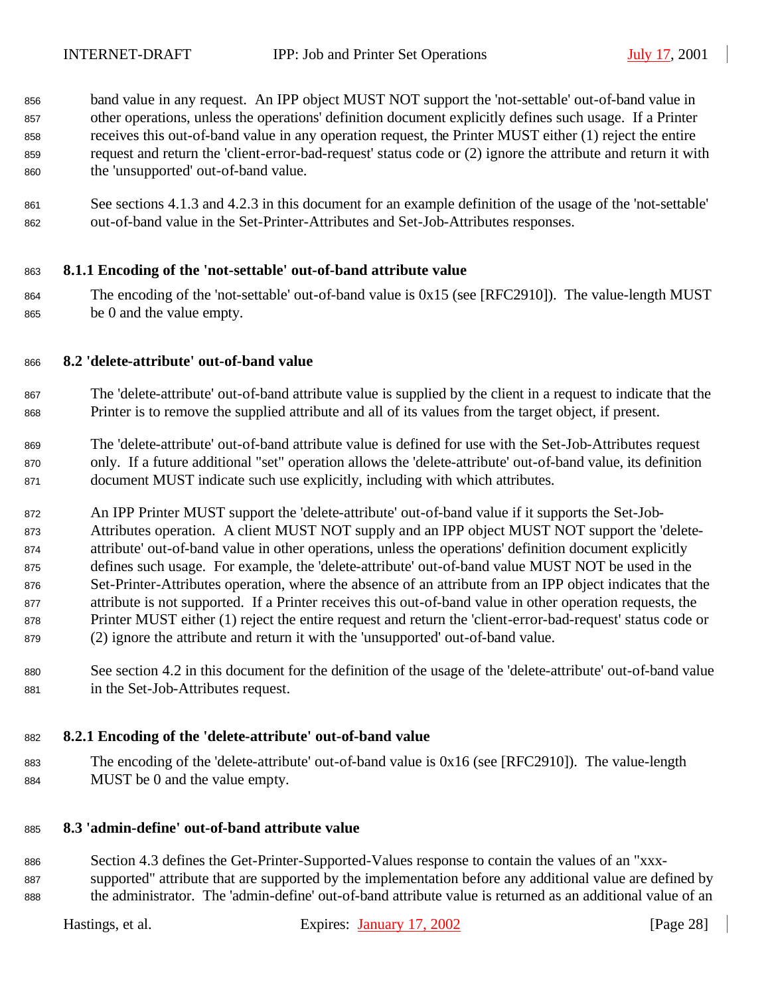band value in any request. An IPP object MUST NOT support the 'not-settable' out-of-band value in other operations, unless the operations' definition document explicitly defines such usage. If a Printer receives this out-of-band value in any operation request, the Printer MUST either (1) reject the entire request and return the 'client-error-bad-request' status code or (2) ignore the attribute and return it with the 'unsupported' out-of-band value.

 See sections 4.1.3 and 4.2.3 in this document for an example definition of the usage of the 'not-settable' out-of-band value in the Set-Printer-Attributes and Set-Job-Attributes responses.

#### **8.1.1 Encoding of the 'not-settable' out-of-band attribute value**

 The encoding of the 'not-settable' out-of-band value is 0x15 (see [RFC2910]). The value-length MUST be 0 and the value empty.

#### **8.2 'delete-attribute' out-of-band value**

- The 'delete-attribute' out-of-band attribute value is supplied by the client in a request to indicate that the Printer is to remove the supplied attribute and all of its values from the target object, if present.
- The 'delete-attribute' out-of-band attribute value is defined for use with the Set-Job-Attributes request only. If a future additional "set" operation allows the 'delete-attribute' out-of-band value, its definition document MUST indicate such use explicitly, including with which attributes.
- An IPP Printer MUST support the 'delete-attribute' out-of-band value if it supports the Set-Job- Attributes operation. A client MUST NOT supply and an IPP object MUST NOT support the 'delete- attribute' out-of-band value in other operations, unless the operations' definition document explicitly defines such usage. For example, the 'delete-attribute' out-of-band value MUST NOT be used in the Set-Printer-Attributes operation, where the absence of an attribute from an IPP object indicates that the attribute is not supported. If a Printer receives this out-of-band value in other operation requests, the Printer MUST either (1) reject the entire request and return the 'client-error-bad-request' status code or (2) ignore the attribute and return it with the 'unsupported' out-of-band value.
- See section 4.2 in this document for the definition of the usage of the 'delete-attribute' out-of-band value in the Set-Job-Attributes request.

#### **8.2.1 Encoding of the 'delete-attribute' out-of-band value**

 The encoding of the 'delete-attribute' out-of-band value is 0x16 (see [RFC2910]). The value-length MUST be 0 and the value empty.

#### **8.3 'admin-define' out-of-band attribute value**

 Section 4.3 defines the Get-Printer-Supported-Values response to contain the values of an "xxx- supported" attribute that are supported by the implementation before any additional value are defined by the administrator. The 'admin-define' out-of-band attribute value is returned as an additional value of an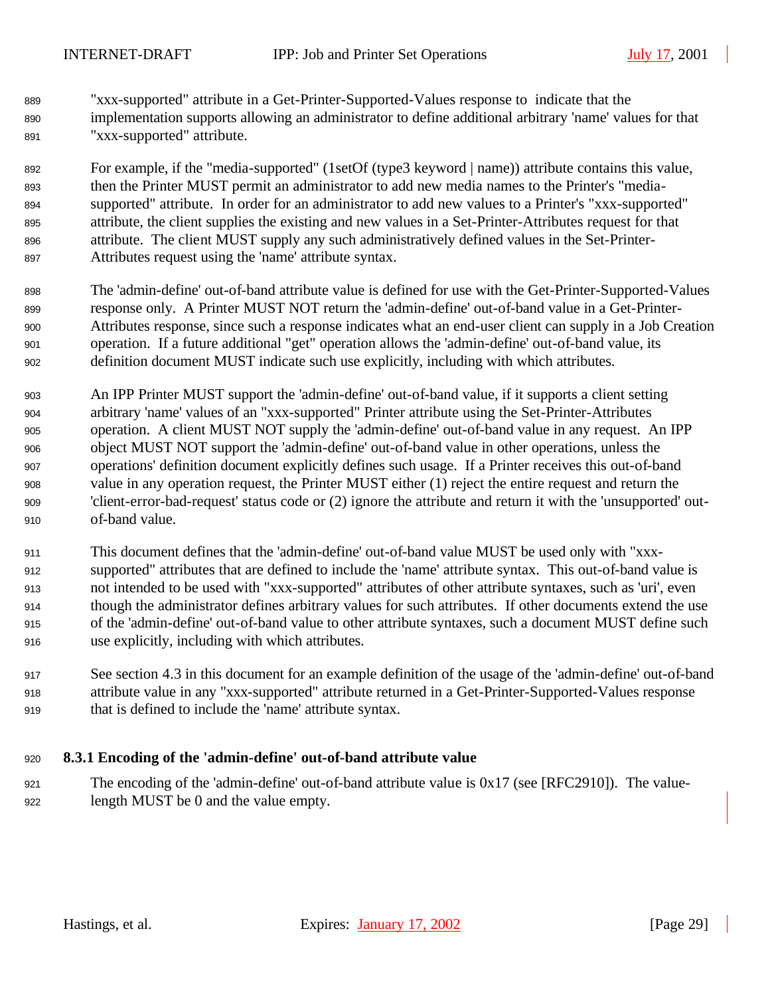"xxx-supported" attribute in a Get-Printer-Supported-Values response to indicate that the implementation supports allowing an administrator to define additional arbitrary 'name' values for that "xxx-supported" attribute.

 For example, if the "media-supported" (1setOf (type3 keyword | name)) attribute contains this value, then the Printer MUST permit an administrator to add new media names to the Printer's "media- supported" attribute. In order for an administrator to add new values to a Printer's "xxx-supported" attribute, the client supplies the existing and new values in a Set-Printer-Attributes request for that attribute. The client MUST supply any such administratively defined values in the Set-Printer-Attributes request using the 'name' attribute syntax.

- The 'admin-define' out-of-band attribute value is defined for use with the Get-Printer-Supported-Values response only. A Printer MUST NOT return the 'admin-define' out-of-band value in a Get-Printer- Attributes response, since such a response indicates what an end-user client can supply in a Job Creation operation. If a future additional "get" operation allows the 'admin-define' out-of-band value, its definition document MUST indicate such use explicitly, including with which attributes.
- An IPP Printer MUST support the 'admin-define' out-of-band value, if it supports a client setting arbitrary 'name' values of an "xxx-supported" Printer attribute using the Set-Printer-Attributes operation. A client MUST NOT supply the 'admin-define' out-of-band value in any request. An IPP object MUST NOT support the 'admin-define' out-of-band value in other operations, unless the operations' definition document explicitly defines such usage. If a Printer receives this out-of-band value in any operation request, the Printer MUST either (1) reject the entire request and return the 'client-error-bad-request' status code or (2) ignore the attribute and return it with the 'unsupported' out-of-band value.
- This document defines that the 'admin-define' out-of-band value MUST be used only with "xxx- supported" attributes that are defined to include the 'name' attribute syntax. This out-of-band value is not intended to be used with "xxx-supported" attributes of other attribute syntaxes, such as 'uri', even though the administrator defines arbitrary values for such attributes. If other documents extend the use of the 'admin-define' out-of-band value to other attribute syntaxes, such a document MUST define such use explicitly, including with which attributes.
- See section 4.3 in this document for an example definition of the usage of the 'admin-define' out-of-band attribute value in any "xxx-supported" attribute returned in a Get-Printer-Supported-Values response that is defined to include the 'name' attribute syntax.

#### **8.3.1 Encoding of the 'admin-define' out-of-band attribute value**

 The encoding of the 'admin-define' out-of-band attribute value is 0x17 (see [RFC2910]). The value-length MUST be 0 and the value empty.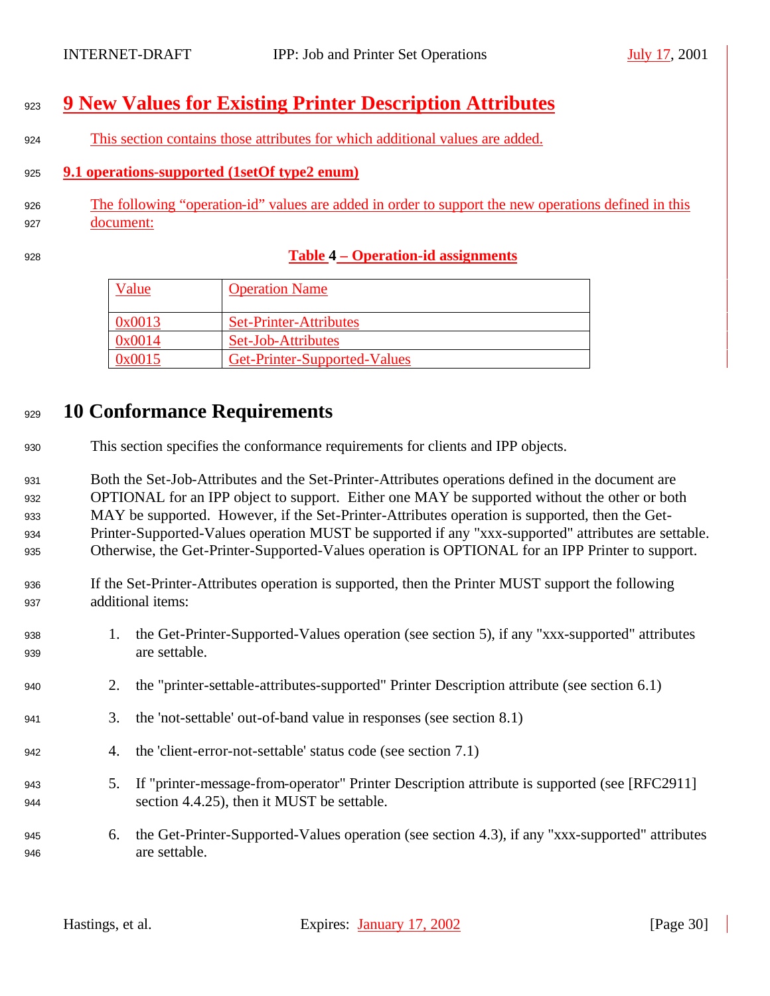# **9 New Values for Existing Printer Description Attributes**

This section contains those attributes for which additional values are added.

### **9.1 operations-supported (1setOf type2 enum)**

- The following "operation-id" values are added in order to support the new operations defined in this document:
- 

## **Table 4 – Operation-id assignments**

| Value  | <b>Operation Name</b>         |
|--------|-------------------------------|
| 0x0013 | <b>Set-Printer-Attributes</b> |
| 0x0014 | Set-Job-Attributes            |
| 0x0015 | Get-Printer-Supported-Values  |

# **10 Conformance Requirements**

This section specifies the conformance requirements for clients and IPP objects.

 Both the Set-Job-Attributes and the Set-Printer-Attributes operations defined in the document are OPTIONAL for an IPP object to support. Either one MAY be supported without the other or both MAY be supported. However, if the Set-Printer-Attributes operation is supported, then the Get- Printer-Supported-Values operation MUST be supported if any "xxx-supported" attributes are settable. Otherwise, the Get-Printer-Supported-Values operation is OPTIONAL for an IPP Printer to support.

- If the Set-Printer-Attributes operation is supported, then the Printer MUST support the following additional items:
- 1. the Get-Printer-Supported-Values operation (see section 5), if any "xxx-supported" attributes are settable.
- 2. the "printer-settable-attributes-supported" Printer Description attribute (see section 6.1)
- 3. the 'not-settable' out-of-band value in responses (see section 8.1)
- 4. the 'client-error-not-settable' status code (see section 7.1)
- 5. If "printer-message-from-operator" Printer Description attribute is supported (see [RFC2911] section 4.4.25), then it MUST be settable.
- 6. the Get-Printer-Supported-Values operation (see section 4.3), if any "xxx-supported" attributes are settable.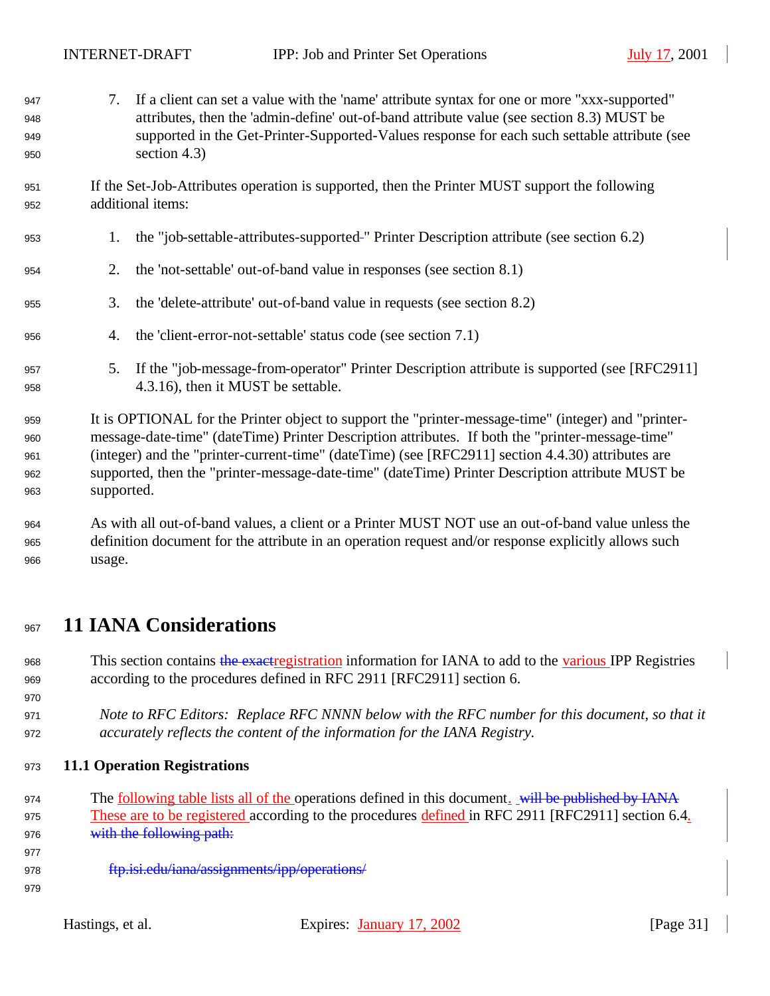| 947<br>948<br>949<br>950 | 7.                                                                                               | If a client can set a value with the 'name' attribute syntax for one or more "xxx-supported"<br>attributes, then the 'admin-define' out-of-band attribute value (see section 8.3) MUST be<br>supported in the Get-Printer-Supported-Values response for each such settable attribute (see<br>section $4.3$ ) |
|--------------------------|--------------------------------------------------------------------------------------------------|--------------------------------------------------------------------------------------------------------------------------------------------------------------------------------------------------------------------------------------------------------------------------------------------------------------|
| 951<br>952               |                                                                                                  | If the Set-Job-Attributes operation is supported, then the Printer MUST support the following<br>additional items:                                                                                                                                                                                           |
|                          |                                                                                                  |                                                                                                                                                                                                                                                                                                              |
| 953                      | 1.                                                                                               | the "job-settable-attributes-supported-" Printer Description attribute (see section 6.2)                                                                                                                                                                                                                     |
| 954                      | 2.                                                                                               | the 'not-settable' out-of-band value in responses (see section 8.1)                                                                                                                                                                                                                                          |
| 955                      | 3.                                                                                               | the 'delete-attribute' out-of-band value in requests (see section 8.2)                                                                                                                                                                                                                                       |
| 956                      | 4.                                                                                               | the 'client-error-not-settable' status code (see section 7.1)                                                                                                                                                                                                                                                |
| 957<br>958               | 5.                                                                                               | If the "job-message-from-operator" Printer Description attribute is supported (see [RFC2911]<br>4.3.16), then it MUST be settable.                                                                                                                                                                           |
| 959                      |                                                                                                  | It is OPTIONAL for the Printer object to support the "printer-message-time" (integer) and "printer-                                                                                                                                                                                                          |
| 960                      |                                                                                                  | message-date-time" (dateTime) Printer Description attributes. If both the "printer-message-time"                                                                                                                                                                                                             |
| 961                      |                                                                                                  | (integer) and the "printer-current-time" (dateTime) (see [RFC2911] section 4.4.30) attributes are                                                                                                                                                                                                            |
| 962                      | supported, then the "printer-message-date-time" (dateTime) Printer Description attribute MUST be |                                                                                                                                                                                                                                                                                                              |
| 963                      | supported.                                                                                       |                                                                                                                                                                                                                                                                                                              |
| 964                      |                                                                                                  | As with all out-of-band values, a client or a Printer MUST NOT use an out-of-band value unless the                                                                                                                                                                                                           |

 definition document for the attribute in an operation request and/or response explicitly allows such usage.

## **11 IANA Considerations**

968 This section contains the exactregistration information for IANA to add to the various IPP Registries according to the procedures defined in RFC 2911 [RFC2911] section 6.

 *Note to RFC Editors: Replace RFC NNNN below with the RFC number for this document, so that it accurately reflects the content of the information for the IANA Registry.*

**11.1 Operation Registrations**

974 The <u>following table lists all of the operations defined in this document. will be published by IANA</u> 975 These are to be registered according to the procedures defined in RFC 2911 [RFC2911] section 6.4. 976 with the following path:

- 
- **ftp.isi.edu/iana/assignments/ipp/operations/**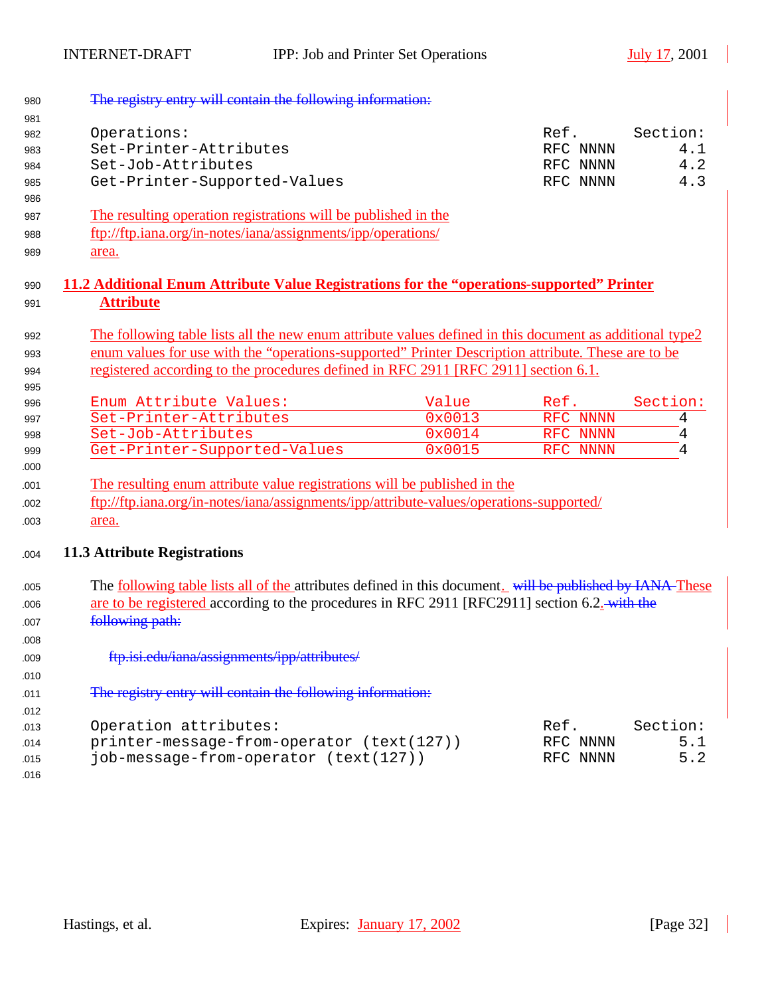| 980 | The registry entry will contain the following information:                                                       |        |          |          |
|-----|------------------------------------------------------------------------------------------------------------------|--------|----------|----------|
| 981 |                                                                                                                  |        |          |          |
| 982 | Operations:                                                                                                      |        | Ref.     | Section: |
| 983 | Set-Printer-Attributes                                                                                           |        | RFC NNNN | 4.1      |
| 984 | Set-Job-Attributes                                                                                               |        | RFC NNNN | 4.2      |
| 985 | Get-Printer-Supported-Values                                                                                     |        | RFC NNNN | 4.3      |
| 986 |                                                                                                                  |        |          |          |
| 987 | The resulting operation registrations will be published in the                                                   |        |          |          |
| 988 | ftp://ftp.iana.org/in-notes/iana/assignments/ipp/operations/                                                     |        |          |          |
| 989 | area.                                                                                                            |        |          |          |
| 990 | <u>11.2 Additional Enum Attribute Value Registrations for the "operations-supported" Printer</u>                 |        |          |          |
| 991 | <b>Attribute</b>                                                                                                 |        |          |          |
| 992 | The following table lists all the new enum attribute values defined in this document as additional type2         |        |          |          |
| 993 | enum values for use with the "operations-supported" Printer Description attribute. These are to be               |        |          |          |
| 994 | registered according to the procedures defined in RFC 2911 [RFC 2911] section 6.1.                               |        |          |          |
| 995 |                                                                                                                  |        |          |          |
| 996 | Enum Attribute Values:                                                                                           | Value  | Ref.     | Section: |
| 997 | Set-Printer-Attributes                                                                                           | 0x0013 | RFC NNNN | 4        |
| 998 | Set-Job-Attributes                                                                                               | 0x0014 | RFC NNNN | 4        |
| 999 | Get-Printer-Supported-Values                                                                                     | 0x0015 | RFC NNNN | 4        |
| 000 |                                                                                                                  |        |          |          |
| 001 | The resulting enum attribute value registrations will be published in the                                        |        |          |          |
| 002 | ftp://ftp.iana.org/in-notes/iana/assignments/ipp/attribute-values/operations-supported/                          |        |          |          |
| 003 | area.                                                                                                            |        |          |          |
|     |                                                                                                                  |        |          |          |
| 004 | <b>11.3 Attribute Registrations</b>                                                                              |        |          |          |
| 005 | The <u>following table lists all of the</u> attributes defined in this document. will be published by IANA These |        |          |          |
| 006 | are to be registered according to the procedures in RFC 2911 [RFC2911] section 6.2. with the                     |        |          |          |
| 007 | following path:                                                                                                  |        |          |          |
| 008 |                                                                                                                  |        |          |          |
| 009 | ftp.isi.edu/iana/assignments/ipp/attributes/                                                                     |        |          |          |
| 010 |                                                                                                                  |        |          |          |
|     | The registry entry will contain the following information:                                                       |        |          |          |
| 011 |                                                                                                                  |        |          |          |
| 012 |                                                                                                                  |        |          |          |
| 013 | Operation attributes:                                                                                            |        | Ref.     | Section: |
| 014 | printer-message-from-operator (text(127))                                                                        |        | RFC NNNN | 5.1      |
| 015 | job-message-from-operator (text(127))                                                                            |        | RFC NNNN | 5.2      |
| 016 |                                                                                                                  |        |          |          |

 $\blacksquare$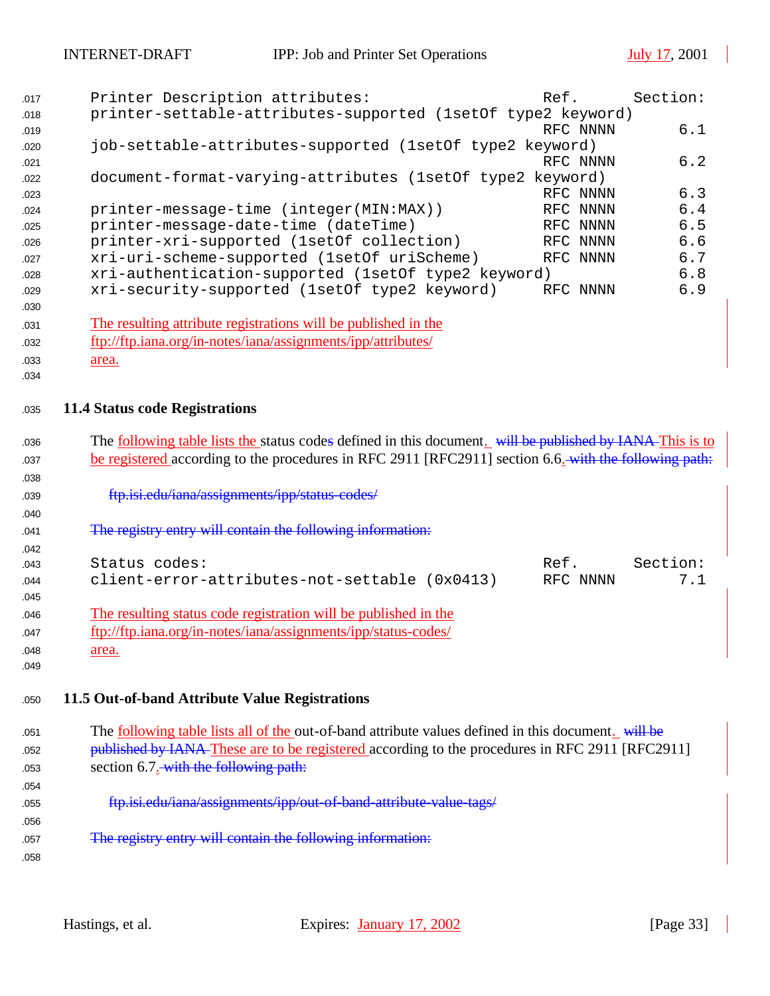| 017 | Printer Description attributes:                                | Ref. |          | Section: |
|-----|----------------------------------------------------------------|------|----------|----------|
| 018 | printer-settable-attributes-supported (1set0f type2 keyword)   |      |          |          |
| 019 |                                                                |      | RFC NNNN | 6.1      |
| 020 | job-settable-attributes-supported (lsetOf type2 keyword)       |      |          |          |
| 021 |                                                                |      | RFC NNNN | 6.2      |
| 022 | document-format-varying-attributes (1set0f type2 keyword)      |      |          |          |
| 023 |                                                                |      | RFC NNNN | 6.3      |
| 024 | printer-message-time (integer(MIN:MAX))                        |      | RFC NNNN | 6.4      |
| 025 | printer-message-date-time (dateTime)                           |      | RFC NNNN | 6.5      |
| 026 | printer-xri-supported (1setOf collection)                      |      | RFC NNNN | 6.6      |
| 027 | xri-uri-scheme-supported (1setOf uriScheme)                    |      | RFC NNNN | 6.7      |
| 028 | xri-authentication-supported (1setOf type2 keyword)            |      |          | 6.8      |
| 029 | xri-security-supported (1setOf type2 keyword)                  |      | RFC NNNN | 6.9      |
| 030 |                                                                |      |          |          |
| 031 | The resulting attribute registrations will be published in the |      |          |          |
| 032 | ftp://ftp.iana.org/in-notes/iana/assignments/ipp/attributes/   |      |          |          |
| 033 | area.                                                          |      |          |          |
| 034 |                                                                |      |          |          |
|     |                                                                |      |          |          |
| 035 | <b>11.4 Status code Registrations</b>                          |      |          |          |
|     |                                                                |      |          |          |

| 036 | The <u>following table lists the</u> status codes defined in this document. will be published by IANA This is to |          |          |
|-----|------------------------------------------------------------------------------------------------------------------|----------|----------|
| 037 | be registered according to the procedures in RFC 2911 [RFC2911] section 6.6.—with the following path:            |          |          |
| 038 |                                                                                                                  |          |          |
| 039 | ftp.isi.edu/iana/assignments/ipp/status-codes/                                                                   |          |          |
| 040 |                                                                                                                  |          |          |
| 041 | The registry entry will contain the following information:                                                       |          |          |
| 042 |                                                                                                                  |          |          |
| 043 | Status codes:                                                                                                    | Ref.     | Section: |
| 044 | client-error-attributes-not-settable (0x0413)                                                                    | RFC NNNN | 7.1      |
| 045 |                                                                                                                  |          |          |
| 046 | The resulting status code registration will be published in the                                                  |          |          |
| 047 | ftp://ftp.iana.org/in-notes/iana/assignments/ipp/status-codes/                                                   |          |          |
| 048 | area.                                                                                                            |          |          |
| 049 |                                                                                                                  |          |          |

<sup>1050</sup> **11.5 Out-of-band Attribute Value Registrations**

| 051<br>052<br>053 | The following table lists all of the out-of-band attribute values defined in this document. will be<br>published by IANA-These are to be registered according to the procedures in RFC 2911 [RFC2911]<br>section 6.7. with the following path: |
|-------------------|------------------------------------------------------------------------------------------------------------------------------------------------------------------------------------------------------------------------------------------------|
| 054               |                                                                                                                                                                                                                                                |
| 055               | ftp.isi.edu/iana/assignments/ipp/out-of-band-attribute-value-tags/                                                                                                                                                                             |
| 056               |                                                                                                                                                                                                                                                |
| 057               | The registry entry will contain the following information:                                                                                                                                                                                     |
| 058               |                                                                                                                                                                                                                                                |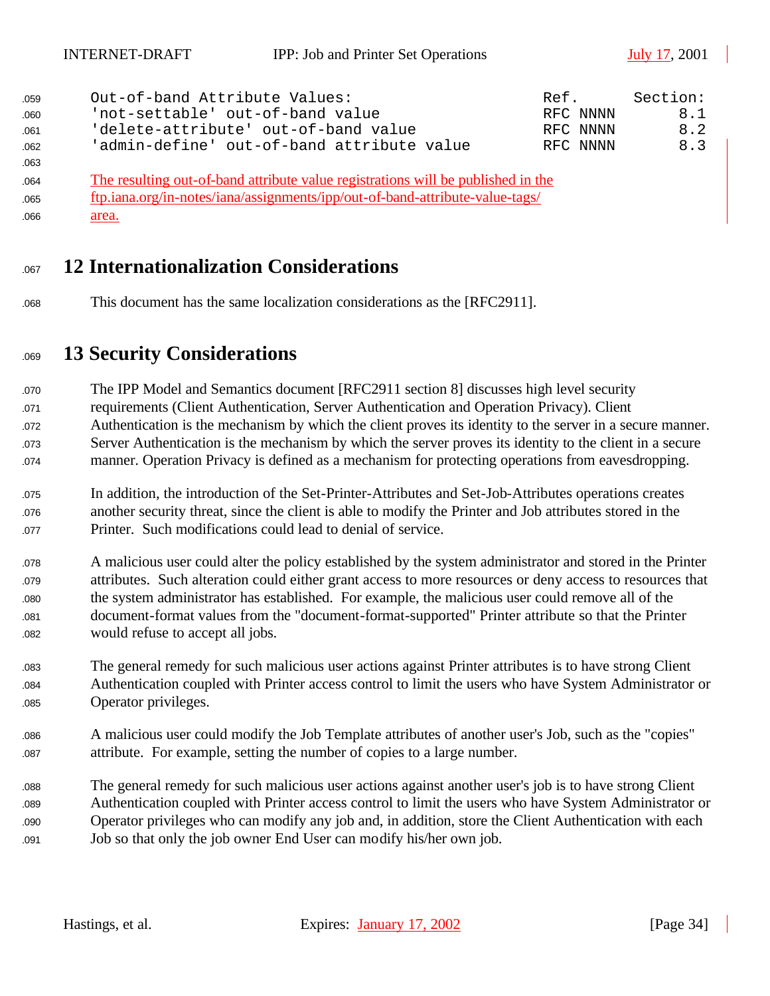| 059 | Out-of-band Attribute Values:                                                    | Ref. |          | Section: |
|-----|----------------------------------------------------------------------------------|------|----------|----------|
| 060 | 'not-settable' out-of-band value                                                 |      | RFC NNNN | 8.1      |
| 061 | 'delete-attribute' out-of-band value                                             |      | RFC NNNN | 8.2      |
| 062 | 'admin-define' out-of-band attribute value                                       |      | RFC NNNN | 8.3      |
| 063 |                                                                                  |      |          |          |
| 064 | The resulting out-of-band attribute value registrations will be published in the |      |          |          |
| 065 | ftp.iana.org/in-notes/iana/assignments/ipp/out-of-band-attribute-value-tags/     |      |          |          |
| 066 | area.                                                                            |      |          |          |

- **12 Internationalization Considerations**
- This document has the same localization considerations as the [RFC2911].

# **13 Security Considerations**

 The IPP Model and Semantics document [RFC2911 section 8] discusses high level security requirements (Client Authentication, Server Authentication and Operation Privacy). Client Authentication is the mechanism by which the client proves its identity to the server in a secure manner. Server Authentication is the mechanism by which the server proves its identity to the client in a secure manner. Operation Privacy is defined as a mechanism for protecting operations from eavesdropping.

 In addition, the introduction of the Set-Printer-Attributes and Set-Job-Attributes operations creates another security threat, since the client is able to modify the Printer and Job attributes stored in the Printer. Such modifications could lead to denial of service.

- A malicious user could alter the policy established by the system administrator and stored in the Printer attributes. Such alteration could either grant access to more resources or deny access to resources that the system administrator has established. For example, the malicious user could remove all of the document-format values from the "document-format-supported" Printer attribute so that the Printer 082 would refuse to accept all jobs.
- The general remedy for such malicious user actions against Printer attributes is to have strong Client Authentication coupled with Printer access control to limit the users who have System Administrator or 085 Operator privileges.
- A malicious user could modify the Job Template attributes of another user's Job, such as the "copies" attribute. For example, setting the number of copies to a large number.
- The general remedy for such malicious user actions against another user's job is to have strong Client Authentication coupled with Printer access control to limit the users who have System Administrator or Operator privileges who can modify any job and, in addition, store the Client Authentication with each Job so that only the job owner End User can modify his/her own job.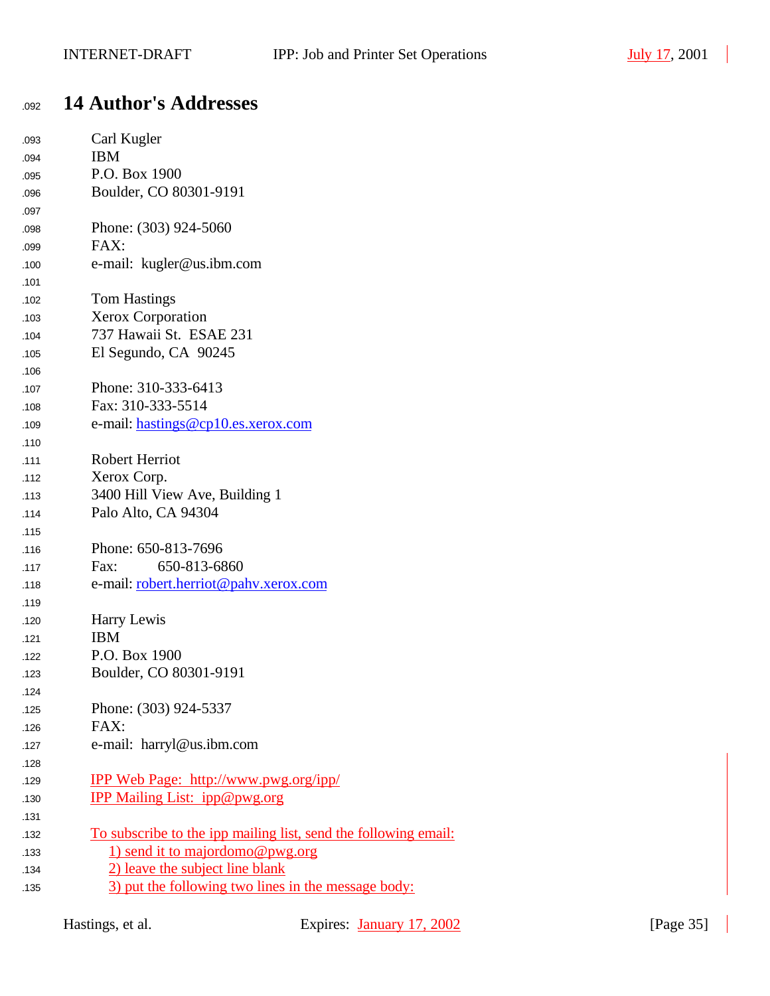# <sup>1092</sup> **14 Author's Addresses**

| 093 | Carl Kugler                                                     |
|-----|-----------------------------------------------------------------|
| 094 | <b>IBM</b>                                                      |
| 095 | P.O. Box 1900                                                   |
| 096 | Boulder, CO 80301-9191                                          |
| 097 |                                                                 |
| 098 | Phone: (303) 924-5060                                           |
| 099 | FAX:                                                            |
| 100 | e-mail: kugler@us.ibm.com                                       |
| 101 |                                                                 |
| 102 | <b>Tom Hastings</b>                                             |
| 103 | <b>Xerox Corporation</b>                                        |
| 104 | 737 Hawaii St. ESAE 231                                         |
| 105 | El Segundo, CA 90245                                            |
| 106 |                                                                 |
| 107 | Phone: 310-333-6413                                             |
| 108 | Fax: 310-333-5514                                               |
| 109 | e-mail: hastings@cp10.es.xerox.com                              |
| 110 |                                                                 |
| 111 | <b>Robert Herriot</b>                                           |
| 112 | Xerox Corp.                                                     |
| 113 | 3400 Hill View Ave, Building 1                                  |
| 114 | Palo Alto, CA 94304                                             |
| 115 |                                                                 |
| 116 | Phone: 650-813-7696                                             |
| 117 | 650-813-6860<br>Fax:                                            |
| 118 | e-mail: robert.herriot@pahv.xerox.com                           |
| 119 |                                                                 |
| 120 | Harry Lewis                                                     |
| 121 | <b>IBM</b>                                                      |
| 122 | P.O. Box 1900                                                   |
| 123 | Boulder, CO 80301-9191                                          |
| 124 |                                                                 |
| 125 | Phone: (303) 924-5337                                           |
| 126 | FAX:                                                            |
| 127 | e-mail: harryl@us.ibm.com                                       |
| 128 |                                                                 |
| 129 | <u>IPP Web Page: http://www.pwg.org/ipp/</u>                    |
| 130 | <b>IPP Mailing List: ipp@pwg.org</b>                            |
| 131 |                                                                 |
| 132 | To subscribe to the ipp mailing list, send the following email: |
| 133 | 1) send it to majordomo@pwg.org                                 |
| 134 | 2) leave the subject line blank                                 |
| 135 | 3) put the following two lines in the message body:             |
|     |                                                                 |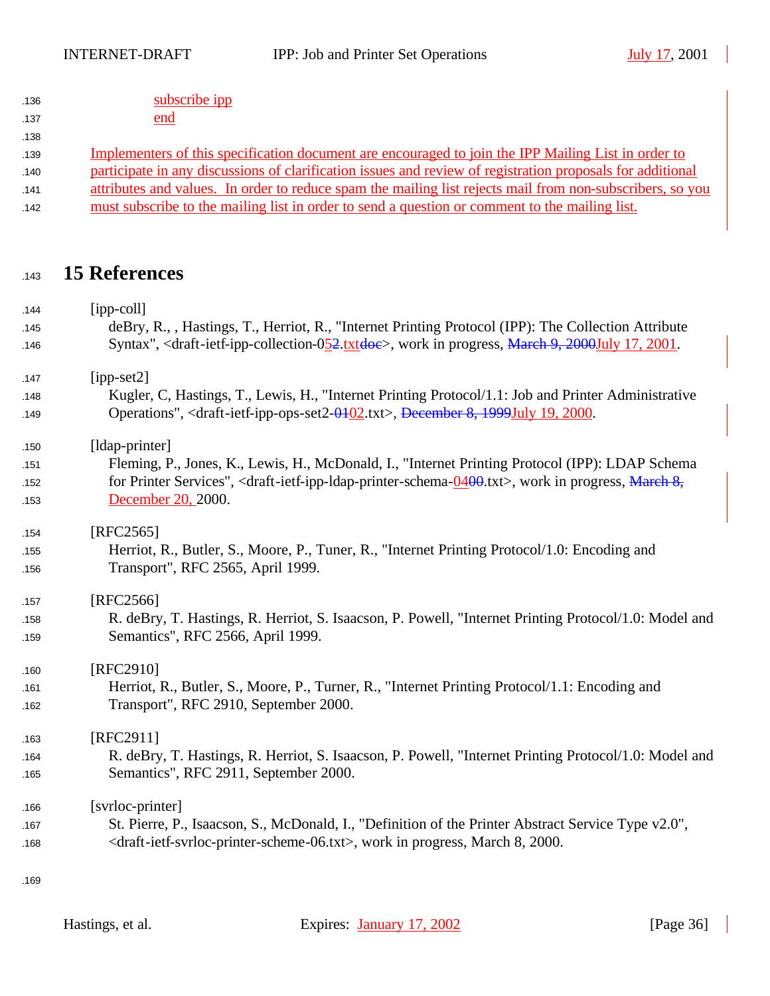| 136 | subscribe ipp |
|-----|---------------|
|     |               |

#### 137 end

## 139 Implementers of this specification document are encouraged to join the IPP Mailing List in order to

#### 140 participate in any discussions of clarification issues and review of registration proposals for additional

- 141 attributes and values. In order to reduce spam the mailing list rejects mail from non-subscribers, so you
- must subscribe to the mailing list in order to send a question or comment to the mailing list.

## **15 References**

| 144        | $[ipp-coll]$<br>deBry, R., , Hastings, T., Herriot, R., "Internet Printing Protocol (IPP): The Collection Attribute                                  |
|------------|------------------------------------------------------------------------------------------------------------------------------------------------------|
| 145<br>146 | Syntax", <draft-ietf-ipp-collection-052.txtdoe>, work in progress, March 9, 2000July 17, 2001.</draft-ietf-ipp-collection-052.txtdoe>                |
| 147        | $[ipp-set2]$                                                                                                                                         |
| 148        | Kugler, C, Hastings, T., Lewis, H., "Internet Printing Protocol/1.1: Job and Printer Administrative                                                  |
| 149        | Operations", <draft-ietf-ipp-ops-set2-0402.txt>, December 8, 1999July 19, 2000.</draft-ietf-ipp-ops-set2-0402.txt>                                   |
| 150        | [ldap-printer]                                                                                                                                       |
| 151        | Fleming, P., Jones, K., Lewis, H., McDonald, I., "Internet Printing Protocol (IPP): LDAP Schema                                                      |
| 152        | for Printer Services", <draft-ietf-ipp-ldap-printer-schema-<math>0400.txt&gt;, work in progress, March 8,</draft-ietf-ipp-ldap-printer-schema-<math> |
| 153        | December 20, 2000.                                                                                                                                   |
| 154        | [RFC2565]                                                                                                                                            |
| 155        | Herriot, R., Butler, S., Moore, P., Tuner, R., "Internet Printing Protocol/1.0: Encoding and                                                         |
| 156        | Transport", RFC 2565, April 1999.                                                                                                                    |
| 157        | [RFC2566]                                                                                                                                            |
| 158        | R. deBry, T. Hastings, R. Herriot, S. Isaacson, P. Powell, "Internet Printing Protocol/1.0: Model and                                                |
| 159        | Semantics", RFC 2566, April 1999.                                                                                                                    |
| 160        | [RFC2910]                                                                                                                                            |
| 161        | Herriot, R., Butler, S., Moore, P., Turner, R., "Internet Printing Protocol/1.1: Encoding and                                                        |
| 162        | Transport", RFC 2910, September 2000.                                                                                                                |
| 163        | [RFC2911]                                                                                                                                            |
| 164        | R. deBry, T. Hastings, R. Herriot, S. Isaacson, P. Powell, "Internet Printing Protocol/1.0: Model and                                                |
| 165        | Semantics", RFC 2911, September 2000.                                                                                                                |
| 166        | [svrloc-printer]                                                                                                                                     |
| 167        | St. Pierre, P., Isaacson, S., McDonald, I., "Definition of the Printer Abstract Service Type v2.0",                                                  |
| 168        | <draft-ietf-svrloc-printer-scheme-06.txt>, work in progress, March 8, 2000.</draft-ietf-svrloc-printer-scheme-06.txt>                                |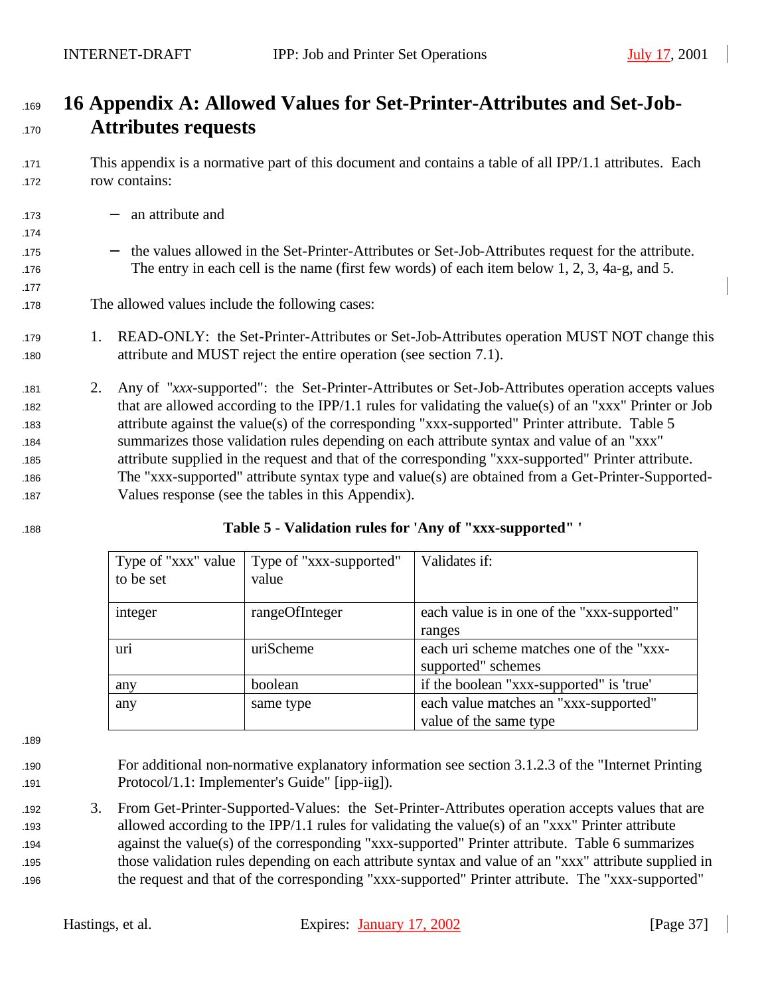# <sup>1169</sup> **16 Appendix A: Allowed Values for Set-Printer-Attributes and Set-Job-**<sup>1170</sup> **Attributes requests**

- <sup>1171</sup> This appendix is a normative part of this document and contains a table of all IPP/1.1 attributes. Each <sup>1172</sup> row contains:
- <sup>1173</sup> − an attribute and
- <sup>1175</sup> − the values allowed in the Set-Printer-Attributes or Set-Job-Attributes request for the attribute. 176 The entry in each cell is the name (first few words) of each item below 1, 2, 3, 4a-g, and 5.
- 178 The allowed values include the following cases:
- 179 1. READ-ONLY: the Set-Printer-Attributes or Set-Job-Attributes operation MUST NOT change this 180 attribute and MUST reject the entire operation (see section 7.1).
- <sup>1181</sup> 2. Any of "*xxx*-supported": the Set-Printer-Attributes or Set-Job-Attributes operation accepts values 182 that are allowed according to the IPP/1.1 rules for validating the value(s) of an "xxx" Printer or Job 183 attribute against the value(s) of the corresponding "xxx-supported" Printer attribute. Table 5 <sup>1184</sup> summarizes those validation rules depending on each attribute syntax and value of an "xxx" <sup>1185</sup> attribute supplied in the request and that of the corresponding "xxx-supported" Printer attribute. 186 The "xxx-supported" attribute syntax type and value(s) are obtained from a Get-Printer-Supported-187 Values response (see the tables in this Appendix).
- 

1174

1177

| Type of "xxx" value<br>to be set | Type of "xxx-supported"<br>value | Validates if:                               |
|----------------------------------|----------------------------------|---------------------------------------------|
|                                  |                                  |                                             |
| integer                          | rangeOfInteger                   | each value is in one of the "xxx-supported" |
|                                  |                                  | ranges                                      |
| uri                              | uriScheme                        | each uri scheme matches one of the "xxx-    |
|                                  |                                  | supported" schemes                          |
| any                              | boolean                          | if the boolean "xxx-supported" is 'true'    |
| any                              | same type                        | each value matches an "xxx-supported"       |
|                                  |                                  | value of the same type                      |

189

- 
- <sup>1190</sup> For additional non-normative explanatory information see section 3.1.2.3 of the "Internet Printing <sup>1191</sup> Protocol/1.1: Implementer's Guide" [ipp-iig]).
- <sup>1192</sup> 3. From Get-Printer-Supported-Values: the Set-Printer-Attributes operation accepts values that are 193 allowed according to the IPP/1.1 rules for validating the value(s) of an "xxx" Printer attribute <sup>1194</sup> against the value(s) of the corresponding "xxx-supported" Printer attribute. Table 6 summarizes <sup>1195</sup> those validation rules depending on each attribute syntax and value of an "xxx" attribute supplied in <sup>1196</sup> the request and that of the corresponding "xxx-supported" Printer attribute. The "xxx-supported"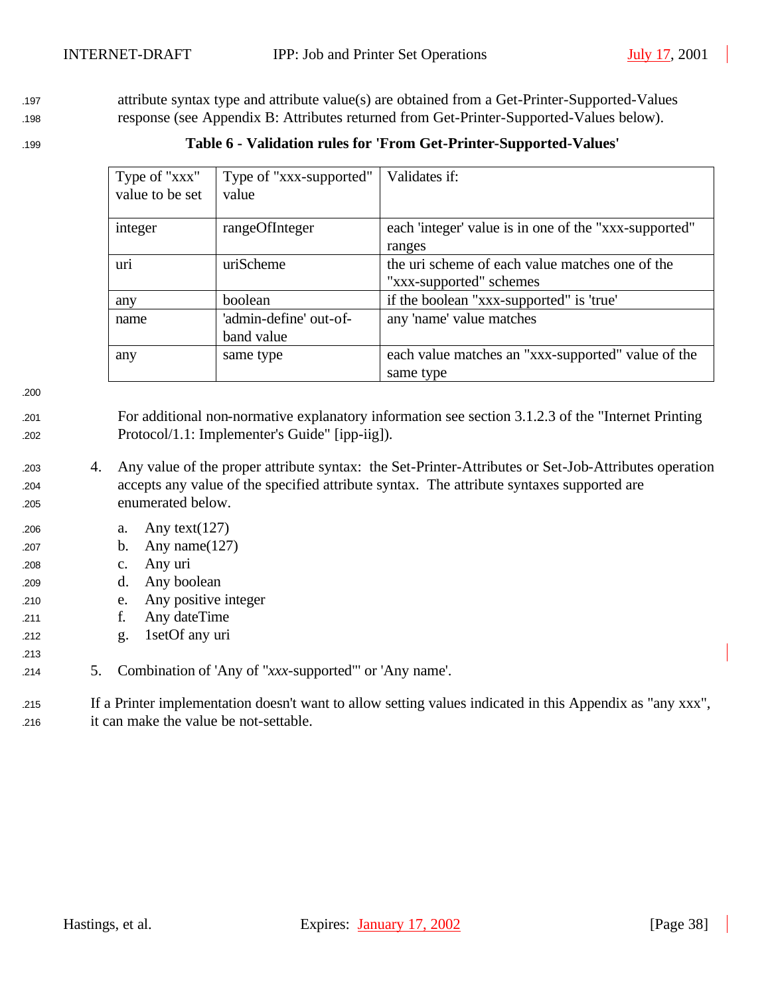197 attribute syntax type and attribute value(s) are obtained from a Get-Printer-Supported-Values <sup>1198</sup> response (see Appendix B: Attributes returned from Get-Printer-Supported-Values below).

<sup>1199</sup> **Table 6 - Validation rules for 'From Get-Printer-Supported-Values'**

| Type of "xxx"   | Type of "xxx-supported"              | Validates if:                                                              |
|-----------------|--------------------------------------|----------------------------------------------------------------------------|
| value to be set | value                                |                                                                            |
| integer         | rangeOfInteger                       | each 'integer' value is in one of the "xxx-supported"<br>ranges            |
| uri             | uriScheme                            | the uri scheme of each value matches one of the<br>"xxx-supported" schemes |
| any             | boolean                              | if the boolean "xxx-supported" is 'true'                                   |
| name            | 'admin-define' out-of-<br>band value | any 'name' value matches                                                   |
| any             | same type                            | each value matches an "xxx-supported" value of the<br>same type            |

1200

213

<sup>1201</sup> For additional non-normative explanatory information see section 3.1.2.3 of the "Internet Printing <sup>1202</sup> Protocol/1.1: Implementer's Guide" [ipp-iig]).

- <sup>1203</sup> 4. Any value of the proper attribute syntax: the Set-Printer-Attributes or Set-Job-Attributes operation <sup>1204</sup> accepts any value of the specified attribute syntax. The attribute syntaxes supported are <sup>1205</sup> enumerated below.
- <sup>1206</sup> a. Any text(127)
- <sup>1207</sup> b. Any name(127)
- <sup>1208</sup> c. Any uri
- <sup>1209</sup> d. Any boolean
- <sup>1210</sup> e. Any positive integer
- <sup>1211</sup> f. Any dateTime
- <sup>1212</sup> g. 1setOf any uri
- <sup>1214</sup> 5. Combination of 'Any of "*xxx*-supported"' or 'Any name'.

<sup>1215</sup> If a Printer implementation doesn't want to allow setting values indicated in this Appendix as "any xxx", <sup>1216</sup> it can make the value be not-settable.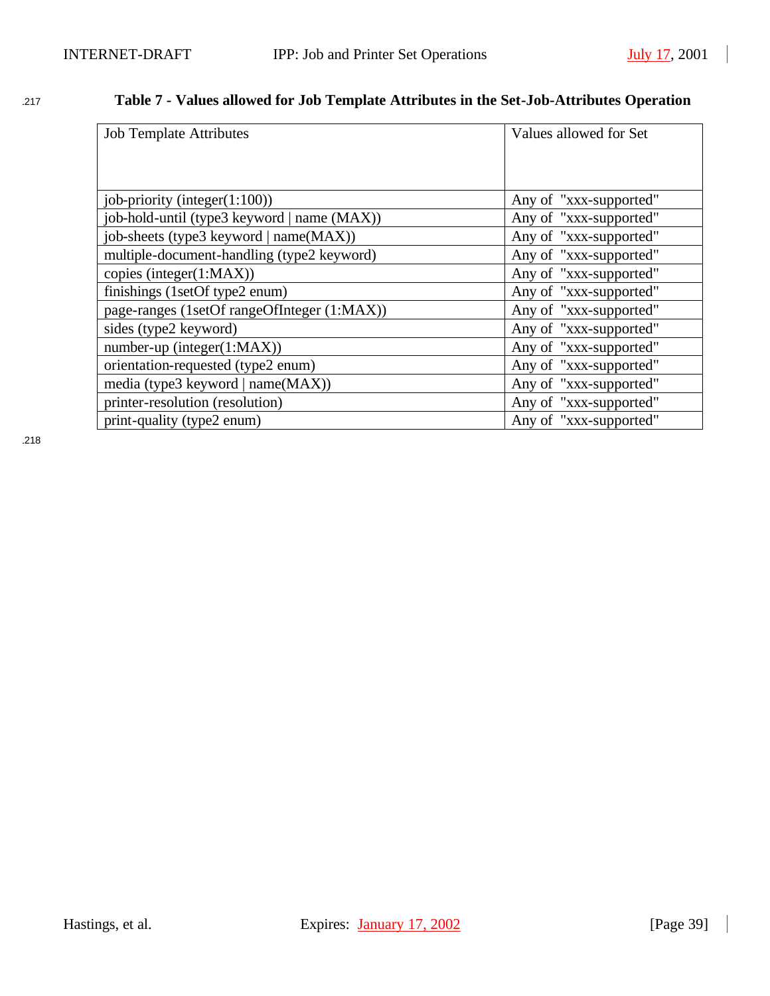# <sup>1217</sup> **Table 7 - Values allowed for Job Template Attributes in the Set-Job-Attributes Operation**

| <b>Job Template Attributes</b>              | Values allowed for Set |
|---------------------------------------------|------------------------|
|                                             |                        |
|                                             |                        |
| job-priority (integer(1:100))               | Any of "xxx-supported" |
| job-hold-until (type3 keyword   name (MAX)) | Any of "xxx-supported" |
| job-sheets (type3 keyword   name(MAX))      | Any of "xxx-supported" |
| multiple-document-handling (type2 keyword)  | Any of "xxx-supported" |
| copies (integer(1:MAX))                     | Any of "xxx-supported" |
| finishings (1setOf type2 enum)              | Any of "xxx-supported" |
| page-ranges (1setOf rangeOfInteger (1:MAX)) | Any of "xxx-supported" |
| sides (type2 keyword)                       | Any of "xxx-supported" |
| number-up (integer $(1:MAX)$ )              | Any of "xxx-supported" |
| orientation-requested (type2 enum)          | Any of "xxx-supported" |
| media (type3 keyword   name(MAX))           | Any of "xxx-supported" |
| printer-resolution (resolution)             | Any of "xxx-supported" |
| print-quality (type2 enum)                  | Any of "xxx-supported" |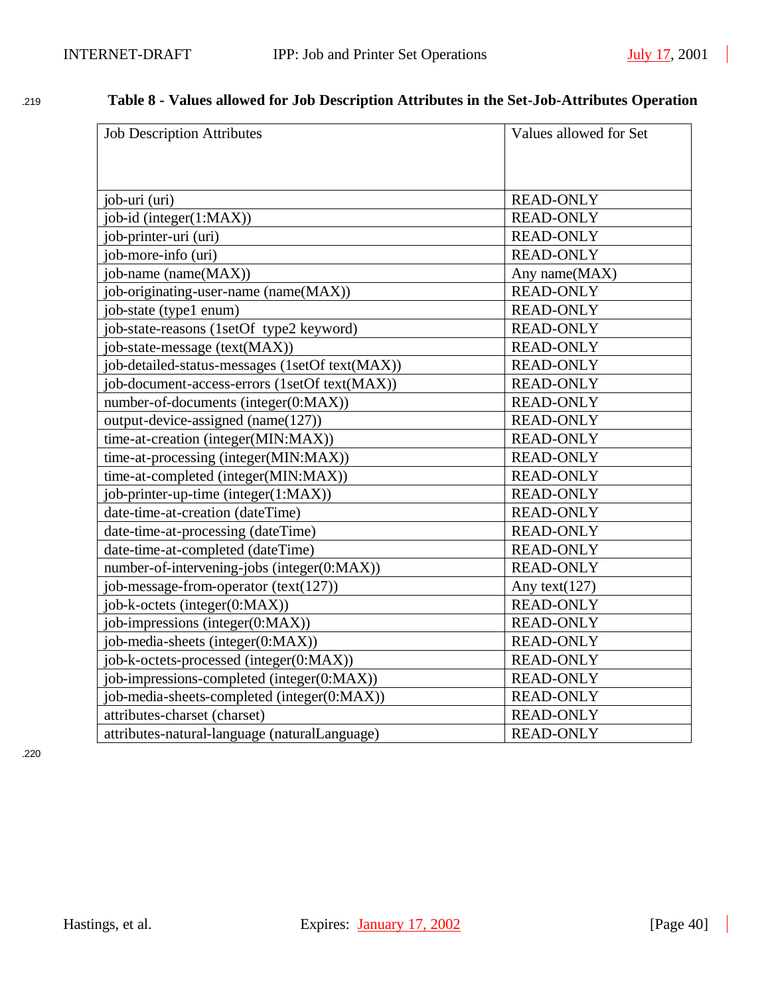# <sup>1219</sup> **Table 8 - Values allowed for Job Description Attributes in the Set-Job-Attributes Operation**

| <b>Job Description Attributes</b>               | Values allowed for Set |
|-------------------------------------------------|------------------------|
|                                                 |                        |
|                                                 |                        |
| job-uri (uri)                                   | <b>READ-ONLY</b>       |
| job-id (integer(1:MAX))                         | <b>READ-ONLY</b>       |
| job-printer-uri (uri)                           | <b>READ-ONLY</b>       |
| job-more-info (uri)                             | <b>READ-ONLY</b>       |
| ob-name (name(MAX))                             | Any name(MAX)          |
| job-originating-user-name (name(MAX))           | <b>READ-ONLY</b>       |
| job-state (type1 enum)                          | <b>READ-ONLY</b>       |
| job-state-reasons (1setOf type2 keyword)        | <b>READ-ONLY</b>       |
| job-state-message (text(MAX))                   | <b>READ-ONLY</b>       |
| job-detailed-status-messages (1setOf text(MAX)) | <b>READ-ONLY</b>       |
| job-document-access-errors (1setOf text(MAX))   | <b>READ-ONLY</b>       |
| number-of-documents (integer(0:MAX))            | <b>READ-ONLY</b>       |
| output-device-assigned (name(127))              | <b>READ-ONLY</b>       |
| time-at-creation (integer(MIN:MAX))             | <b>READ-ONLY</b>       |
| time-at-processing (integer(MIN:MAX))           | <b>READ-ONLY</b>       |
| time-at-completed (integer(MIN:MAX))            | <b>READ-ONLY</b>       |
| job-printer-up-time (integer(1:MAX))            | <b>READ-ONLY</b>       |
| date-time-at-creation (dateTime)                | <b>READ-ONLY</b>       |
| date-time-at-processing (dateTime)              | <b>READ-ONLY</b>       |
| date-time-at-completed (dateTime)               | <b>READ-ONLY</b>       |
| number-of-intervening-jobs (integer(0:MAX))     | <b>READ-ONLY</b>       |
| job-message-from-operator (text(127))           | Any text $(127)$       |
| job-k-octets (integer(0:MAX))                   | <b>READ-ONLY</b>       |
| job-impressions (integer(0:MAX))                | <b>READ-ONLY</b>       |
| job-media-sheets (integer(0:MAX))               | <b>READ-ONLY</b>       |
| job-k-octets-processed (integer(0:MAX))         | <b>READ-ONLY</b>       |
| job-impressions-completed (integer(0:MAX))      | <b>READ-ONLY</b>       |
| job-media-sheets-completed (integer(0:MAX))     | <b>READ-ONLY</b>       |
| attributes-charset (charset)                    | <b>READ-ONLY</b>       |
| attributes-natural-language (naturalLanguage)   | <b>READ-ONLY</b>       |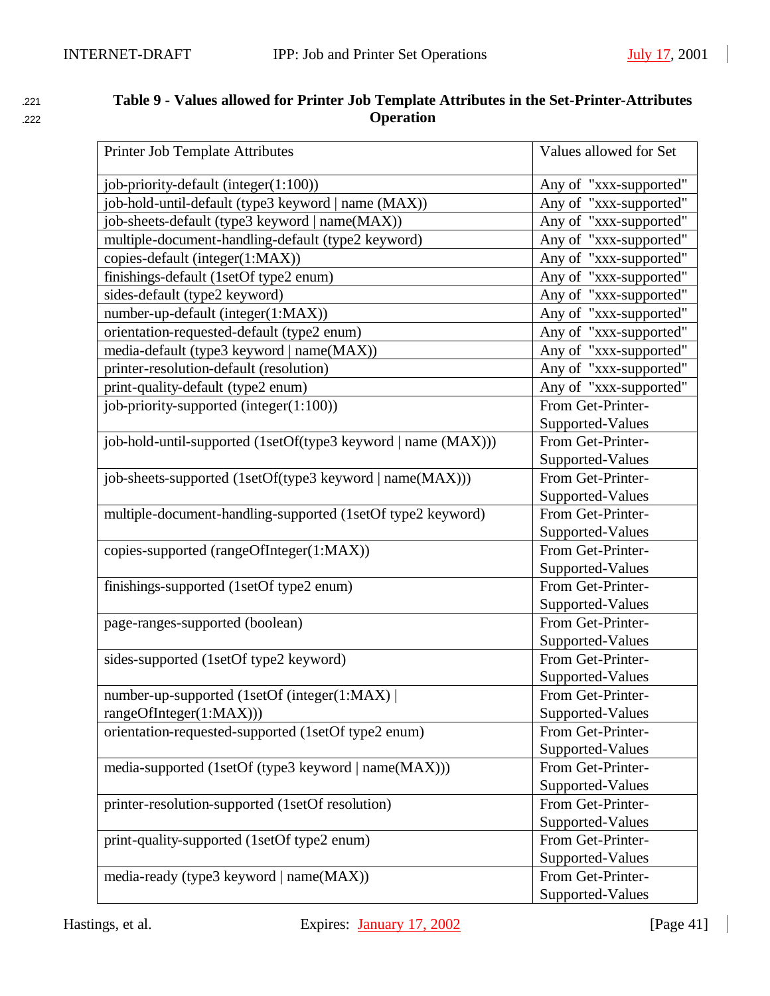| 221 | Table 9 - Values allowed for Printer Job Template Attributes in the Set-Printer-Attributes |
|-----|--------------------------------------------------------------------------------------------|
| 222 | <b>Operation</b>                                                                           |

| Printer Job Template Attributes                               | Values allowed for Set |
|---------------------------------------------------------------|------------------------|
| job-priority-default (integer(1:100))                         | Any of "xxx-supported" |
| job-hold-until-default (type3 keyword   name (MAX))           | Any of "xxx-supported" |
| job-sheets-default (type3 keyword   name(MAX))                | Any of "xxx-supported" |
| multiple-document-handling-default (type2 keyword)            | Any of "xxx-supported" |
| copies-default (integer(1:MAX))                               | Any of "xxx-supported" |
| finishings-default (1setOf type2 enum)                        | Any of "xxx-supported" |
| sides-default (type2 keyword)                                 | Any of "xxx-supported" |
| number-up-default (integer(1:MAX))                            | Any of "xxx-supported" |
| orientation-requested-default (type2 enum)                    | Any of "xxx-supported" |
| media-default (type3 keyword   name(MAX))                     | Any of "xxx-supported" |
| printer-resolution-default (resolution)                       | Any of "xxx-supported" |
| print-quality-default (type2 enum)                            | Any of "xxx-supported" |
| job-priority-supported (integer(1:100))                       | From Get-Printer-      |
|                                                               | Supported-Values       |
| job-hold-until-supported (1setOf(type3 keyword   name (MAX))) | From Get-Printer-      |
|                                                               | Supported-Values       |
| job-sheets-supported (1setOf(type3 keyword   name(MAX)))      | From Get-Printer-      |
|                                                               | Supported-Values       |
| multiple-document-handling-supported (1setOf type2 keyword)   | From Get-Printer-      |
|                                                               | Supported-Values       |
| copies-supported (rangeOfInteger(1:MAX))                      | From Get-Printer-      |
|                                                               | Supported-Values       |
| finishings-supported (1setOf type2 enum)                      | From Get-Printer-      |
|                                                               | Supported-Values       |
| page-ranges-supported (boolean)                               | From Get-Printer-      |
|                                                               | Supported-Values       |
| sides-supported (1setOf type2 keyword)                        | From Get-Printer-      |
|                                                               | Supported-Values       |
| number-up-supported (1setOf (integer(1:MAX))                  | From Get-Printer-      |
| rangeOfInteger(1:MAX)))                                       | Supported-Values       |
| orientation-requested-supported (1setOf type2 enum)           | From Get-Printer-      |
|                                                               | Supported-Values       |
| media-supported (1setOf (type3 keyword   name(MAX)))          | From Get-Printer-      |
|                                                               | Supported-Values       |
| printer-resolution-supported (1setOf resolution)              | From Get-Printer-      |
|                                                               | Supported-Values       |
| print-quality-supported (1setOf type2 enum)                   | From Get-Printer-      |
|                                                               | Supported-Values       |
| media-ready (type3 keyword   name(MAX))                       | From Get-Printer-      |
|                                                               | Supported-Values       |

 $\overline{\phantom{a}}$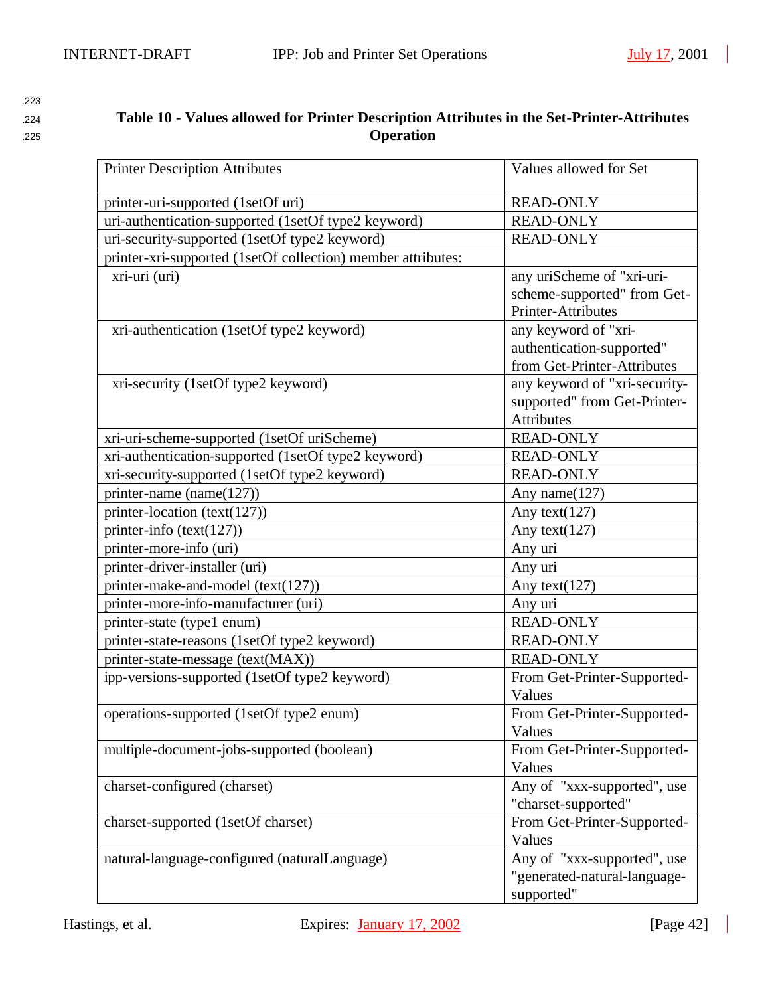# <sup>1224</sup> **Table 10 - Values allowed for Printer Description Attributes in the Set-Printer-Attributes**  <sup>1225</sup> **Operation**

| <b>Printer Description Attributes</b>                        | Values allowed for Set        |
|--------------------------------------------------------------|-------------------------------|
| printer-uri-supported (1setOf uri)                           | <b>READ-ONLY</b>              |
| uri-authentication-supported (1setOf type2 keyword)          | <b>READ-ONLY</b>              |
| uri-security-supported (1setOf type2 keyword)                | <b>READ-ONLY</b>              |
| printer-xri-supported (1setOf collection) member attributes: |                               |
| xri-uri (uri)                                                | any uriScheme of "xri-uri-    |
|                                                              | scheme-supported" from Get-   |
|                                                              | Printer-Attributes            |
| xri-authentication (1setOf type2 keyword)                    | any keyword of "xri-          |
|                                                              | authentication-supported"     |
|                                                              | from Get-Printer-Attributes   |
| xri-security (1setOf type2 keyword)                          | any keyword of "xri-security- |
|                                                              | supported" from Get-Printer-  |
|                                                              | <b>Attributes</b>             |
| xri-uri-scheme-supported (1setOf uriScheme)                  | <b>READ-ONLY</b>              |
| xri-authentication-supported (1setOf type2 keyword)          | <b>READ-ONLY</b>              |
| xri-security-supported (1setOf type2 keyword)                | <b>READ-ONLY</b>              |
| printer-name (name(127))                                     | Any name $(127)$              |
| printer-location (text(127))                                 | Any text $(127)$              |
| printer-info (text(127))                                     | Any text $(127)$              |
| printer-more-info (uri)                                      | Any uri                       |
| printer-driver-installer (uri)                               | Any uri                       |
| printer-make-and-model (text(127))                           | Any text(127)                 |
| printer-more-info-manufacturer (uri)                         | Any uri                       |
| printer-state (type1 enum)                                   | <b>READ-ONLY</b>              |
| printer-state-reasons (1setOf type2 keyword)                 | <b>READ-ONLY</b>              |
| printer-state-message (text(MAX))                            | <b>READ-ONLY</b>              |
| ipp-versions-supported (1setOf type2 keyword)                | From Get-Printer-Supported-   |
|                                                              | Values                        |
| operations-supported (1setOf type2 enum)                     | From Get-Printer-Supported-   |
|                                                              | Values                        |
| multiple-document-jobs-supported (boolean)                   | From Get-Printer-Supported-   |
|                                                              | Values                        |
| charset-configured (charset)                                 | Any of "xxx-supported", use   |
|                                                              | "charset-supported"           |
| charset-supported (1setOf charset)                           | From Get-Printer-Supported-   |
|                                                              | Values                        |
| natural-language-configured (naturalLanguage)                | Any of "xxx-supported", use   |
|                                                              | "generated-natural-language-  |
|                                                              | supported"                    |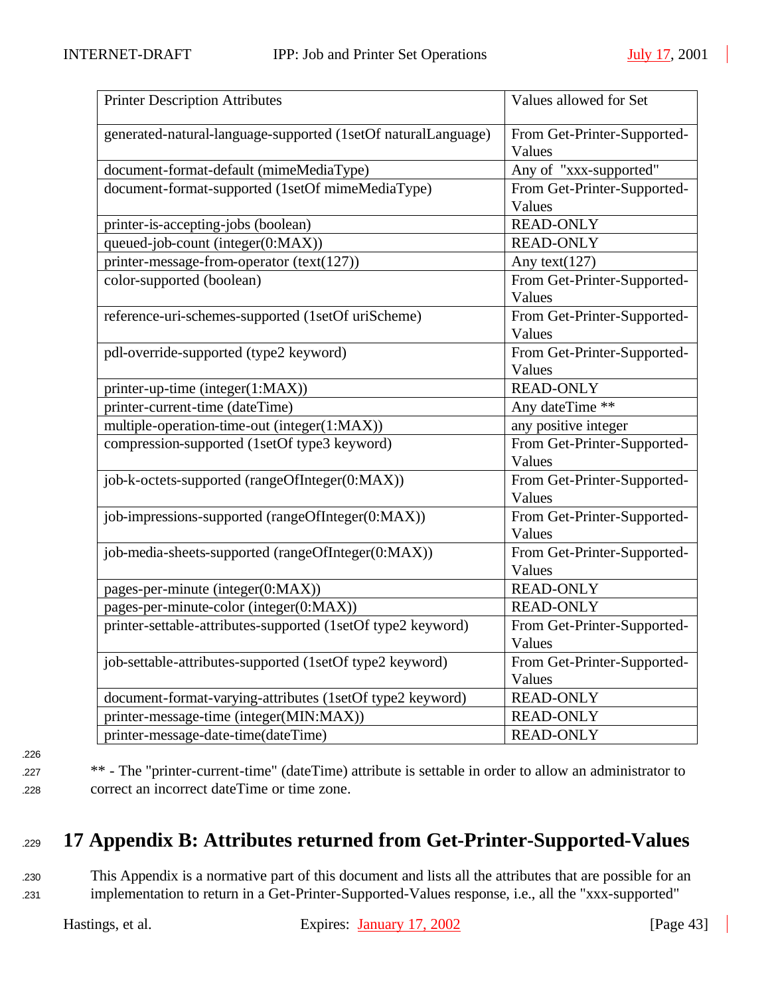| <b>Printer Description Attributes</b>                         | Values allowed for Set                |
|---------------------------------------------------------------|---------------------------------------|
| generated-natural-language-supported (1setOf naturalLanguage) | From Get-Printer-Supported-<br>Values |
| document-format-default (mimeMediaType)                       | Any of "xxx-supported"                |
| document-format-supported (1setOf mimeMediaType)              | From Get-Printer-Supported-           |
|                                                               | Values                                |
| printer-is-accepting-jobs (boolean)                           | <b>READ-ONLY</b>                      |
| queued-job-count (integer(0:MAX))                             | <b>READ-ONLY</b>                      |
| printer-message-from-operator (text(127))                     | Any text $(127)$                      |
| color-supported (boolean)                                     | From Get-Printer-Supported-<br>Values |
| reference-uri-schemes-supported (1setOf uriScheme)            | From Get-Printer-Supported-<br>Values |
| pdl-override-supported (type2 keyword)                        | From Get-Printer-Supported-<br>Values |
| printer-up-time (integer(1:MAX))                              | <b>READ-ONLY</b>                      |
| printer-current-time (dateTime)                               | Any dateTime **                       |
| multiple-operation-time-out (integer(1:MAX))                  | any positive integer                  |
| compression-supported (1setOf type3 keyword)                  | From Get-Printer-Supported-<br>Values |
| job-k-octets-supported (rangeOfInteger(0:MAX))                | From Get-Printer-Supported-<br>Values |
| job-impressions-supported (rangeOfInteger(0:MAX))             | From Get-Printer-Supported-<br>Values |
| job-media-sheets-supported (rangeOfInteger(0:MAX))            | From Get-Printer-Supported-<br>Values |
| pages-per-minute (integer(0:MAX))                             | <b>READ-ONLY</b>                      |
| pages-per-minute-color (integer(0:MAX))                       | <b>READ-ONLY</b>                      |
| printer-settable-attributes-supported (1setOf type2 keyword)  | From Get-Printer-Supported-           |
|                                                               | Values                                |
| job-settable-attributes-supported (1setOf type2 keyword)      | From Get-Printer-Supported-           |
|                                                               | Values                                |
| document-format-varying-attributes (1setOf type2 keyword)     | <b>READ-ONLY</b>                      |
| printer-message-time (integer(MIN:MAX))                       | <b>READ-ONLY</b>                      |
| printer-message-date-time(dateTime)                           | <b>READ-ONLY</b>                      |

- 1226
- 

<sup>1227</sup> \*\* - The "printer-current-time" (dateTime) attribute is settable in order to allow an administrator to <sup>1228</sup> correct an incorrect dateTime or time zone.

# <sup>1229</sup> **17 Appendix B: Attributes returned from Get-Printer-Supported-Values**

<sup>1230</sup> This Appendix is a normative part of this document and lists all the attributes that are possible for an <sup>1231</sup> implementation to return in a Get-Printer-Supported-Values response, i.e., all the "xxx-supported"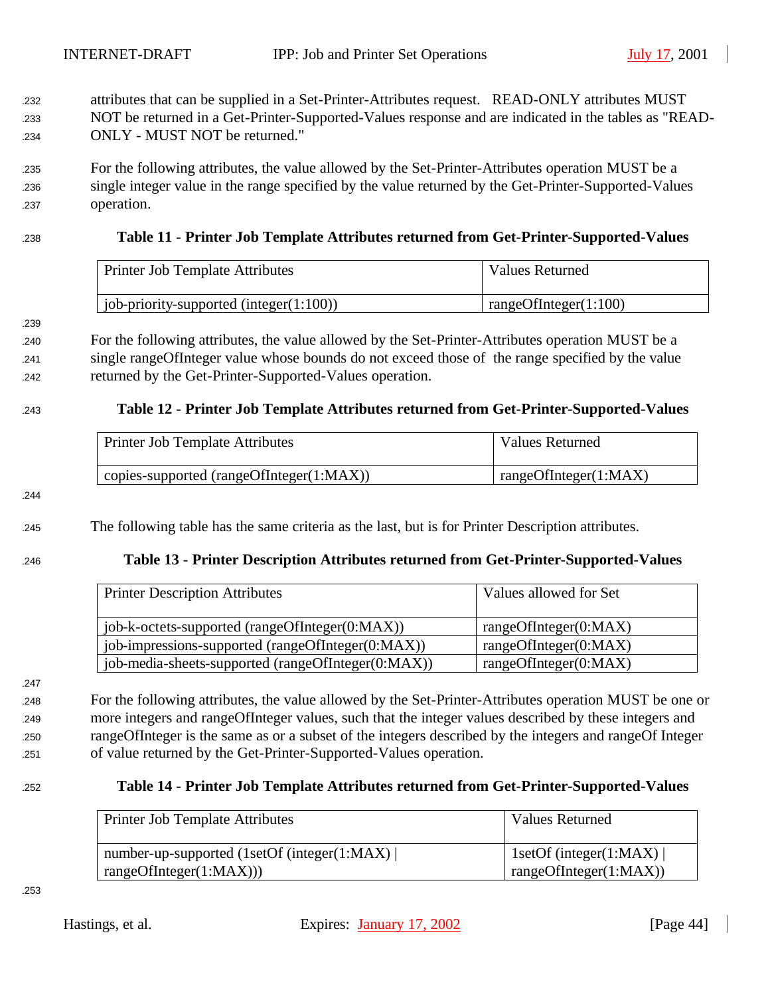- <sup>1232</sup> attributes that can be supplied in a Set-Printer-Attributes request. READ-ONLY attributes MUST <sup>1233</sup> NOT be returned in a Get-Printer-Supported-Values response and are indicated in the tables as "READ-<sup>1234</sup> ONLY - MUST NOT be returned."
- <sup>1235</sup> For the following attributes, the value allowed by the Set-Printer-Attributes operation MUST be a <sup>1236</sup> single integer value in the range specified by the value returned by the Get-Printer-Supported-Values <sup>1237</sup> operation.

#### <sup>1238</sup> **Table 11 - Printer Job Template Attributes returned from Get-Printer-Supported-Values**

| Printer Job Template Attributes             | Values Returned          |
|---------------------------------------------|--------------------------|
| job-priority-supported (integer $(1:100)$ ) | rangeOfInteger $(1:100)$ |

239

<sup>1240</sup> For the following attributes, the value allowed by the Set-Printer-Attributes operation MUST be a <sup>1241</sup> single rangeOfInteger value whose bounds do not exceed those of the range specified by the value <sup>1242</sup> returned by the Get-Printer-Supported-Values operation.

#### <sup>1243</sup> **Table 12 - Printer Job Template Attributes returned from Get-Printer-Supported-Values**

| <b>Printer Job Template Attributes</b>          | <b>Values Returned</b> |
|-------------------------------------------------|------------------------|
| $\mid$ copies-supported (rangeOfInteger(1:MAX)) | rangeOfInteger(1:MAX)  |

244

<sup>1245</sup> The following table has the same criteria as the last, but is for Printer Description attributes.

#### <sup>1246</sup> **Table 13 - Printer Description Attributes returned from Get-Printer-Supported-Values**

| <b>Printer Description Attributes</b>              | Values allowed for Set |
|----------------------------------------------------|------------------------|
| job-k-octets-supported (rangeOfInteger(0:MAX))     | rangeOfInteger(0:MAX)  |
| job-impressions-supported (rangeOfInteger(0:MAX))  | rangeOfInteger(0:MAX)  |
| job-media-sheets-supported (rangeOfInteger(0:MAX)) | rangeOfInteger(0:MAX)  |

247

 For the following attributes, the value allowed by the Set-Printer-Attributes operation MUST be one or more integers and rangeOfInteger values, such that the integer values described by these integers and rangeOfInteger is the same as or a subset of the integers described by the integers and rangeOf Integer of value returned by the Get-Printer-Supported-Values operation.

#### <sup>1252</sup> **Table 14 - Printer Job Template Attributes returned from Get-Printer-Supported-Values**

| Printer Job Template Attributes              | <b>Values Returned</b>  |
|----------------------------------------------|-------------------------|
| number-up-supported (1setOf (integer(1:MAX)) | 1setOf (integer(1:MAX)) |
| rangeOfInteger(1:MAX))                       | rangeOfInteger(1:MAX))  |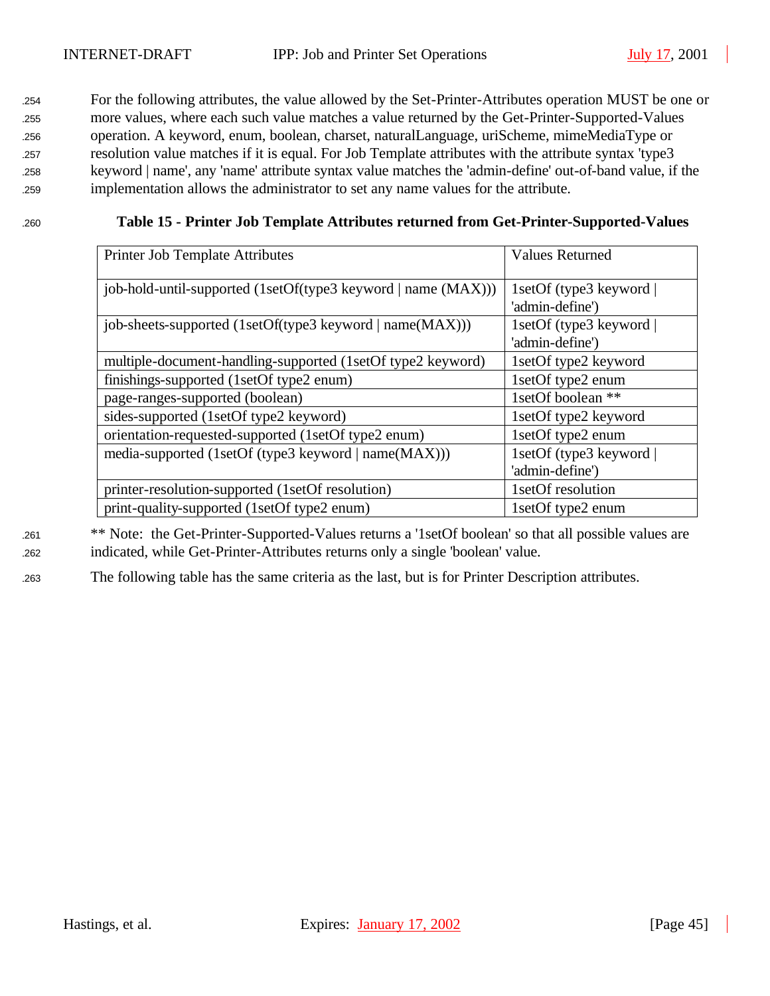For the following attributes, the value allowed by the Set-Printer-Attributes operation MUST be one or more values, where each such value matches a value returned by the Get-Printer-Supported-Values operation. A keyword, enum, boolean, charset, naturalLanguage, uriScheme, mimeMediaType or resolution value matches if it is equal. For Job Template attributes with the attribute syntax 'type3 keyword | name', any 'name' attribute syntax value matches the 'admin-define' out-of-band value, if the implementation allows the administrator to set any name values for the attribute.

#### <sup>1260</sup> **Table 15 - Printer Job Template Attributes returned from Get-Printer-Supported-Values**

| Printer Job Template Attributes                               | <b>Values Returned</b>                     |
|---------------------------------------------------------------|--------------------------------------------|
| job-hold-until-supported (1setOf(type3 keyword   name (MAX))) | 1setOf (type3 keyword  <br>'admin-define') |
| job-sheets-supported (1setOf(type3 keyword   name(MAX)))      | 1setOf (type3 keyword  <br>'admin-define') |
| multiple-document-handling-supported (1setOf type2 keyword)   | 1setOf type2 keyword                       |
| finishings-supported (1setOf type2 enum)                      | 1setOf type2 enum                          |
| page-ranges-supported (boolean)                               | 1setOf boolean **                          |
| sides-supported (1setOf type2 keyword)                        | 1setOf type2 keyword                       |
| orientation-requested-supported (1setOf type2 enum)           | 1setOf type2 enum                          |
| media-supported (1setOf (type3 keyword   name(MAX)))          | 1setOf (type3 keyword                      |
|                                                               | 'admin-define')                            |
| printer-resolution-supported (1setOf resolution)              | 1setOf resolution                          |
| print-quality-supported (1setOf type2 enum)                   | 1setOf type2 enum                          |

<sup>1261</sup> \*\* Note: the Get-Printer-Supported-Values returns a '1setOf boolean' so that all possible values are <sup>1262</sup> indicated, while Get-Printer-Attributes returns only a single 'boolean' value.

<sup>1263</sup> The following table has the same criteria as the last, but is for Printer Description attributes.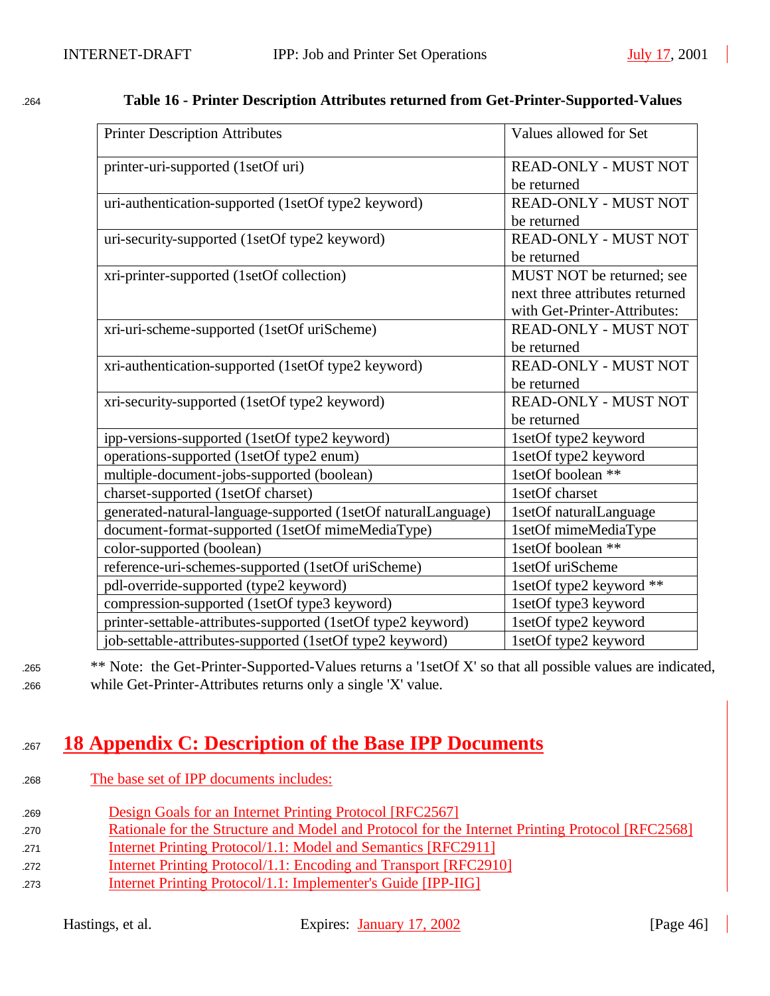| <b>Printer Description Attributes</b>                         | Values allowed for Set         |
|---------------------------------------------------------------|--------------------------------|
| printer-uri-supported (1setOf uri)                            | <b>READ-ONLY - MUST NOT</b>    |
|                                                               | be returned                    |
| uri-authentication-supported (1setOf type2 keyword)           | <b>READ-ONLY - MUST NOT</b>    |
|                                                               | be returned                    |
| uri-security-supported (1setOf type2 keyword)                 | READ-ONLY - MUST NOT           |
|                                                               | be returned                    |
| xri-printer-supported (1setOf collection)                     | MUST NOT be returned; see      |
|                                                               | next three attributes returned |
|                                                               | with Get-Printer-Attributes:   |
| xri-uri-scheme-supported (1setOf uriScheme)                   | READ-ONLY - MUST NOT           |
|                                                               | be returned                    |
| xri-authentication-supported (1setOf type2 keyword)           | READ-ONLY - MUST NOT           |
|                                                               | be returned                    |
| xri-security-supported (1setOf type2 keyword)                 | <b>READ-ONLY - MUST NOT</b>    |
|                                                               | be returned                    |
| ipp-versions-supported (1setOf type2 keyword)                 | 1setOf type2 keyword           |
| operations-supported (1setOf type2 enum)                      | 1setOf type2 keyword           |
| multiple-document-jobs-supported (boolean)                    | 1setOf boolean **              |
| charset-supported (1setOf charset)                            | 1setOf charset                 |
| generated-natural-language-supported (1setOf naturalLanguage) | 1setOf naturalLanguage         |
| document-format-supported (1setOf mimeMediaType)              | 1setOf mimeMediaType           |
| color-supported (boolean)                                     | 1setOf boolean **              |
| reference-uri-schemes-supported (1setOf uriScheme)            | 1setOf uriScheme               |
| pdl-override-supported (type2 keyword)                        | 1setOf type2 keyword **        |
| compression-supported (1setOf type3 keyword)                  | 1setOf type3 keyword           |
| printer-settable-attributes-supported (1setOf type2 keyword)  | 1setOf type2 keyword           |
| job-settable-attributes-supported (1setOf type2 keyword)      | 1setOf type2 keyword           |

### <sup>1264</sup> **Table 16 - Printer Description Attributes returned from Get-Printer-Supported-Values**

<sup>1265</sup> \*\* Note: the Get-Printer-Supported-Values returns a '1setOf X' so that all possible values are indicated, <sup>1266</sup> while Get-Printer-Attributes returns only a single 'X' value.

# <sup>1267</sup> **18 Appendix C: Description of the Base IPP Documents**

- <sup>1268</sup> The base set of IPP documents includes:
- <sup>1269</sup> Design Goals for an Internet Printing Protocol [RFC2567]
- 270 Rationale for the Structure and Model and Protocol for the Internet Printing Protocol [RFC2568]
- 271 Internet Printing Protocol/1.1: Model and Semantics [RFC2911]
- <sup>1272</sup> Internet Printing Protocol/1.1: Encoding and Transport [RFC2910]
- <sup>1273</sup> Internet Printing Protocol/1.1: Implementer's Guide [IPP-IIG]

Hastings, et al. Expires: January 17, 2002 [Page 46]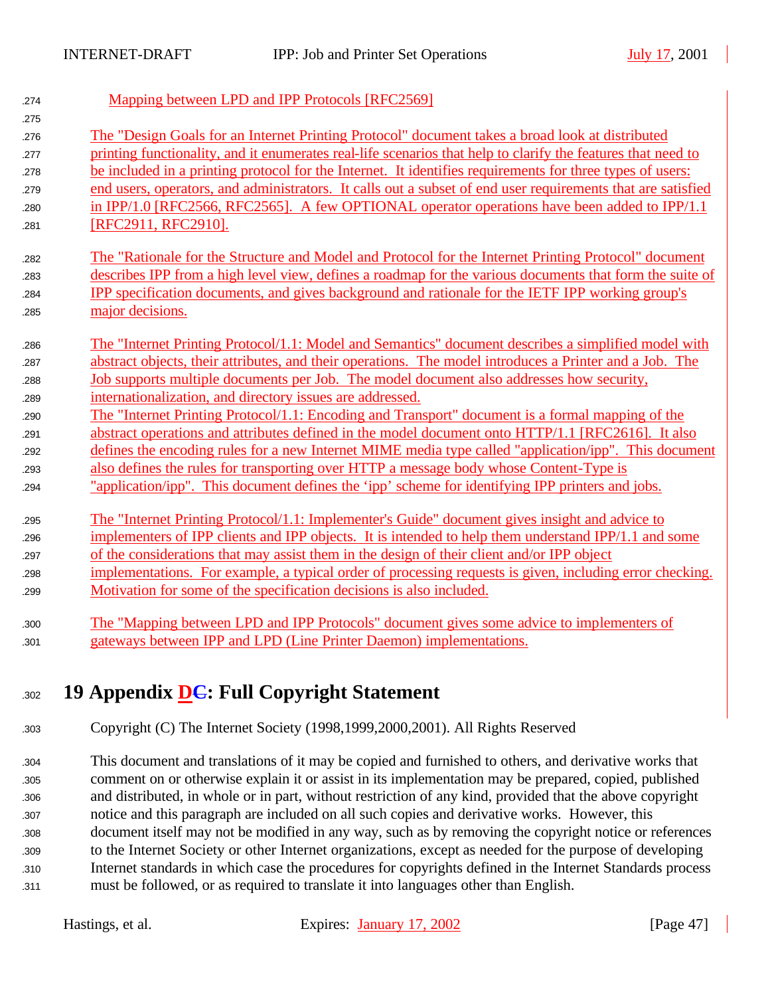| 274 | Mapping between LPD and IPP Protocols [RFC2569]                                                              |
|-----|--------------------------------------------------------------------------------------------------------------|
| 275 |                                                                                                              |
| 276 | The "Design Goals for an Internet Printing Protocol" document takes a broad look at distributed              |
| 277 | printing functionality, and it enumerates real-life scenarios that help to clarify the features that need to |
| 278 | be included in a printing protocol for the Internet. It identifies requirements for three types of users:    |
| 279 | end users, operators, and administrators. It calls out a subset of end user requirements that are satisfied  |
| 280 | in IPP/1.0 [RFC2566, RFC2565]. A few OPTIONAL operator operations have been added to IPP/1.1                 |
| 281 | [RFC2911, RFC2910].                                                                                          |
| 282 | The "Rationale for the Structure and Model and Protocol for the Internet Printing Protocol" document         |
| 283 | describes IPP from a high level view, defines a roadmap for the various documents that form the suite of     |
| 284 | IPP specification documents, and gives background and rationale for the IETF IPP working group's             |
| 285 | major decisions.                                                                                             |
| 286 | The "Internet Printing Protocol/1.1: Model and Semantics" document describes a simplified model with         |
| 287 | abstract objects, their attributes, and their operations. The model introduces a Printer and a Job. The      |
| 288 | Job supports multiple documents per Job. The model document also addresses how security,                     |
| 289 | internationalization, and directory issues are addressed.                                                    |
| 290 | The "Internet Printing Protocol/1.1: Encoding and Transport" document is a formal mapping of the             |
| 291 | abstract operations and attributes defined in the model document onto HTTP/1.1 [RFC2616]. It also            |
| 292 | defines the encoding rules for a new Internet MIME media type called "application/ipp". This document        |
| 293 | also defines the rules for transporting over HTTP a message body whose Content-Type is                       |
| 294 | "application/ipp". This document defines the 'ipp' scheme for identifying IPP printers and jobs.             |
| 295 | The "Internet Printing Protocol/1.1: Implementer's Guide" document gives insight and advice to               |
| 296 | implementers of IPP clients and IPP objects. It is intended to help them understand IPP/1.1 and some         |
| 297 | of the considerations that may assist them in the design of their client and/or IPP object                   |
| 298 | implementations. For example, a typical order of processing requests is given, including error checking.     |
| 299 | Motivation for some of the specification decisions is also included.                                         |
| 300 | The "Mapping between LPD and IPP Protocols" document gives some advice to implementers of                    |
| 301 | gateways between IPP and LPD (Line Printer Daemon) implementations.                                          |
|     |                                                                                                              |

# <sup>1302</sup> **19 Appendix DC: Full Copyright Statement**

<sup>1303</sup> Copyright (C) The Internet Society (1998,1999,2000,2001). All Rights Reserved

 This document and translations of it may be copied and furnished to others, and derivative works that comment on or otherwise explain it or assist in its implementation may be prepared, copied, published and distributed, in whole or in part, without restriction of any kind, provided that the above copyright notice and this paragraph are included on all such copies and derivative works. However, this document itself may not be modified in any way, such as by removing the copyright notice or references to the Internet Society or other Internet organizations, except as needed for the purpose of developing Internet standards in which case the procedures for copyrights defined in the Internet Standards process must be followed, or as required to translate it into languages other than English.